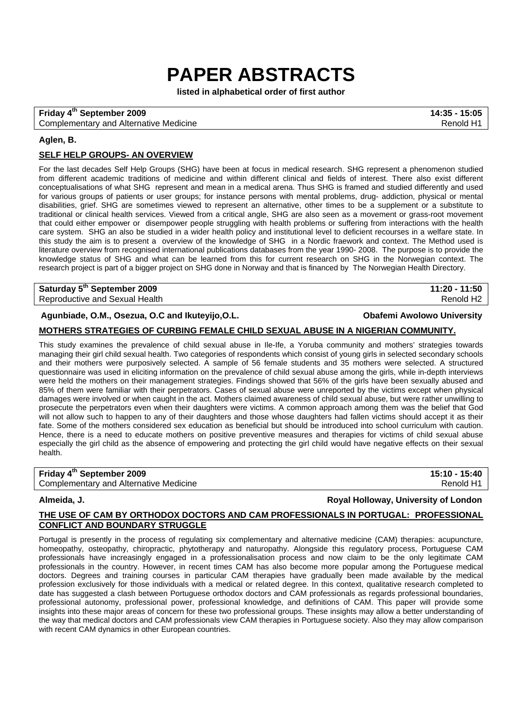# **PAPER ABSTRACTS**

**listed in alphabetical order of first author** 

## **Friday 4th September 2009 14:35 - 15:05**

Complementary and Alternative Medicine Renormal Complementary and Alternative Medicine Renormal Renormal Renormal Renormal Renormal Renormal Renormal Renormal Renormal Renormal Renormal Renormal Renormal Renormal Renormal

## **Aglen, B.**

## **SELF HELP GROUPS- AN OVERVIEW**

For the last decades Self Help Groups (SHG) have been at focus in medical research. SHG represent a phenomenon studied from different academic traditions of medicine and within different clinical and fields of interest. There also exist different conceptualisations of what SHG represent and mean in a medical arena. Thus SHG is framed and studied differently and used for various groups of patients or user groups; for instance persons with mental problems, drug- addiction, physical or mental disabilities, grief. SHG are sometimes viewed to represent an alternative, other times to be a supplement or a substitute to traditional or clinical health services. Viewed from a critical angle, SHG are also seen as a movement or grass-root movement that could either empower or disempower people struggling with health problems or suffering from interactions with the health care system. SHG an also be studied in a wider health policy and institutional level to deficient recourses in a welfare state. In this study the aim is to present a overview of the knowledge of SHG in a Nordic fraework and context. The Method used is literature overview from recognised international publications databases from the year 1990- 2008. The purpose is to provide the knowledge status of SHG and what can be learned from this for current research on SHG in the Norwegian context. The research project is part of a bigger project on SHG done in Norway and that is financed by The Norwegian Health Directory.

**Saturday 5th September 2009 11:20 - 11:50**  Reproductive and Sexual Health Renold H2

**Agunbiade, O.M., Osezua, O.C and Ikuteyijo,O.L. Obafemi Awolowo University**

## **MOTHERS STRATEGIES OF CURBING FEMALE CHILD SEXUAL ABUSE IN A NIGERIAN COMMUNITY.**

This study examines the prevalence of child sexual abuse in Ile-Ife, a Yoruba community and mothers' strategies towards managing their girl child sexual health. Two categories of respondents which consist of young girls in selected secondary schools and their mothers were purposively selected. A sample of 56 female students and 35 mothers were selected. A structured questionnaire was used in eliciting information on the prevalence of child sexual abuse among the girls, while in-depth interviews were held the mothers on their management strategies. Findings showed that 56% of the girls have been sexually abused and 85% of them were familiar with their perpetrators. Cases of sexual abuse were unreported by the victims except when physical damages were involved or when caught in the act. Mothers claimed awareness of child sexual abuse, but were rather unwilling to prosecute the perpetrators even when their daughters were victims. A common approach among them was the belief that God will not allow such to happen to any of their daughters and those whose daughters had fallen victims should accept it as their fate. Some of the mothers considered sex education as beneficial but should be introduced into school curriculum with caution. Hence, there is a need to educate mothers on positive preventive measures and therapies for victims of child sexual abuse especially the girl child as the absence of empowering and protecting the girl child would have negative effects on their sexual health.

| Friday 4 <sup>th</sup> September 2009         | 15:10 - 15:40 |
|-----------------------------------------------|---------------|
| <b>Complementary and Alternative Medicine</b> | Renold H1     |

**Almeida, J. Royal Holloway, University of London**

## **THE USE OF CAM BY ORTHODOX DOCTORS AND CAM PROFESSIONALS IN PORTUGAL: PROFESSIONAL CONFLICT AND BOUNDARY STRUGGLE**

Portugal is presently in the process of regulating six complementary and alternative medicine (CAM) therapies: acupuncture, homeopathy, osteopathy, chiropractic, phytotherapy and naturopathy. Alongside this regulatory process, Portuguese CAM professionals have increasingly engaged in a professionalisation process and now claim to be the only legitimate CAM professionals in the country. However, in recent times CAM has also become more popular among the Portuguese medical doctors. Degrees and training courses in particular CAM therapies have gradually been made available by the medical profession exclusively for those individuals with a medical or related degree. In this context, qualitative research completed to date has suggested a clash between Portuguese orthodox doctors and CAM professionals as regards professional boundaries, professional autonomy, professional power, professional knowledge, and definitions of CAM. This paper will provide some insights into these major areas of concern for these two professional groups. These insights may allow a better understanding of the way that medical doctors and CAM professionals view CAM therapies in Portuguese society. Also they may allow comparison with recent CAM dynamics in other European countries.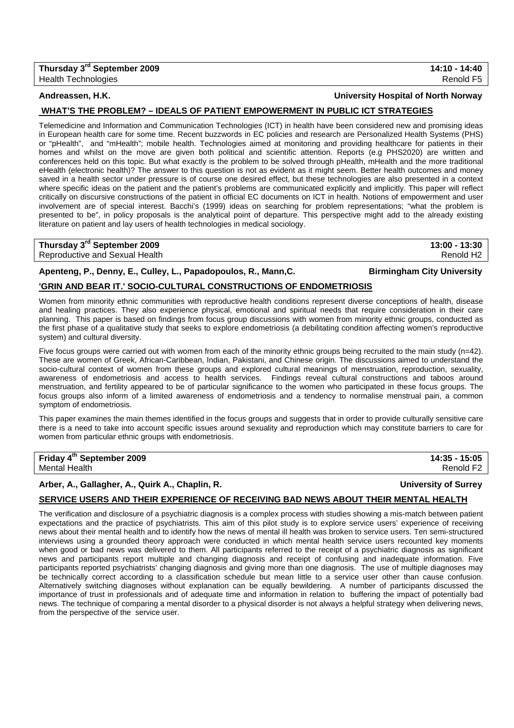**Andreassen, H.K. University Hospital of North Norway**

### **WHAT'S THE PROBLEM? – IDEALS OF PATIENT EMPOWERMENT IN PUBLIC ICT STRATEGIES**

Telemedicine and Information and Communication Technologies (ICT) in health have been considered new and promising ideas in European health care for some time. Recent buzzwords in EC policies and research are Personalized Health Systems (PHS) or "pHealth", and "mHealth"; mobile health. Technologies aimed at monitoring and providing healthcare for patients in their homes and whilst on the move are given both political and scientific attention. Reports (e.g PHS2020) are written and conferences held on this topic. But what exactly is the problem to be solved through pHealth, mHealth and the more traditional eHealth (electronic health)? The answer to this question is not as evident as it might seem. Better health outcomes and money saved in a health sector under pressure is of course one desired effect, but these technologies are also presented in a context where specific ideas on the patient and the patient's problems are communicated explicitly and implicitly. This paper will reflect critically on discursive constructions of the patient in official EC documents on ICT in health. Notions of empowerment and user involvement are of special interest. Bacchi's (1999) ideas on searching for problem representations; "what the problem is presented to be", in policy proposals is the analytical point of departure. This perspective might add to the already existing literature on patient and lay users of health technologies in medical sociology.

# **Thursday 3rd September 2009 13:00 - 13:30**

Reproductive and Sexual Health Renold H2

## **Apenteng, P., Denny, E., Culley, L., Papadopoulos, R., Mann,C. Birmingham City University**

## **'GRIN AND BEAR IT.' SOCIO-CULTURAL CONSTRUCTIONS OF ENDOMETRIOSIS**

Women from minority ethnic communities with reproductive health conditions represent diverse conceptions of health, disease and healing practices. They also experience physical, emotional and spiritual needs that require consideration in their care planning. This paper is based on findings from focus group discussions with women from minority ethnic groups, conducted as the first phase of a qualitative study that seeks to explore endometriosis (a debilitating condition affecting women's reproductive system) and cultural diversity.

Five focus groups were carried out with women from each of the minority ethnic groups being recruited to the main study (n=42). These are women of Greek, African-Caribbean, Indian, Pakistani, and Chinese origin. The discussions aimed to understand the socio-cultural context of women from these groups and explored cultural meanings of menstruation, reproduction, sexuality, awareness of endometriosis and access to health services. Findings reveal cultural constructions and taboos around menstruation, and fertility appeared to be of particular significance to the women who participated in these focus groups. The focus groups also inform of a limited awareness of endometriosis and a tendency to normalise menstrual pain, a common symptom of endometriosis.

This paper examines the main themes identified in the focus groups and suggests that in order to provide culturally sensitive care there is a need to take into account specific issues around sexuality and reproduction which may constitute barriers to care for women from particular ethnic groups with endometriosis.

## **Friday 4th September 2009 14:35 - 15:05**

## **Arber, A., Gallagher, A., Quirk A., Chaplin, R. University of Surrey**

## **SERVICE USERS AND THEIR EXPERIENCE OF RECEIVING BAD NEWS ABOUT THEIR MENTAL HEALTH**

The verification and disclosure of a psychiatric diagnosis is a complex process with studies showing a mis-match between patient expectations and the practice of psychiatrists. This aim of this pilot study is to explore service users' experience of receiving news about their mental health and to identify how the news of mental ill health was broken to service users. Ten semi-structured interviews using a grounded theory approach were conducted in which mental health service users recounted key moments when good or bad news was delivered to them. All participants referred to the receipt of a psychiatric diagnosis as significant news and participants report multiple and changing diagnosis and receipt of confusing and inadequate information. Five participants reported psychiatrists' changing diagnosis and giving more than one diagnosis. The use of multiple diagnoses may be technically correct according to a classification schedule but mean little to a service user other than cause confusion. Alternatively switching diagnoses without explanation can be equally bewildering. A number of participants discussed the importance of trust in professionals and of adequate time and information in relation to buffering the impact of potentially bad news. The technique of comparing a mental disorder to a physical disorder is not always a helpful strategy when delivering news, from the perspective of the service user.

Mental Health **Renold F2 Renold F2**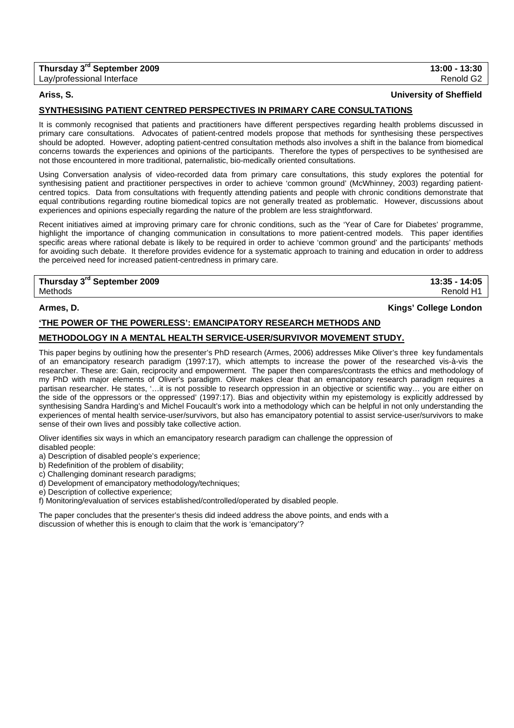| Thursday 3 <sup>rd</sup> September 2009 | 13:00 - 13:30 |
|-----------------------------------------|---------------|
| Lay/professional Interface              | Renold G2     |

### **Ariss, S. University of Sheffield**

## **SYNTHESISING PATIENT CENTRED PERSPECTIVES IN PRIMARY CARE CONSULTATIONS**

It is commonly recognised that patients and practitioners have different perspectives regarding health problems discussed in primary care consultations. Advocates of patient-centred models propose that methods for synthesising these perspectives should be adopted. However, adopting patient-centred consultation methods also involves a shift in the balance from biomedical concerns towards the experiences and opinions of the participants. Therefore the types of perspectives to be synthesised are not those encountered in more traditional, paternalistic, bio-medically oriented consultations.

Using Conversation analysis of video-recorded data from primary care consultations, this study explores the potential for synthesising patient and practitioner perspectives in order to achieve 'common ground' (McWhinney, 2003) regarding patientcentred topics. Data from consultations with frequently attending patients and people with chronic conditions demonstrate that equal contributions regarding routine biomedical topics are not generally treated as problematic. However, discussions about experiences and opinions especially regarding the nature of the problem are less straightforward.

Recent initiatives aimed at improving primary care for chronic conditions, such as the 'Year of Care for Diabetes' programme, highlight the importance of changing communication in consultations to more patient-centred models. This paper identifies specific areas where rational debate is likely to be required in order to achieve 'common ground' and the participants' methods for avoiding such debate. It therefore provides evidence for a systematic approach to training and education in order to address the perceived need for increased patient-centredness in primary care.

## **Thursday 3rd September 2009 13:35 - 14:05** Methods Renold H1

## **Armes, D. Kings' College London**

## **'THE POWER OF THE POWERLESS': EMANCIPATORY RESEARCH METHODS AND**

## **METHODOLOGY IN A MENTAL HEALTH SERVICE-USER/SURVIVOR MOVEMENT STUDY.**

This paper begins by outlining how the presenter's PhD research (Armes, 2006) addresses Mike Oliver's three key fundamentals of an emancipatory research paradigm (1997:17), which attempts to increase the power of the researched vis-à-vis the researcher. These are: Gain, reciprocity and empowerment. The paper then compares/contrasts the ethics and methodology of my PhD with major elements of Oliver's paradigm. Oliver makes clear that an emancipatory research paradigm requires a partisan researcher. He states, '…it is not possible to research oppression in an objective or scientific way… you are either on the side of the oppressors or the oppressed' (1997:17). Bias and objectivity within my epistemology is explicitly addressed by synthesising Sandra Harding's and Michel Foucault's work into a methodology which can be helpful in not only understanding the experiences of mental health service-user/survivors, but also has emancipatory potential to assist service-user/survivors to make sense of their own lives and possibly take collective action.

Oliver identifies six ways in which an emancipatory research paradigm can challenge the oppression of disabled people:

- a) Description of disabled people's experience;
- b) Redefinition of the problem of disability;
- c) Challenging dominant research paradigms;
- d) Development of emancipatory methodology/techniques;
- e) Description of collective experience;

f) Monitoring/evaluation of services established/controlled/operated by disabled people.

The paper concludes that the presenter's thesis did indeed address the above points, and ends with a discussion of whether this is enough to claim that the work is 'emancipatory'?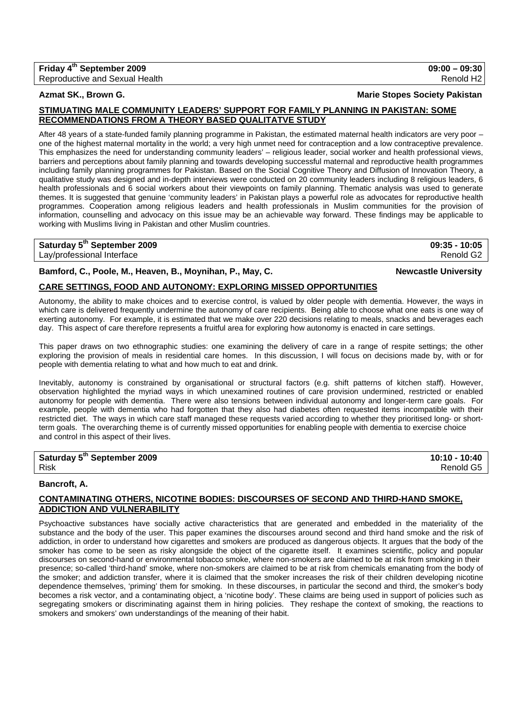## **STIMUATING MALE COMMUNITY LEADERS' SUPPORT FOR FAMILY PLANNING IN PAKISTAN: SOME RECOMMENDATIONS FROM A THEORY BASED QUALITATVE STUDY**

After 48 years of a state-funded family planning programme in Pakistan, the estimated maternal health indicators are very poor – one of the highest maternal mortality in the world; a very high unmet need for contraception and a low contraceptive prevalence. This emphasizes the need for understanding community leaders' – religious leader, social worker and health professional views, barriers and perceptions about family planning and towards developing successful maternal and reproductive health programmes including family planning programmes for Pakistan. Based on the Social Cognitive Theory and Diffusion of Innovation Theory, a qualitative study was designed and in-depth interviews were conducted on 20 community leaders including 8 religious leaders, 6 health professionals and 6 social workers about their viewpoints on family planning. Thematic analysis was used to generate themes. It is suggested that genuine 'community leaders' in Pakistan plays a powerful role as advocates for reproductive health programmes. Cooperation among religious leaders and health professionals in Muslim communities for the provision of information, counselling and advocacy on this issue may be an achievable way forward. These findings may be applicable to working with Muslims living in Pakistan and other Muslim countries.

## **Saturday 5th September 2009 09:35 - 10:05**

Lay/professional Interface Renold G2

## Bamford, C., Poole, M., Heaven, B., Moynihan, P., May, C. Newcastle University **Newcastle University**

## **CARE SETTINGS, FOOD AND AUTONOMY: EXPLORING MISSED OPPORTUNITIES**

Autonomy, the ability to make choices and to exercise control, is valued by older people with dementia. However, the ways in which care is delivered frequently undermine the autonomy of care recipients. Being able to choose what one eats is one way of exerting autonomy. For example, it is estimated that we make over 220 decisions relating to meals, snacks and beverages each day. This aspect of care therefore represents a fruitful area for exploring how autonomy is enacted in care settings.

This paper draws on two ethnographic studies: one examining the delivery of care in a range of respite settings; the other exploring the provision of meals in residential care homes. In this discussion, I will focus on decisions made by, with or for people with dementia relating to what and how much to eat and drink.

Inevitably, autonomy is constrained by organisational or structural factors (e.g. shift patterns of kitchen staff). However, observation highlighted the myriad ways in which unexamined routines of care provision undermined, restricted or enabled autonomy for people with dementia. There were also tensions between individual autonomy and longer-term care goals. For example, people with dementia who had forgotten that they also had diabetes often requested items incompatible with their restricted diet. The ways in which care staff managed these requests varied according to whether they prioritised long- or shortterm goals. The overarching theme is of currently missed opportunities for enabling people with dementia to exercise choice and control in this aspect of their lives.

# **Saturday 5<sup>th</sup> September 2009 10:10 - 10:40**

## **Bancroft, A.**

## **CONTAMINATING OTHERS, NICOTINE BODIES: DISCOURSES OF SECOND AND THIRD-HAND SMOKE, ADDICTION AND VULNERABILITY**

Psychoactive substances have socially active characteristics that are generated and embedded in the materiality of the substance and the body of the user. This paper examines the discourses around second and third hand smoke and the risk of addiction, in order to understand how cigarettes and smokers are produced as dangerous objects. It argues that the body of the smoker has come to be seen as risky alongside the object of the cigarette itself. It examines scientific, policy and popular discourses on second-hand or environmental tobacco smoke, where non-smokers are claimed to be at risk from smoking in their presence; so-called 'third-hand' smoke, where non-smokers are claimed to be at risk from chemicals emanating from the body of the smoker; and addiction transfer, where it is claimed that the smoker increases the risk of their children developing nicotine dependence themselves, 'priming' them for smoking. In these discourses, in particular the second and third, the smoker's body becomes a risk vector, and a contaminating object, a 'nicotine body'. These claims are being used in support of policies such as segregating smokers or discriminating against them in hiring policies. They reshape the context of smoking, the reactions to smokers and smokers' own understandings of the meaning of their habit.

Reproductive and Sexual Health Renold H2

**Azmat SK., Brown G. Marie Stopes Society Pakistan**

**Friday 4th September 2009 09:00 – 09:30** 

Risk Renold G5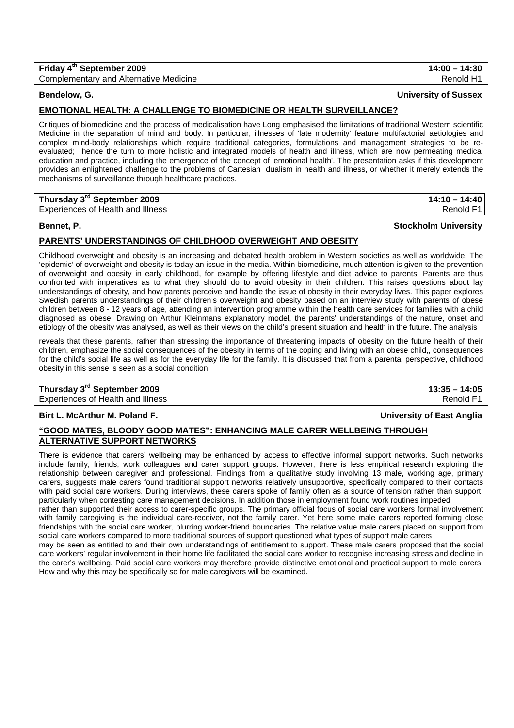| Friday 4 <sup>th</sup> September 2009         | $14:00 - 14:30$ |
|-----------------------------------------------|-----------------|
| <b>Complementary and Alternative Medicine</b> | Renold H1       |

**Bendelow, G. University of Sussex**

## **EMOTIONAL HEALTH: A CHALLENGE TO BIOMEDICINE OR HEALTH SURVEILLANCE?**

Critiques of biomedicine and the process of medicalisation have Long emphasised the limitations of traditional Western scientific Medicine in the separation of mind and body. In particular, illnesses of 'late modernity' feature multifactorial aetiologies and complex mind-body relationships which require traditional categories, formulations and management strategies to be reevaluated; hence the turn to more holistic and integrated models of health and illness, which are now permeating medical education and practice, including the emergence of the concept of 'emotional health'. The presentation asks if this development provides an enlightened challenge to the problems of Cartesian dualism in health and illness, or whether it merely extends the mechanisms of surveillance through healthcare practices.

| Thursday 3 <sup>rd</sup> September 2009 | $14:10 - 14:40$ |
|-----------------------------------------|-----------------|
| Experiences of Health and Illness       | Renold F1       |

## **Bennet, P. Stockholm University**

## **PARENTS' UNDERSTANDINGS OF CHILDHOOD OVERWEIGHT AND OBESITY**

Childhood overweight and obesity is an increasing and debated health problem in Western societies as well as worldwide. The 'epidemic' of overweight and obesity is today an issue in the media. Within biomedicine, much attention is given to the prevention of overweight and obesity in early childhood, for example by offering lifestyle and diet advice to parents. Parents are thus confronted with imperatives as to what they should do to avoid obesity in their children. This raises questions about lay understandings of obesity, and how parents perceive and handle the issue of obesity in their everyday lives. This paper explores Swedish parents understandings of their children's overweight and obesity based on an interview study with parents of obese children between 8 - 12 years of age, attending an intervention programme within the health care services for families with a child diagnosed as obese. Drawing on Arthur Kleinmans explanatory model, the parents' understandings of the nature, onset and etiology of the obesity was analysed, as well as their views on the child's present situation and health in the future. The analysis

reveals that these parents, rather than stressing the importance of threatening impacts of obesity on the future health of their children, emphasize the social consequences of the obesity in terms of the coping and living with an obese child,, consequences for the child's social life as well as for the everyday life for the family. It is discussed that from a parental perspective, childhood obesity in this sense is seen as a social condition.

# **Thursday 3rd September 2009 13:35 – 14:05**

Experiences of Health and Illness Renold F1 and The Renold F1 and The Renold F1 and The Renold F1 and The Renold F1

## **Birt L. McArthur M. Poland F. University of East Anglia**

## **"GOOD MATES, BLOODY GOOD MATES": ENHANCING MALE CARER WELLBEING THROUGH ALTERNATIVE SUPPORT NETWORKS**

There is evidence that carers' wellbeing may be enhanced by access to effective informal support networks. Such networks include family, friends, work colleagues and carer support groups. However, there is less empirical research exploring the relationship between caregiver and professional. Findings from a qualitative study involving 13 male, working age, primary carers, suggests male carers found traditional support networks relatively unsupportive, specifically compared to their contacts with paid social care workers. During interviews, these carers spoke of family often as a source of tension rather than support, particularly when contesting care management decisions. In addition those in employment found work routines impeded rather than supported their access to carer-specific groups. The primary official focus of social care workers formal involvement with family caregiving is the individual care-receiver, not the family carer. Yet here some male carers reported forming close friendships with the social care worker, blurring worker-friend boundaries. The relative value male carers placed on support from social care workers compared to more traditional sources of support questioned what types of support male carers may be seen as entitled to and their own understandings of entitlement to support. These male carers proposed that the social care workers' regular involvement in their home life facilitated the social care worker to recognise increasing stress and decline in the carer's wellbeing. Paid social care workers may therefore provide distinctive emotional and practical support to male carers. How and why this may be specifically so for male caregivers will be examined.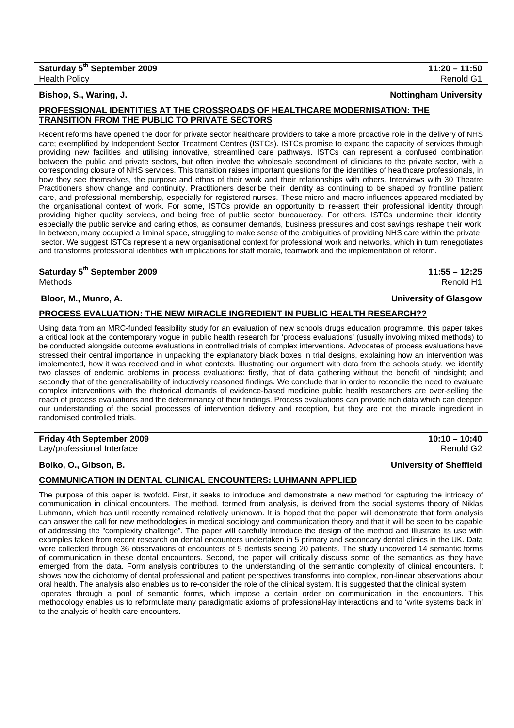## **Bishop, S., Waring, J. Nottingham University**

## **PROFESSIONAL IDENTITIES AT THE CROSSROADS OF HEALTHCARE MODERNISATION: THE TRANSITION FROM THE PUBLIC TO PRIVATE SECTORS**

Recent reforms have opened the door for private sector healthcare providers to take a more proactive role in the delivery of NHS care; exemplified by Independent Sector Treatment Centres (ISTCs). ISTCs promise to expand the capacity of services through providing new facilities and utilising innovative, streamlined care pathways. ISTCs can represent a confused combination between the public and private sectors, but often involve the wholesale secondment of clinicians to the private sector, with a corresponding closure of NHS services. This transition raises important questions for the identities of healthcare professionals, in how they see themselves, the purpose and ethos of their work and their relationships with others. Interviews with 30 Theatre Practitioners show change and continuity. Practitioners describe their identity as continuing to be shaped by frontline patient care, and professional membership, especially for registered nurses. These micro and macro influences appeared mediated by the organisational context of work. For some, ISTCs provide an opportunity to re-assert their professional identity through providing higher quality services, and being free of public sector bureaucracy. For others, ISTCs undermine their identity, especially the public service and caring ethos, as consumer demands, business pressures and cost savings reshape their work. In between, many occupied a liminal space, struggling to make sense of the ambiguities of providing NHS care within the private sector. We suggest ISTCs represent a new organisational context for professional work and networks, which in turn renegotiates and transforms professional identities with implications for staff morale, teamwork and the implementation of reform.

**Saturday 5th September 2009 11:55 – 12:25**  Methods Renold H1

## **Bloor, M., Munro, A. University of Glasgow**

## **PROCESS EVALUATION: THE NEW MIRACLE INGREDIENT IN PUBLIC HEALTH RESEARCH??**

Using data from an MRC-funded feasibility study for an evaluation of new schools drugs education programme, this paper takes a critical look at the contemporary vogue in public health research for 'process evaluations' (usually involving mixed methods) to be conducted alongside outcome evaluations in controlled trials of complex interventions. Advocates of process evaluations have stressed their central importance in unpacking the explanatory black boxes in trial designs, explaining how an intervention was implemented, how it was received and in what contexts. Illustrating our argument with data from the schools study, we identify two classes of endemic problems in process evaluations: firstly, that of data gathering without the benefit of hindsight; and secondly that of the generalisability of inductively reasoned findings. We conclude that in order to reconcile the need to evaluate complex interventions with the rhetorical demands of evidence-based medicine public health researchers are over-selling the reach of process evaluations and the determinancy of their findings. Process evaluations can provide rich data which can deepen our understanding of the social processes of intervention delivery and reception, but they are not the miracle ingredient in randomised controlled trials.

| Friday 4th September 2009  | $10:10 - 10:40$       |
|----------------------------|-----------------------|
| Lay/professional Interface | Renold G <sub>2</sub> |

**Boiko, O., Gibson, B. University of Sheffield**

## **COMMUNICATION IN DENTAL CLINICAL ENCOUNTERS: LUHMANN APPLIED**

The purpose of this paper is twofold. First, it seeks to introduce and demonstrate a new method for capturing the intricacy of communication in clinical encounters. The method, termed from analysis, is derived from the social systems theory of Niklas Luhmann, which has until recently remained relatively unknown. It is hoped that the paper will demonstrate that form analysis can answer the call for new methodologies in medical sociology and communication theory and that it will be seen to be capable of addressing the "complexity challenge". The paper will carefully introduce the design of the method and illustrate its use with examples taken from recent research on dental encounters undertaken in 5 primary and secondary dental clinics in the UK. Data were collected through 36 observations of encounters of 5 dentists seeing 20 patients. The study uncovered 14 semantic forms of communication in these dental encounters. Second, the paper will critically discuss some of the semantics as they have emerged from the data. Form analysis contributes to the understanding of the semantic complexity of clinical encounters. It shows how the dichotomy of dental professional and patient perspectives transforms into complex, non-linear observations about oral health. The analysis also enables us to re-consider the role of the clinical system. It is suggested that the clinical system operates through a pool of semantic forms, which impose a certain order on communication in the encounters. This methodology enables us to reformulate many paradigmatic axioms of professional-lay interactions and to 'write systems back in' to the analysis of health care encounters.

# **Saturday 5th September 2009 11:20 – 11:50**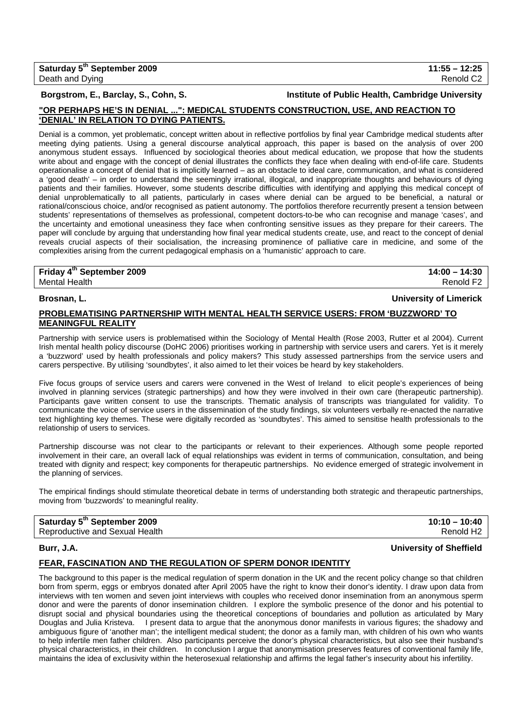## **Borgstrom, E., Barclay, S., Cohn, S. Institute of Public Health, Cambridge University**

## **"OR PERHAPS HE'S IN DENIAL ...": MEDICAL STUDENTS CONSTRUCTION, USE, AND REACTION TO 'DENIAL' IN RELATION TO DYING PATIENTS.**

Denial is a common, yet problematic, concept written about in reflective portfolios by final year Cambridge medical students after meeting dying patients. Using a general discourse analytical approach, this paper is based on the analysis of over 200 anonymous student essays. Influenced by sociological theories about medical education, we propose that how the students write about and engage with the concept of denial illustrates the conflicts they face when dealing with end-of-life care. Students operationalise a concept of denial that is implicitly learned – as an obstacle to ideal care, communication, and what is considered a 'good death' – in order to understand the seemingly irrational, illogical, and inappropriate thoughts and behaviours of dying patients and their families. However, some students describe difficulties with identifying and applying this medical concept of denial unproblematically to all patients, particularly in cases where denial can be argued to be beneficial, a natural or rational/conscious choice, and/or recognised as patient autonomy. The portfolios therefore recurrently present a tension between students' representations of themselves as professional, competent doctors-to-be who can recognise and manage 'cases', and the uncertainty and emotional uneasiness they face when confronting sensitive issues as they prepare for their careers. The paper will conclude by arguing that understanding how final year medical students create, use, and react to the concept of denial reveals crucial aspects of their socialisation, the increasing prominence of palliative care in medicine, and some of the complexities arising from the current pedagogical emphasis on a 'humanistic' approach to care.

**Friday 4th September 2009 14:00 – 14:30**  Mental Health **Renold F2 Renold F2** 

### **Brosnan, L. University of Limerick**

## **PROBLEMATISING PARTNERSHIP WITH MENTAL HEALTH SERVICE USERS: FROM 'BUZZWORD' TO MEANINGFUL REALITY**

Partnership with service users is problematised within the Sociology of Mental Health (Rose 2003, Rutter et al 2004). Current Irish mental health policy discourse (DoHC 2006) prioritises working in partnership with service users and carers. Yet is it merely a 'buzzword' used by health professionals and policy makers? This study assessed partnerships from the service users and carers perspective. By utilising 'soundbytes', it also aimed to let their voices be heard by key stakeholders.

Five focus groups of service users and carers were convened in the West of Ireland to elicit people's experiences of being involved in planning services (strategic partnerships) and how they were involved in their own care (therapeutic partnership). Participants gave written consent to use the transcripts. Thematic analysis of transcripts was triangulated for validity. To communicate the voice of service users in the dissemination of the study findings, six volunteers verbally re-enacted the narrative text highlighting key themes. These were digitally recorded as 'soundbytes'. This aimed to sensitise health professionals to the relationship of users to services.

Partnership discourse was not clear to the participants or relevant to their experiences. Although some people reported involvement in their care, an overall lack of equal relationships was evident in terms of communication, consultation, and being treated with dignity and respect; key components for therapeutic partnerships. No evidence emerged of strategic involvement in the planning of services.

The empirical findings should stimulate theoretical debate in terms of understanding both strategic and therapeutic partnerships, moving from 'buzzwords' to meaningful reality.

| Saturday 5 <sup>th</sup> September 2009 | $10:10 - 10:40$       |
|-----------------------------------------|-----------------------|
| Reproductive and Sexual Health          | Renold H <sub>2</sub> |

## **Burr, J.A. University of Sheffield**

## **FEAR, FASCINATION AND THE REGULATION OF SPERM DONOR IDENTITY**

The background to this paper is the medical regulation of sperm donation in the UK and the recent policy change so that children born from sperm, eggs or embryos donated after April 2005 have the right to know their donor's identity. I draw upon data from interviews with ten women and seven joint interviews with couples who received donor insemination from an anonymous sperm donor and were the parents of donor insemination children. I explore the symbolic presence of the donor and his potential to disrupt social and physical boundaries using the theoretical conceptions of boundaries and pollution as articulated by Mary Douglas and Julia Kristeva. I present data to argue that the anonymous donor manifests in various figures; the shadowy and ambiguous figure of 'another man'; the intelligent medical student; the donor as a family man, with children of his own who wants to help infertile men father children. Also participants perceive the donor's physical characteristics, but also see their husband's physical characteristics, in their children. In conclusion I argue that anonymisation preserves features of conventional family life, maintains the idea of exclusivity within the heterosexual relationship and affirms the legal father's insecurity about his infertility.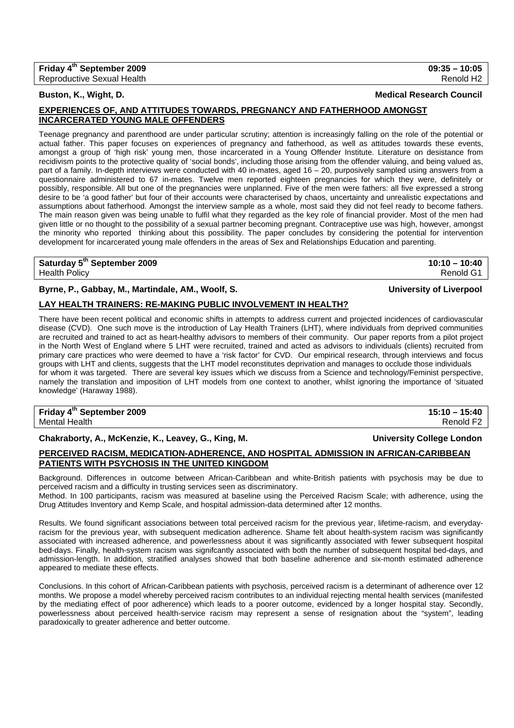## **EXPERIENCES OF, AND ATTITUDES TOWARDS, PREGNANCY AND FATHERHOOD AMONGST INCARCERATED YOUNG MALE OFFENDERS**

Teenage pregnancy and parenthood are under particular scrutiny; attention is increasingly falling on the role of the potential or actual father. This paper focuses on experiences of pregnancy and fatherhood, as well as attitudes towards these events, amongst a group of 'high risk' young men, those incarcerated in a Young Offender Institute. Literature on desistance from recidivism points to the protective quality of 'social bonds', including those arising from the offender valuing, and being valued as, part of a family. In-depth interviews were conducted with 40 in-mates, aged 16 - 20, purposively sampled using answers from a questionnaire administered to 67 in-mates. Twelve men reported eighteen pregnancies for which they were, definitely or possibly, responsible. All but one of the pregnancies were unplanned. Five of the men were fathers: all five expressed a strong desire to be 'a good father' but four of their accounts were characterised by chaos, uncertainty and unrealistic expectations and assumptions about fatherhood. Amongst the interview sample as a whole, most said they did not feel ready to become fathers. The main reason given was being unable to fulfil what they regarded as the key role of financial provider. Most of the men had given little or no thought to the possibility of a sexual partner becoming pregnant. Contraceptive use was high, however, amongst the minority who reported thinking about this possibility. The paper concludes by considering the potential for intervention development for incarcerated young male offenders in the areas of Sex and Relationships Education and parenting.

### **Saturday 5th September 2009 10:10 – 10:40**  Health Policy Renold G1

**Byrne, P., Gabbay, M., Martindale, AM., Woolf, S. University of Liverpool**

## **LAY HEALTH TRAINERS: RE-MAKING PUBLIC INVOLVEMENT IN HEALTH?**

There have been recent political and economic shifts in attempts to address current and projected incidences of cardiovascular disease (CVD). One such move is the introduction of Lay Health Trainers (LHT), where individuals from deprived communities are recruited and trained to act as heart-healthy advisors to members of their community. Our paper reports from a pilot project in the North West of England where 5 LHT were recruited, trained and acted as advisors to individuals (clients) recruited from primary care practices who were deemed to have a 'risk factor' for CVD. Our empirical research, through interviews and focus groups with LHT and clients, suggests that the LHT model reconstitutes deprivation and manages to occlude those individuals for whom it was targeted. There are several key issues which we discuss from a Science and technology/Feminist perspective, namely the translation and imposition of LHT models from one context to another, whilst ignoring the importance of 'situated knowledge' (Haraway 1988).

### **Friday 4th September 2009 15:10 – 15:40**  Mental Health **Renold F2**

**Chakraborty, A., McKenzie, K., Leavey, G., King, M. University College London**

# **PERCEIVED RACISM, MEDICATION-ADHERENCE, AND HOSPITAL ADMISSION IN AFRICAN-CARIBBEAN PATIENTS WITH PSYCHOSIS IN THE UNITED KINGDOM**

Background. Differences in outcome between African-Caribbean and white-British patients with psychosis may be due to perceived racism and a difficulty in trusting services seen as discriminatory.

Method. In 100 participants, racism was measured at baseline using the Perceived Racism Scale; with adherence, using the Drug Attitudes Inventory and Kemp Scale, and hospital admission-data determined after 12 months.

Results. We found significant associations between total perceived racism for the previous year, lifetime-racism, and everydayracism for the previous year, with subsequent medication adherence. Shame felt about health-system racism was significantly associated with increased adherence, and powerlessness about it was significantly associated with fewer subsequent hospital bed-days. Finally, health-system racism was signifcantly associated with both the number of subsequent hospital bed-days, and admission-length. In addition, stratified analyses showed that both baseline adherence and six-month estimated adherence appeared to mediate these effects.

Conclusions. In this cohort of African-Caribbean patients with psychosis, perceived racism is a determinant of adherence over 12 months. We propose a model whereby perceived racism contributes to an individual rejecting mental health services (manifested by the mediating effect of poor adherence) which leads to a poorer outcome, evidenced by a longer hospital stay. Secondly, powerlessness about perceived health-service racism may represent a sense of resignation about the "system", leading paradoxically to greater adherence and better outcome.

**Buston, K., Wight, D.** Medical Research Council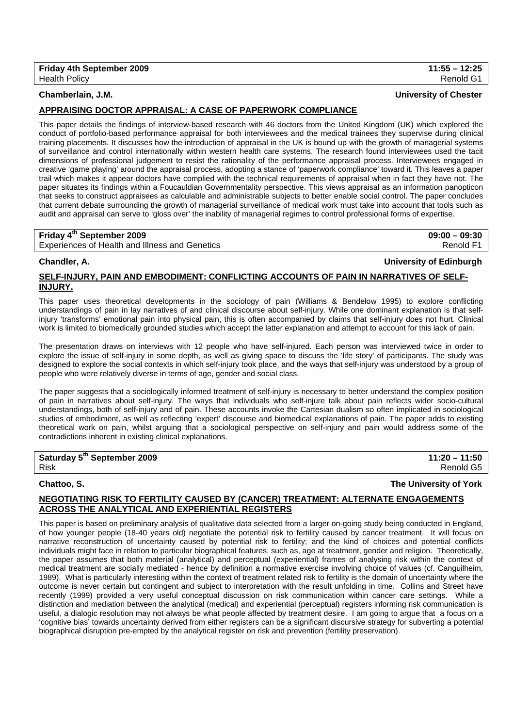## **Chamberlain, J.M. University of Chester**

## **APPRAISING DOCTOR APPRAISAL: A CASE OF PAPERWORK COMPLIANCE**

This paper details the findings of interview-based research with 46 doctors from the United Kingdom (UK) which explored the conduct of portfolio-based performance appraisal for both interviewees and the medical trainees they supervise during clinical training placements. It discusses how the introduction of appraisal in the UK is bound up with the growth of managerial systems of surveillance and control internationally within western health care systems. The research found interviewees used the tacit dimensions of professional judgement to resist the rationality of the performance appraisal process. Interviewees engaged in creative 'game playing' around the appraisal process, adopting a stance of 'paperwork compliance' toward it. This leaves a paper trail which makes it appear doctors have complied with the technical requirements of appraisal when in fact they have not. The paper situates its findings within a Foucauldian Governmentality perspective. This views appraisal as an information panopticon that seeks to construct appraisees as calculable and administrable subjects to better enable social control. The paper concludes that current debate surrounding the growth of managerial surveillance of medical work must take into account that tools such as audit and appraisal can serve to 'gloss over' the inability of managerial regimes to control professional forms of expertise.

## **Friday 4th September 2009 09:00 – 09:30**  Experiences of Health and Illness and Genetics **Renold F1** All and The Renold F1 All and The Renold F1

# **Chandler, A. University of Edinburgh**

## **SELF-INJURY, PAIN AND EMBODIMENT: CONFLICTING ACCOUNTS OF PAIN IN NARRATIVES OF SELF-INJURY.**

This paper uses theoretical developments in the sociology of pain (Williams & Bendelow 1995) to explore conflicting understandings of pain in lay narratives of and clinical discourse about self-injury. While one dominant explanation is that selfinjury 'transforms' emotional pain into physical pain, this is often accompanied by claims that self-injury does not hurt. Clinical work is limited to biomedically grounded studies which accept the latter explanation and attempt to account for this lack of pain.

The presentation draws on interviews with 12 people who have self-injured. Each person was interviewed twice in order to explore the issue of self-injury in some depth, as well as giving space to discuss the 'life story' of participants. The study was designed to explore the social contexts in which self-injury took place, and the ways that self-injury was understood by a group of people who were relatively diverse in terms of age, gender and social class.

The paper suggests that a sociologically informed treatment of self-injury is necessary to better understand the complex position of pain in narratives about self-injury. The ways that individuals who self-injure talk about pain reflects wider socio-cultural understandings, both of self-injury and of pain. These accounts invoke the Cartesian dualism so often implicated in sociological studies of embodiment, as well as reflecting 'expert' discourse and biomedical explanations of pain. The paper adds to existing theoretical work on pain, whilst arguing that a sociological perspective on self-injury and pain would address some of the contradictions inherent in existing clinical explanations.

# **Saturday 5th September 2009 11:20 – 11:50**

**Chattoo, S. The University of York**

## **NEGOTIATING RISK TO FERTILITY CAUSED BY (CANCER) TREATMENT: ALTERNATE ENGAGEMENTS ACROSS THE ANALYTICAL AND EXPERIENTIAL REGISTERS**

This paper is based on preliminary analysis of qualitative data selected from a larger on-going study being conducted in England, of how younger people (18-40 years old) negotiate the potential risk to fertility caused by cancer treatment. It will focus on narrative reconstruction of uncertainty caused by potential risk to fertility; and the kind of choices and potential conflicts individuals might face in relation to particular biographical features, such as, age at treatment, gender and religion. Theoretically, the paper assumes that both material (analytical) and perceptual (experiential) frames of analysing risk within the context of medical treatment are socially mediated - hence by definition a normative exercise involving choice of values (cf. Canguilheim, 1989). What is particularly interesting within the context of treatment related risk to fertility is the domain of uncertainty where the outcome is never certain but contingent and subject to interpretation with the result unfolding in time. Collins and Street have recently (1999) provided a very useful conceptual discussion on risk communication within cancer care settings. While a distinction and mediation between the analytical (medical) and experiential (perceptual) registers informing risk communication is useful, a dialogic resolution may not always be what people affected by treatment desire. I am going to argue that a focus on a 'cognitive bias' towards uncertainty derived from either registers can be a significant discursive strategy for subverting a potential biographical disruption pre-empted by the analytical register on risk and prevention (fertility preservation).

Risk Renold G5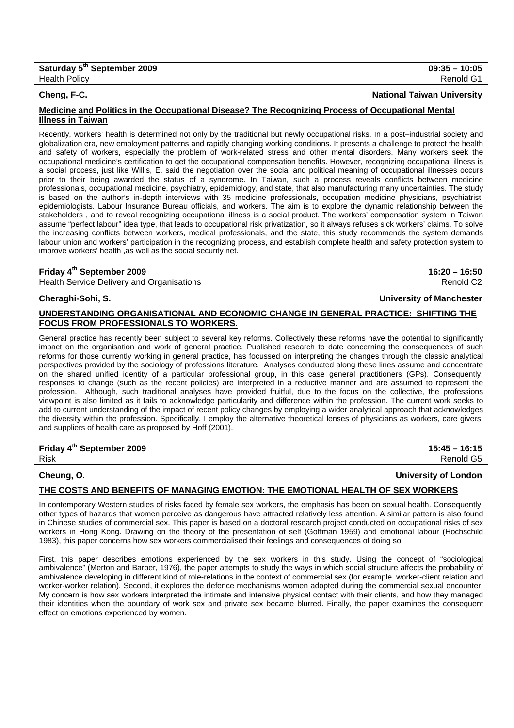### **Cheng, F-C. National Taiwan University**

## **Medicine and Politics in the Occupational Disease? The Recognizing Process of Occupational Mental Illness in Taiwan**

Recently, workers' health is determined not only by the traditional but newly occupational risks. In a post–industrial society and globalization era, new employment patterns and rapidly changing working conditions. It presents a challenge to protect the health and safety of workers, especially the problem of work-related stress and other mental disorders. Many workers seek the occupational medicine's certification to get the occupational compensation benefits. However, recognizing occupational illness is a social process, just like Willis, E. said the negotiation over the social and political meaning of occupational illnesses occurs prior to their being awarded the status of a syndrome. In Taiwan, such a process reveals conflicts between medicine professionals, occupational medicine, psychiatry, epidemiology, and state, that also manufacturing many uncertainties. The study is based on the author's in-depth interviews with 35 medicine professionals, occupation medicine physicians, psychiatrist, epidemiologists. Labour Insurance Bureau officials, and workers. The aim is to explore the dynamic relationship between the stakeholders , and to reveal recognizing occupational illness is a social product. The workers' compensation system in Taiwan assume "perfect labour" idea type, that leads to occupational risk privatization, so it always refuses sick workers' claims. To solve the increasing conflicts between workers, medical professionals, and the state, this study recommends the system demands labour union and workers' participation in the recognizing process, and establish complete health and safety protection system to improve workers' health ,as well as the social security net.

## **Friday 4th September 2009 16:20 – 16:50**  Health Service Delivery and Organisations **Renold C2 Renold C2**

## **Cheraghi-Sohi, S. University of Manchester**

## **UNDERSTANDING ORGANISATIONAL AND ECONOMIC CHANGE IN GENERAL PRACTICE: SHIFTING THE FOCUS FROM PROFESSIONALS TO WORKERS.**

General practice has recently been subject to several key reforms. Collectively these reforms have the potential to significantly impact on the organisation and work of general practice. Published research to date concerning the consequences of such reforms for those currently working in general practice, has focussed on interpreting the changes through the classic analytical perspectives provided by the sociology of professions literature. Analyses conducted along these lines assume and concentrate on the shared unified identity of a particular professional group, in this case general practitioners (GPs). Consequently, responses to change (such as the recent policies) are interpreted in a reductive manner and are assumed to represent the profession. Although, such traditional analyses have provided fruitful, due to the focus on the collective, the professions viewpoint is also limited as it fails to acknowledge particularity and difference within the profession. The current work seeks to add to current understanding of the impact of recent policy changes by employing a wider analytical approach that acknowledges the diversity within the profession. Specifically, I employ the alternative theoretical lenses of physicians as workers, care givers, and suppliers of health care as proposed by Hoff (2001).

## **Friday 4th September 2009 15:45 – 16:15**  Risk Renold G5

## **Cheung, O. University of London**

## **THE COSTS AND BENEFITS OF MANAGING EMOTION: THE EMOTIONAL HEALTH OF SEX WORKERS**

In contemporary Western studies of risks faced by female sex workers, the emphasis has been on sexual health. Consequently, other types of hazards that women perceive as dangerous have attracted relatively less attention. A similar pattern is also found in Chinese studies of commercial sex. This paper is based on a doctoral research project conducted on occupational risks of sex workers in Hong Kong. Drawing on the theory of the presentation of self (Goffman 1959) and emotional labour (Hochschild 1983), this paper concerns how sex workers commercialised their feelings and consequences of doing so.

First, this paper describes emotions experienced by the sex workers in this study. Using the concept of "sociological ambivalence" (Merton and Barber, 1976), the paper attempts to study the ways in which social structure affects the probability of ambivalence developing in different kind of role-relations in the context of commercial sex (for example, worker-client relation and worker-worker relation). Second, it explores the defence mechanisms women adopted during the commercial sexual encounter. My concern is how sex workers interpreted the intimate and intensive physical contact with their clients, and how they managed their identities when the boundary of work sex and private sex became blurred. Finally, the paper examines the consequent effect on emotions experienced by women.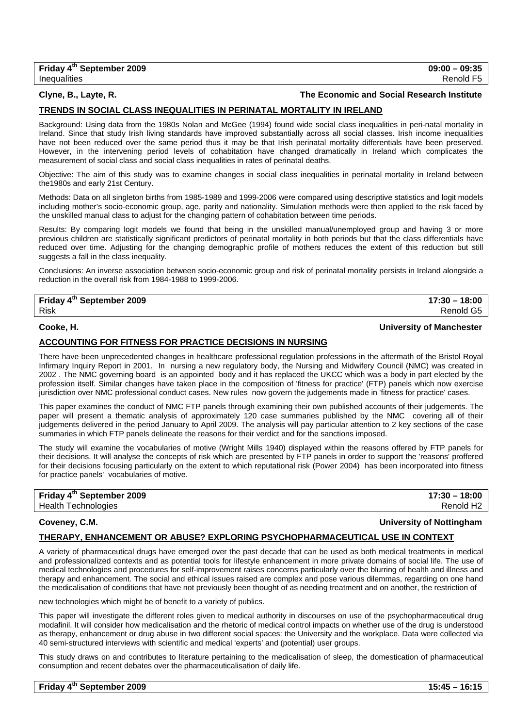## **Clyne, B., Layte, R. The Economic and Social Research Institute**

## **TRENDS IN SOCIAL CLASS INEQUALITIES IN PERINATAL MORTALITY IN IRELAND**

Background: Using data from the 1980s Nolan and McGee (1994) found wide social class inequalities in peri-natal mortality in Ireland. Since that study Irish living standards have improved substantially across all social classes. Irish income inequalities have not been reduced over the same period thus it may be that Irish perinatal mortality differentials have been preserved. However, in the intervening period levels of cohabitation have changed dramatically in Ireland which complicates the measurement of social class and social class inequalities in rates of perinatal deaths.

Objective: The aim of this study was to examine changes in social class inequalities in perinatal mortality in Ireland between the1980s and early 21st Century.

Methods: Data on all singleton births from 1985-1989 and 1999-2006 were compared using descriptive statistics and logit models including mother's socio-economic group, age, parity and nationality. Simulation methods were then applied to the risk faced by the unskilled manual class to adjust for the changing pattern of cohabitation between time periods.

Results: By comparing logit models we found that being in the unskilled manual/unemployed group and having 3 or more previous children are statistically significant predictors of perinatal mortality in both periods but that the class differentials have reduced over time. Adjusting for the changing demographic profile of mothers reduces the extent of this reduction but still suggests a fall in the class inequality.

Conclusions: An inverse association between socio-economic group and risk of perinatal mortality persists in Ireland alongside a reduction in the overall risk from 1984-1988 to 1999-2006.

| Friday 4 <sup>th</sup> September 2009 | $17:30 - 18:00$  |
|---------------------------------------|------------------|
| Risk                                  | <b>Renold G5</b> |

### **Cooke, H. University of Manchester**

### **ACCOUNTING FOR FITNESS FOR PRACTICE DECISIONS IN NURSING**

There have been unprecedented changes in healthcare professional regulation professions in the aftermath of the Bristol Royal Infirmary Inquiry Report in 2001. In nursing a new regulatory body, the Nursing and Midwifery Council (NMC) was created in 2002 . The NMC governing board is an appointed body and it has replaced the UKCC which was a body in part elected by the profession itself. Similar changes have taken place in the composition of 'fitness for practice' (FTP) panels which now exercise jurisdiction over NMC professional conduct cases. New rules now govern the judgements made in 'fitness for practice' cases.

This paper examines the conduct of NMC FTP panels through examining their own published accounts of their judgements. The paper will present a thematic analysis of approximately 120 case summaries published by the NMC covering all of their judgements delivered in the period January to April 2009. The analysis will pay particular attention to 2 key sections of the case summaries in which FTP panels delineate the reasons for their verdict and for the sanctions imposed.

The study will examine the vocabularies of motive (Wright Mills 1940) displayed within the reasons offered by FTP panels for their decisions. It will analyse the concepts of risk which are presented by FTP panels in order to support the 'reasons' proffered for their decisions focusing particularly on the extent to which reputational risk (Power 2004) has been incorporated into fitness for practice panels' vocabularies of motive.

| Friday 4 <sup>th</sup> September 2009 | $17:30 - 18:00$       |
|---------------------------------------|-----------------------|
| <b>Health Technologies</b>            | Renold H <sub>2</sub> |

## **Coveney, C.M. University of Nottingham**

## **THERAPY, ENHANCEMENT OR ABUSE? EXPLORING PSYCHOPHARMACEUTICAL USE IN CONTEXT**

A variety of pharmaceutical drugs have emerged over the past decade that can be used as both medical treatments in medical and professionalized contexts and as potential tools for lifestyle enhancement in more private domains of social life. The use of medical technologies and procedures for self-improvement raises concerns particularly over the blurring of health and illness and therapy and enhancement. The social and ethical issues raised are complex and pose various dilemmas, regarding on one hand the medicalisation of conditions that have not previously been thought of as needing treatment and on another, the restriction of

new technologies which might be of benefit to a variety of publics.

This paper will investigate the different roles given to medical authority in discourses on use of the psychopharmaceutical drug modafinil. It will consider how medicalisation and the rhetoric of medical control impacts on whether use of the drug is understood as therapy, enhancement or drug abuse in two different social spaces: the University and the workplace. Data were collected via 40 semi-structured interviews with scientific and medical 'experts' and (potential) user groups.

This study draws on and contributes to literature pertaining to the medicalisation of sleep, the domestication of pharmaceutical consumption and recent debates over the pharmaceuticalisation of daily life.

| Friday 4 <sup>th</sup> September 2009 | $15:45 - 16:15$ |
|---------------------------------------|-----------------|
|---------------------------------------|-----------------|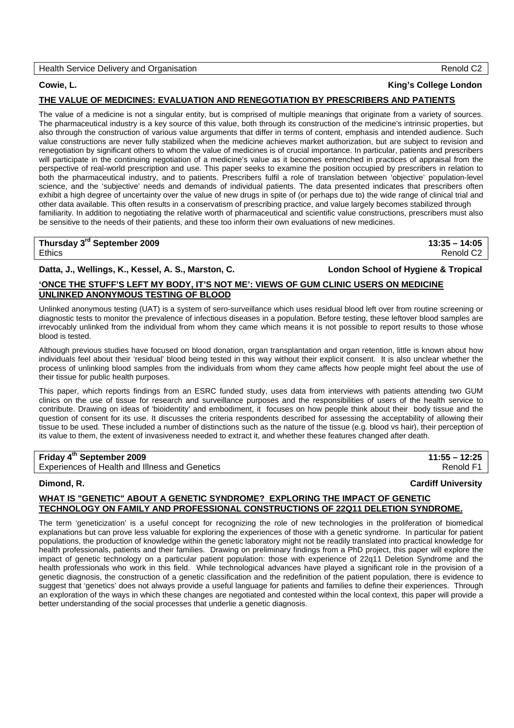### Health Service Delivery and Organisation **Renold C2 Renold C2**

## **Cowie, L. King's College London**

### **THE VALUE OF MEDICINES: EVALUATION AND RENEGOTIATION BY PRESCRIBERS AND PATIENTS**

The value of a medicine is not a singular entity, but is comprised of multiple meanings that originate from a variety of sources. The pharmaceutical industry is a key source of this value, both through its construction of the medicine's intrinsic properties, but also through the construction of various value arguments that differ in terms of content, emphasis and intended audience. Such value constructions are never fully stabilized when the medicine achieves market authorization, but are subject to revision and renegotiation by significant others to whom the value of medicines is of crucial importance. In particular, patients and prescribers will participate in the continuing negotiation of a medicine's value as it becomes entrenched in practices of appraisal from the perspective of real-world prescription and use. This paper seeks to examine the position occupied by prescribers in relation to both the pharmaceutical industry, and to patients. Prescribers fulfil a role of translation between 'objective' population-level science, and the 'subjective' needs and demands of individual patients. The data presented indicates that prescribers often exhibit a high degree of uncertainty over the value of new drugs in spite of (or perhaps due to) the wide range of clinical trial and other data available. This often results in a conservatism of prescribing practice, and value largely becomes stabilized through familiarity. In addition to negotiating the relative worth of pharmaceutical and scientific value constructions, prescribers must also be sensitive to the needs of their patients, and these too inform their own evaluations of new medicines.

| Thursday 3 <sup>rd</sup> September 2009 | $13:35 - 14:05$       |
|-----------------------------------------|-----------------------|
| <b>Ethics</b>                           | Renold C <sub>2</sub> |
|                                         |                       |

### **Datta, J., Wellings, K., Kessel, A. S., Marston, C. London School of Hygiene & Tropical**

## **'ONCE THE STUFF'S LEFT MY BODY, IT'S NOT ME': VIEWS OF GUM CLINIC USERS ON MEDICINE UNLINKED ANONYMOUS TESTING OF BLOOD**

Unlinked anonymous testing (UAT) is a system of sero-surveillance which uses residual blood left over from routine screening or diagnostic tests to monitor the prevalence of infectious diseases in a population. Before testing, these leftover blood samples are irrevocably unlinked from the individual from whom they came which means it is not possible to report results to those whose blood is tested.

Although previous studies have focused on blood donation, organ transplantation and organ retention, little is known about how individuals feel about their 'residual' blood being tested in this way without their explicit consent. It is also unclear whether the process of unlinking blood samples from the individuals from whom they came affects how people might feel about the use of their tissue for public health purposes.

This paper, which reports findings from an ESRC funded study, uses data from interviews with patients attending two GUM clinics on the use of tissue for research and surveillance purposes and the responsibilities of users of the health service to contribute. Drawing on ideas of 'bioidentity' and embodiment, it focuses on how people think about their body tissue and the question of consent for its use. It discusses the criteria respondents described for assessing the acceptability of allowing their tissue to be used. These included a number of distinctions such as the nature of the tissue (e.g. blood vs hair), their perception of its value to them, the extent of invasiveness needed to extract it, and whether these features changed after death.

## **Friday 4th September 2009 11:55 – 12:25**

Experiences of Health and Illness and Genetics **Renold F1** and Genetics Renold F1

### **Dimond, R. Cardiff University**

### **WHAT IS "GENETIC" ABOUT A GENETIC SYNDROME? EXPLORING THE IMPACT OF GENETIC TECHNOLOGY ON FAMILY AND PROFESSIONAL CONSTRUCTIONS OF 22Q11 DELETION SYNDROME.**

The term 'geneticization' is a useful concept for recognizing the role of new technologies in the proliferation of biomedical explanations but can prove less valuable for exploring the experiences of those with a genetic syndrome. In particular for patient populations, the production of knowledge within the genetic laboratory might not be readily translated into practical knowledge for health professionals, patients and their families. Drawing on preliminary findings from a PhD project, this paper will explore the impact of genetic technology on a particular patient population: those with experience of 22q11 Deletion Syndrome and the health professionals who work in this field. While technological advances have played a significant role in the provision of a genetic diagnosis, the construction of a genetic classification and the redefinition of the patient population, there is evidence to suggest that 'genetics' does not always provide a useful language for patients and families to define their experiences. Through an exploration of the ways in which these changes are negotiated and contested within the local context, this paper will provide a better understanding of the social processes that underlie a genetic diagnosis.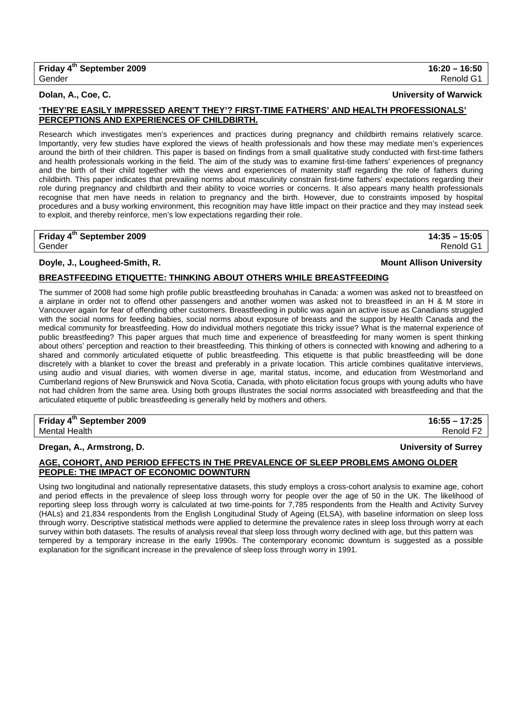**Dolan, A., Coe, C. University of Warwick**

## **'THEY'RE EASILY IMPRESSED AREN'T THEY'? FIRST-TIME FATHERS' AND HEALTH PROFESSIONALS' PERCEPTIONS AND EXPERIENCES OF CHILDBIRTH.**

Research which investigates men's experiences and practices during pregnancy and childbirth remains relatively scarce. Importantly, very few studies have explored the views of health professionals and how these may mediate men's experiences around the birth of their children. This paper is based on findings from a small qualitative study conducted with first-time fathers and health professionals working in the field. The aim of the study was to examine first-time fathers' experiences of pregnancy and the birth of their child together with the views and experiences of maternity staff regarding the role of fathers during childbirth. This paper indicates that prevailing norms about masculinity constrain first-time fathers' expectations regarding their role during pregnancy and childbirth and their ability to voice worries or concerns. It also appears many health professionals recognise that men have needs in relation to pregnancy and the birth. However, due to constraints imposed by hospital procedures and a busy working environment, this recognition may have little impact on their practice and they may instead seek to exploit, and thereby reinforce, men's low expectations regarding their role.

# **Friday 4th September 2009 14:35 – 15:05**

## **Doyle, J., Lougheed-Smith, R. Mount Allison University**

## **BREASTFEEDING ETIQUETTE: THINKING ABOUT OTHERS WHILE BREASTFEEDING**

The summer of 2008 had some high profile public breastfeeding brouhahas in Canada: a women was asked not to breastfeed on a airplane in order not to offend other passengers and another women was asked not to breastfeed in an H & M store in Vancouver again for fear of offending other customers. Breastfeeding in public was again an active issue as Canadians struggled with the social norms for feeding babies, social norms about exposure of breasts and the support by Health Canada and the medical community for breastfeeding. How do individual mothers negotiate this tricky issue? What is the maternal experience of public breastfeeding? This paper argues that much time and experience of breastfeeding for many women is spent thinking about others' perception and reaction to their breastfeeding. This thinking of others is connected with knowing and adhering to a shared and commonly articulated etiquette of public breastfeeding. This etiquette is that public breastfeeding will be done discretely with a blanket to cover the breast and preferably in a private location. This article combines qualitative interviews, using audio and visual diaries, with women diverse in age, marital status, income, and education from Westmorland and Cumberland regions of New Brunswick and Nova Scotia, Canada, with photo elicitation focus groups with young adults who have not had children from the same area. Using both groups illustrates the social norms associated with breastfeeding and that the articulated etiquette of public breastfeeding is generally held by mothers and others.

### **Friday 4<sup>th</sup> September 2009** 16:55 – 17:25 Mental Health Renold F2

## **Dregan, A., Armstrong, D. University of Surrey**

## **AGE, COHORT, AND PERIOD EFFECTS IN THE PREVALENCE OF SLEEP PROBLEMS AMONG OLDER PEOPLE: THE IMPACT OF ECONOMIC DOWNTURN**

Using two longitudinal and nationally representative datasets, this study employs a cross-cohort analysis to examine age, cohort and period effects in the prevalence of sleep loss through worry for people over the age of 50 in the UK. The likelihood of reporting sleep loss through worry is calculated at two time-points for 7,785 respondents from the Health and Activity Survey (HALs) and 21,834 respondents from the English Longitudinal Study of Ageing (ELSA), with baseline information on sleep loss through worry. Descriptive statistical methods were applied to determine the prevalence rates in sleep loss through worry at each survey within both datasets. The results of analysis reveal that sleep loss through worry declined with age, but this pattern was tempered by a temporary increase in the early 1990s. The contemporary economic downturn is suggested as a possible explanation for the significant increase in the prevalence of sleep loss through worry in 1991.

Gender Renold G1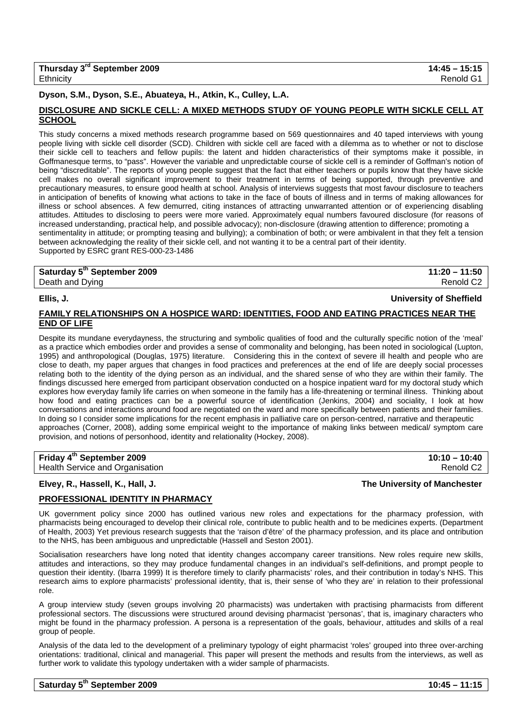## **Dyson, S.M., Dyson, S.E., Abuateya, H., Atkin, K., Culley, L.A.**

## **DISCLOSURE AND SICKLE CELL: A MIXED METHODS STUDY OF YOUNG PEOPLE WITH SICKLE CELL AT SCHOOL**

This study concerns a mixed methods research programme based on 569 questionnaires and 40 taped interviews with young people living with sickle cell disorder (SCD). Children with sickle cell are faced with a dilemma as to whether or not to disclose their sickle cell to teachers and fellow pupils: the latent and hidden characteristics of their symptoms make it possible, in Goffmanesque terms, to "pass". However the variable and unpredictable course of sickle cell is a reminder of Goffman's notion of being "discreditable". The reports of young people suggest that the fact that either teachers or pupils know that they have sickle cell makes no overall significant improvement to their treatment in terms of being supported, through preventive and precautionary measures, to ensure good health at school. Analysis of interviews suggests that most favour disclosure to teachers in anticipation of benefits of knowing what actions to take in the face of bouts of illness and in terms of making allowances for illness or school absences. A few demurred, citing instances of attracting unwarranted attention or of experiencing disabling attitudes. Attitudes to disclosing to peers were more varied. Approximately equal numbers favoured disclosure (for reasons of increased understanding, practical help, and possible advocacy); non-disclosure (drawing attention to difference; promoting a sentimentality in attitude; or prompting teasing and bullying); a combination of both; or were ambivalent in that they felt a tension between acknowledging the reality of their sickle cell, and not wanting it to be a central part of their identity. Supported by ESRC grant RES-000-23-1486

| Saturday 5 <sup>th</sup> September 2009 | $11:20 - 11:50$       |
|-----------------------------------------|-----------------------|
| Death and Dying                         | Renold C <sub>2</sub> |
|                                         |                       |

## **Ellis, J. University of Sheffield**

## **FAMILY RELATIONSHIPS ON A HOSPICE WARD: IDENTITIES, FOOD AND EATING PRACTICES NEAR THE END OF LIFE**

Despite its mundane everydayness, the structuring and symbolic qualities of food and the culturally specific notion of the 'meal' as a practice which embodies order and provides a sense of commonality and belonging, has been noted in sociological (Lupton, 1995) and anthropological (Douglas, 1975) literature. Considering this in the context of severe ill health and people who are close to death, my paper argues that changes in food practices and preferences at the end of life are deeply social processes relating both to the identity of the dying person as an individual, and the shared sense of who they are within their family. The findings discussed here emerged from participant observation conducted on a hospice inpatient ward for my doctoral study which explores how everyday family life carries on when someone in the family has a life-threatening or terminal illness. Thinking about how food and eating practices can be a powerful source of identification (Jenkins, 2004) and sociality, I look at how conversations and interactions around food are negotiated on the ward and more specifically between patients and their families. In doing so I consider some implications for the recent emphasis in palliative care on person-centred, narrative and therapeutic approaches (Corner, 2008), adding some empirical weight to the importance of making links between medical/ symptom care provision, and notions of personhood, identity and relationality (Hockey, 2008).

## **Friday 4<sup>th</sup> September 2009** 2009 2009 2009 2010 2021 20:00 20:00 20:00 20:00 20:00 20:00 20:00 20:00 20:00 20:00 20:00 20:00 20:00 20:00 20:00 20:00 20:00 20:00 20:00 20:00 20:00 20:00 20:00 20:00 20:00 20:00 20:00 20:00

Health Service and Organisation Renold C2

### **Elvey, R., Hassell, K., Hall, J. The University of Manchester**

## **PROFESSIONAL IDENTITY IN PHARMACY**

UK government policy since 2000 has outlined various new roles and expectations for the pharmacy profession, with pharmacists being encouraged to develop their clinical role, contribute to public health and to be medicines experts. (Department of Health, 2003) Yet previous research suggests that the 'raison d'être' of the pharmacy profession, and its place and ontribution to the NHS, has been ambiguous and unpredictable (Hassell and Seston 2001).

Socialisation researchers have long noted that identity changes accompany career transitions. New roles require new skills, attitudes and interactions, so they may produce fundamental changes in an individual's self-definitions, and prompt people to question their identity. (Ibarra 1999) It is therefore timely to clarify pharmacists' roles, and their contribution in today's NHS. This research aims to explore pharmacists' professional identity, that is, their sense of 'who they are' in relation to their professional role.

A group interview study (seven groups involving 20 pharmacists) was undertaken with practising pharmacists from different professional sectors. The discussions were structured around devising pharmacist 'personas', that is, imaginary characters who might be found in the pharmacy profession. A persona is a representation of the goals, behaviour, attitudes and skills of a real group of people.

Analysis of the data led to the development of a preliminary typology of eight pharmacist 'roles' grouped into three over-arching orientations: traditional, clinical and managerial. This paper will present the methods and results from the interviews, as well as further work to validate this typology undertaken with a wider sample of pharmacists.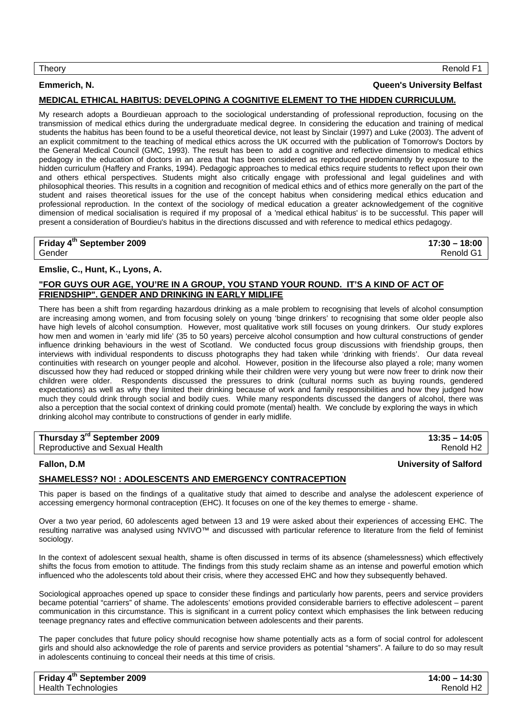### Theory Renold F1

## **Emmerich, N. Queen's University Belfast**

## **MEDICAL ETHICAL HABITUS: DEVELOPING A COGNITIVE ELEMENT TO THE HIDDEN CURRICULUM.**

My research adopts a Bourdieuan approach to the sociological understanding of professional reproduction, focusing on the transmission of medical ethics during the undergraduate medical degree. In considering the education and training of medical students the habitus has been found to be a useful theoretical device, not least by Sinclair (1997) and Luke (2003). The advent of an explicit commitment to the teaching of medical ethics across the UK occurred with the publication of Tomorrow's Doctors by the General Medical Council (GMC, 1993). The result has been to add a cognitive and reflective dimension to medical ethics pedagogy in the education of doctors in an area that has been considered as reproduced predominantly by exposure to the hidden curriculum (Haffery and Franks, 1994). Pedagogic approaches to medical ethics require students to reflect upon their own and others ethical perspectives. Students might also critically engage with professional and legal guidelines and with philosophical theories. This results in a cognition and recognition of medical ethics and of ethics more generally on the part of the student and raises theoretical issues for the use of the concept habitus when considering medical ethics education and professional reproduction. In the context of the sociology of medical education a greater acknowledgement of the cognitive dimension of medical socialisation is required if my proposal of a 'medical ethical habitus' is to be successful. This paper will present a consideration of Bourdieu's habitus in the directions discussed and with reference to medical ethics pedagogy.

## **Friday 4th September 2009 17:30 – 18:00**  Gender Renold G1

## **Emslie, C., Hunt, K., Lyons, A.**

## **"FOR GUYS OUR AGE, YOU'RE IN A GROUP, YOU STAND YOUR ROUND. IT'S A KIND OF ACT OF FRIENDSHIP". GENDER AND DRINKING IN EARLY MIDLIFE**

There has been a shift from regarding hazardous drinking as a male problem to recognising that levels of alcohol consumption are increasing among women, and from focusing solely on young 'binge drinkers' to recognising that some older people also have high levels of alcohol consumption. However, most qualitative work still focuses on young drinkers. Our study explores how men and women in 'early mid life' (35 to 50 years) perceive alcohol consumption and how cultural constructions of gender influence drinking behaviours in the west of Scotland. We conducted focus group discussions with friendship groups, then interviews with individual respondents to discuss photographs they had taken while 'drinking with friends'. Our data reveal continuities with research on younger people and alcohol. However, position in the lifecourse also played a role; many women discussed how they had reduced or stopped drinking while their children were very young but were now freer to drink now their children were older. Respondents discussed the pressures to drink (cultural norms such as buying rounds, gendered expectations) as well as why they limited their drinking because of work and family responsibilities and how they judged how much they could drink through social and bodily cues. While many respondents discussed the dangers of alcohol, there was also a perception that the social context of drinking could promote (mental) health. We conclude by exploring the ways in which drinking alcohol may contribute to constructions of gender in early midlife.

| Thursday 3 <sup>rd</sup> September 2009 | $13:35 - 14:05$       |
|-----------------------------------------|-----------------------|
| Reproductive and Sexual Health          | Renold H <sub>2</sub> |

## **SHAMELESS? NO! : ADOLESCENTS AND EMERGENCY CONTRACEPTION**

This paper is based on the findings of a qualitative study that aimed to describe and analyse the adolescent experience of accessing emergency hormonal contraception (EHC). It focuses on one of the key themes to emerge - shame.

Over a two year period, 60 adolescents aged between 13 and 19 were asked about their experiences of accessing EHC. The resulting narrative was analysed using NVIVO™ and discussed with particular reference to literature from the field of feminist sociology.

In the context of adolescent sexual health, shame is often discussed in terms of its absence (shamelessness) which effectively shifts the focus from emotion to attitude. The findings from this study reclaim shame as an intense and powerful emotion which influenced who the adolescents told about their crisis, where they accessed EHC and how they subsequently behaved.

Sociological approaches opened up space to consider these findings and particularly how parents, peers and service providers became potential "carriers" of shame. The adolescents' emotions provided considerable barriers to effective adolescent – parent communication in this circumstance. This is significant in a current policy context which emphasises the link between reducing teenage pregnancy rates and effective communication between adolescents and their parents.

The paper concludes that future policy should recognise how shame potentially acts as a form of social control for adolescent girls and should also acknowledge the role of parents and service providers as potential "shamers". A failure to do so may result in adolescents continuing to conceal their needs at this time of crisis.

| Friday 4 <sup>th</sup> September 2009 | $14:00 - 14:30$       |
|---------------------------------------|-----------------------|
| Health Technologies                   | Renold H <sub>2</sub> |

## **Fallon, D.M University of Salford**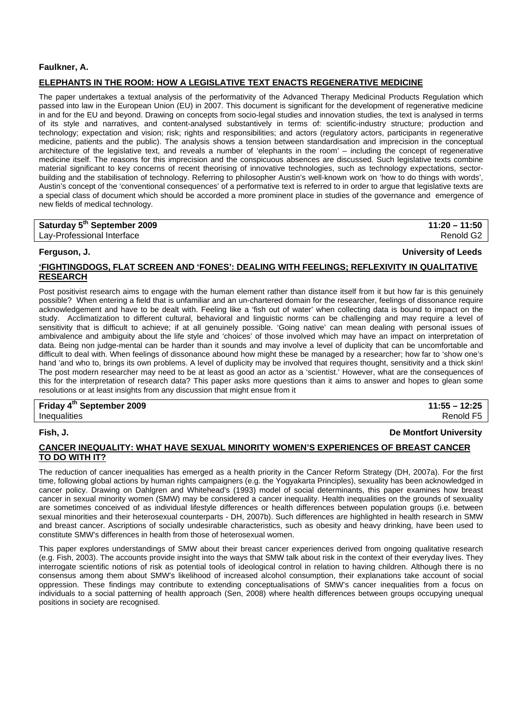## **Faulkner, A.**

## **ELEPHANTS IN THE ROOM: HOW A LEGISLATIVE TEXT ENACTS REGENERATIVE MEDICINE**

The paper undertakes a textual analysis of the performativity of the Advanced Therapy Medicinal Products Regulation which passed into law in the European Union (EU) in 2007. This document is significant for the development of regenerative medicine in and for the EU and beyond. Drawing on concepts from socio-legal studies and innovation studies, the text is analysed in terms of its style and narratives, and content-analysed substantively in terms of: scientific-industry structure; production and technology; expectation and vision; risk; rights and responsibilities; and actors (regulatory actors, participants in regenerative medicine, patients and the public). The analysis shows a tension between standardisation and imprecision in the conceptual architecture of the legislative text, and reveals a number of 'elephants in the room' – including the concept of regenerative medicine itself. The reasons for this imprecision and the conspicuous absences are discussed. Such legislative texts combine material significant to key concerns of recent theorising of innovative technologies, such as technology expectations, sectorbuilding and the stabilisation of technology. Referring to philosopher Austin's well-known work on 'how to do things with words', Austin's concept of the 'conventional consequences' of a performative text is referred to in order to argue that legislative texts are a special class of document which should be accorded a more prominent place in studies of the governance and emergence of new fields of medical technology.

| Saturday 5 <sup>th</sup> September 2009 | $11:20 - 11:50$ |
|-----------------------------------------|-----------------|
| Lav-Professional Interface              | Renold G2       |

**Ferguson, J. University of Leeds**

## **'FIGHTINGDOGS, FLAT SCREEN AND 'FONES': DEALING WITH FEELINGS; REFLEXIVITY IN QUALITATIVE RESEARCH**

Post positivist research aims to engage with the human element rather than distance itself from it but how far is this genuinely possible? When entering a field that is unfamiliar and an un-chartered domain for the researcher, feelings of dissonance require acknowledgement and have to be dealt with. Feeling like a 'fish out of water' when collecting data is bound to impact on the study. Acclimatization to different cultural, behavioral and linguistic norms can be challenging and may require a level of sensitivity that is difficult to achieve; if at all genuinely possible. 'Going native' can mean dealing with personal issues of ambivalence and ambiguity about the life style and 'choices' of those involved which may have an impact on interpretation of data. Being non judge-mental can be harder than it sounds and may involve a level of duplicity that can be uncomfortable and difficult to deal with. When feelings of dissonance abound how might these be managed by a researcher; how far to 'show one's hand 'and who to, brings its own problems. A level of duplicity may be involved that requires thought, sensitivity and a thick skin! The post modern researcher may need to be at least as good an actor as a 'scientist.' However, what are the consequences of this for the interpretation of research data? This paper asks more questions than it aims to answer and hopes to glean some resolutions or at least insights from any discussion that might ensue from it

**Friday 4th September 2009 11:55 – 12:25**  Inequalities Renold F5

## **Fish, J. De Montfort University**

## **CANCER INEQUALITY: WHAT HAVE SEXUAL MINORITY WOMEN'S EXPERIENCES OF BREAST CANCER TO DO WITH IT?**

The reduction of cancer inequalities has emerged as a health priority in the Cancer Reform Strategy (DH, 2007a). For the first time, following global actions by human rights campaigners (e.g. the Yogyakarta Principles), sexuality has been acknowledged in cancer policy. Drawing on Dahlgren and Whitehead's (1993) model of social determinants, this paper examines how breast cancer in sexual minority women (SMW) may be considered a cancer inequality. Health inequalities on the grounds of sexuality are sometimes conceived of as individual lifestyle differences or health differences between population groups (i.e. between sexual minorities and their heterosexual counterparts - DH, 2007b). Such differences are highlighted in health research in SMW and breast cancer. Ascriptions of socially undesirable characteristics, such as obesity and heavy drinking, have been used to constitute SMW's differences in health from those of heterosexual women.

This paper explores understandings of SMW about their breast cancer experiences derived from ongoing qualitative research (e.g. Fish, 2003). The accounts provide insight into the ways that SMW talk about risk in the context of their everyday lives. They interrogate scientific notions of risk as potential tools of ideological control in relation to having children. Although there is no consensus among them about SMW's likelihood of increased alcohol consumption, their explanations take account of social oppression. These findings may contribute to extending conceptualisations of SMW's cancer inequalities from a focus on individuals to a social patterning of health approach (Sen, 2008) where health differences between groups occupying unequal positions in society are recognised.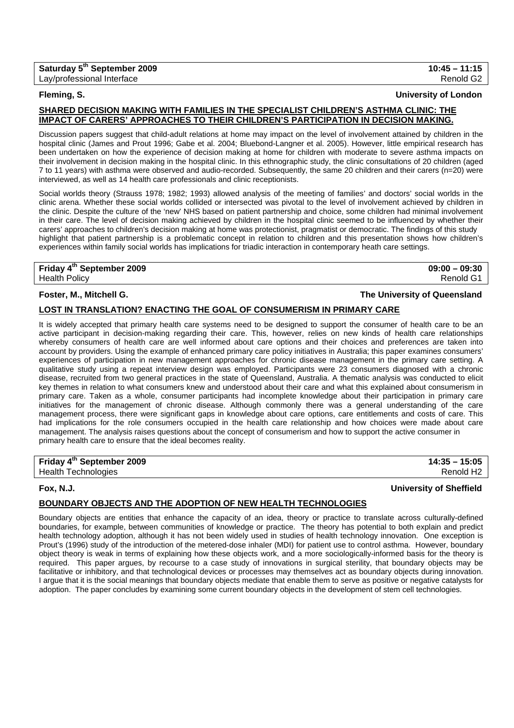## **SHARED DECISION MAKING WITH FAMILIES IN THE SPECIALIST CHILDREN'S ASTHMA CLINIC: THE IMPACT OF CARERS' APPROACHES TO THEIR CHILDREN'S PARTICIPATION IN DECISION MAKING.**

Discussion papers suggest that child-adult relations at home may impact on the level of involvement attained by children in the hospital clinic (James and Prout 1996; Gabe et al. 2004; Bluebond-Langner et al. 2005). However, little empirical research has been undertaken on how the experience of decision making at home for children with moderate to severe asthma impacts on their involvement in decision making in the hospital clinic. In this ethnographic study, the clinic consultations of 20 children (aged 7 to 11 years) with asthma were observed and audio-recorded. Subsequently, the same 20 children and their carers (n=20) were interviewed, as well as 14 health care professionals and clinic receptionists.

Social worlds theory (Strauss 1978; 1982; 1993) allowed analysis of the meeting of families' and doctors' social worlds in the clinic arena. Whether these social worlds collided or intersected was pivotal to the level of involvement achieved by children in the clinic. Despite the culture of the 'new' NHS based on patient partnership and choice, some children had minimal involvement in their care. The level of decision making achieved by children in the hospital clinic seemed to be influenced by whether their carers' approaches to children's decision making at home was protectionist, pragmatist or democratic. The findings of this study highlight that patient partnership is a problematic concept in relation to children and this presentation shows how children's experiences within family social worlds has implications for triadic interaction in contemporary heath care settings.

**Friday 4th September 2009 09:00 – 09:30**  Health Policy Renold G1

### **Foster, M., Mitchell G. The University of Queensland**

### **LOST IN TRANSLATION? ENACTING THE GOAL OF CONSUMERISM IN PRIMARY CARE**

It is widely accepted that primary health care systems need to be designed to support the consumer of health care to be an active participant in decision-making regarding their care. This, however, relies on new kinds of health care relationships whereby consumers of health care are well informed about care options and their choices and preferences are taken into account by providers. Using the example of enhanced primary care policy initiatives in Australia; this paper examines consumers' experiences of participation in new management approaches for chronic disease management in the primary care setting. A qualitative study using a repeat interview design was employed. Participants were 23 consumers diagnosed with a chronic disease, recruited from two general practices in the state of Queensland, Australia. A thematic analysis was conducted to elicit key themes in relation to what consumers knew and understood about their care and what this explained about consumerism in primary care. Taken as a whole, consumer participants had incomplete knowledge about their participation in primary care initiatives for the management of chronic disease. Although commonly there was a general understanding of the care management process, there were significant gaps in knowledge about care options, care entitlements and costs of care. This had implications for the role consumers occupied in the health care relationship and how choices were made about care management. The analysis raises questions about the concept of consumerism and how to support the active consumer in primary health care to ensure that the ideal becomes reality.

**Friday 4th September 2009 14:35 – 15:05**  Health Technologies **Renold H2** 

## **Fox, N.J. University of Sheffield**

## **BOUNDARY OBJECTS AND THE ADOPTION OF NEW HEALTH TECHNOLOGIES**

Boundary objects are entities that enhance the capacity of an idea, theory or practice to translate across culturally-defined boundaries, for example, between communities of knowledge or practice. The theory has potential to both explain and predict health technology adoption, although it has not been widely used in studies of health technology innovation. One exception is Prout's (1996) study of the introduction of the metered-dose inhaler (MDI) for patient use to control asthma. However, boundary object theory is weak in terms of explaining how these objects work, and a more sociologically-informed basis for the theory is required. This paper argues, by recourse to a case study of innovations in surgical sterility, that boundary objects may be facilitative or inhibitory, and that technological devices or processes may themselves act as boundary objects during innovation. I argue that it is the social meanings that boundary objects mediate that enable them to serve as positive or negative catalysts for adoption. The paper concludes by examining some current boundary objects in the development of stem cell technologies.

## **Fleming, S. University of London**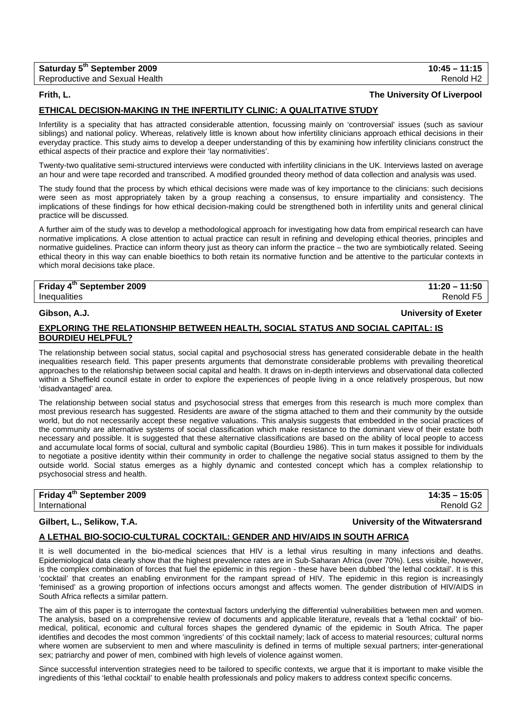| Saturday 5 <sup>th</sup> September 2009 | $10:45 - 11:15$       |
|-----------------------------------------|-----------------------|
| Reproductive and Sexual Health          | Renold H <sub>2</sub> |

### **Frith, L. The University Of Liverpool**

## **ETHICAL DECISION-MAKING IN THE INFERTILITY CLINIC: A QUALITATIVE STUDY**

Infertility is a speciality that has attracted considerable attention, focussing mainly on 'controversial' issues (such as saviour siblings) and national policy. Whereas, relatively little is known about how infertility clinicians approach ethical decisions in their everyday practice. This study aims to develop a deeper understanding of this by examining how infertility clinicians construct the ethical aspects of their practice and explore their 'lay normativities'.

Twenty-two qualitative semi-structured interviews were conducted with infertility clinicians in the UK. Interviews lasted on average an hour and were tape recorded and transcribed. A modified grounded theory method of data collection and analysis was used.

The study found that the process by which ethical decisions were made was of key importance to the clinicians: such decisions were seen as most appropriately taken by a group reaching a consensus, to ensure impartiality and consistency. The implications of these findings for how ethical decision-making could be strengthened both in infertility units and general clinical practice will be discussed.

A further aim of the study was to develop a methodological approach for investigating how data from empirical research can have normative implications. A close attention to actual practice can result in refining and developing ethical theories, principles and normative guidelines. Practice can inform theory just as theory can inform the practice – the two are symbiotically related. Seeing ethical theory in this way can enable bioethics to both retain its normative function and be attentive to the particular contexts in which moral decisions take place.

## **Friday 4th September 2009 11:20 – 11:50**  Inequalities Renold F5

## **Gibson, A.J. University of Exeter**

## **EXPLORING THE RELATIONSHIP BETWEEN HEALTH, SOCIAL STATUS AND SOCIAL CAPITAL: IS BOURDIEU HELPFUL?**

The relationship between social status, social capital and psychosocial stress has generated considerable debate in the health inequalities research field. This paper presents arguments that demonstrate considerable problems with prevailing theoretical approaches to the relationship between social capital and health. It draws on in-depth interviews and observational data collected within a Sheffield council estate in order to explore the experiences of people living in a once relatively prosperous, but now 'disadvantaged' area.

The relationship between social status and psychosocial stress that emerges from this research is much more complex than most previous research has suggested. Residents are aware of the stigma attached to them and their community by the outside world, but do not necessarily accept these negative valuations. This analysis suggests that embedded in the social practices of the community are alternative systems of social classification which make resistance to the dominant view of their estate both necessary and possible. It is suggested that these alternative classifications are based on the ability of local people to access and accumulate local forms of social, cultural and symbolic capital (Bourdieu 1986). This in turn makes it possible for individuals to negotiate a positive identity within their community in order to challenge the negative social status assigned to them by the outside world. Social status emerges as a highly dynamic and contested concept which has a complex relationship to psychosocial stress and health.

| Friday 4 <sup>th</sup> September 2009 | $14:35 - 15:05$       |
|---------------------------------------|-----------------------|
| International                         | Renold G <sub>2</sub> |

### **Gilbert, L., Selikow, T.A. University of the Witwatersrand**

### **A LETHAL BIO-SOCIO-CULTURAL COCKTAIL: GENDER AND HIV/AIDS IN SOUTH AFRICA**

It is well documented in the bio-medical sciences that HIV is a lethal virus resulting in many infections and deaths. Epidemiological data clearly show that the highest prevalence rates are in Sub-Saharan Africa (over 70%). Less visible, however, is the complex combination of forces that fuel the epidemic in this region - these have been dubbed 'the lethal cocktail'. It is this 'cocktail' that creates an enabling environment for the rampant spread of HIV. The epidemic in this region is increasingly 'feminised' as a growing proportion of infections occurs amongst and affects women. The gender distribution of HIV/AIDS in South Africa reflects a similar pattern.

The aim of this paper is to interrogate the contextual factors underlying the differential vulnerabilities between men and women. The analysis, based on a comprehensive review of documents and applicable literature, reveals that a 'lethal cocktail' of biomedical, political, economic and cultural forces shapes the gendered dynamic of the epidemic in South Africa. The paper identifies and decodes the most common 'ingredients' of this cocktail namely; lack of access to material resources; cultural norms where women are subservient to men and where masculinity is defined in terms of multiple sexual partners; inter-generational sex; patriarchy and power of men, combined with high levels of violence against women.

Since successful intervention strategies need to be tailored to specific contexts, we argue that it is important to make visible the ingredients of this 'lethal cocktail' to enable health professionals and policy makers to address context specific concerns.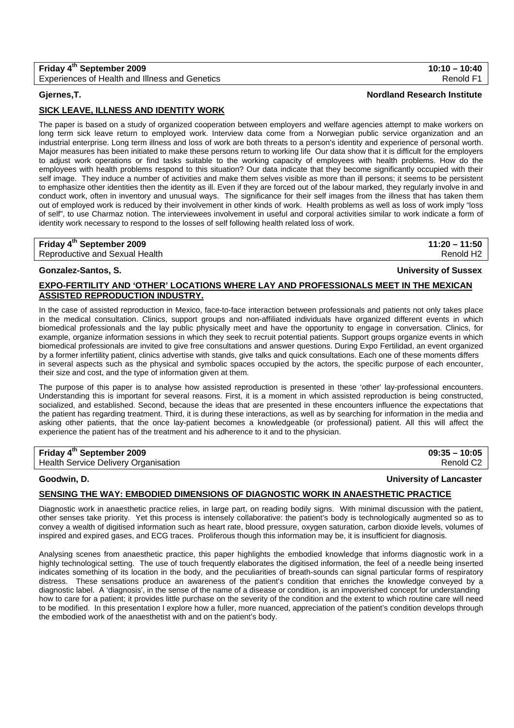## **Fridav 4<sup>th</sup> September 2009** 10:10 – 10:40 Experiences of Health and Illness and Genetics **Renold F1** and Renold F1

## **Gjernes,T. Nordland Research Institute**

## **SICK LEAVE, ILLNESS AND IDENTITY WORK**

The paper is based on a study of organized cooperation between employers and welfare agencies attempt to make workers on long term sick leave return to employed work. Interview data come from a Norwegian public service organization and an industrial enterprise. Long term illness and loss of work are both threats to a person's identity and experience of personal worth. Major measures has been initiated to make these persons return to working life Our data show that it is difficult for the employers to adjust work operations or find tasks suitable to the working capacity of employees with health problems. How do the employees with health problems respond to this situation? Our data indicate that they become significantly occupied with their self image. They induce a number of activities and make them selves visible as more than ill persons; it seems to be persistent to emphasize other identities then the identity as ill. Even if they are forced out of the labour marked, they regularly involve in and conduct work, often in inventory and unusual ways. The significance for their self images from the illness that has taken them out of employed work is reduced by their involvement in other kinds of work. Health problems as well as loss of work imply "loss of self", to use Charmaz notion. The interviewees involvement in useful and corporal activities similar to work indicate a form of identity work necessary to respond to the losses of self following health related loss of work.

| Friday 4 <sup>th</sup> September 2009 | $11:20 - 11:50$       |
|---------------------------------------|-----------------------|
| Reproductive and Sexual Health        | Renold H <sub>2</sub> |

### **Gonzalez-Santos, S. University of Sussex**

## **EXPO-FERTILITY AND 'OTHER' LOCATIONS WHERE LAY AND PROFESSIONALS MEET IN THE MEXICAN ASSISTED REPRODUCTION INDUSTRY.**

In the case of assisted reproduction in Mexico, face-to-face interaction between professionals and patients not only takes place in the medical consultation. Clinics, support groups and non-affiliated individuals have organized different events in which biomedical professionals and the lay public physically meet and have the opportunity to engage in conversation. Clinics, for example, organize information sessions in which they seek to recruit potential patients. Support groups organize events in which biomedical professionals are invited to give free consultations and answer questions. During Expo Fertilidad, an event organized by a former infertility patient, clinics advertise with stands, give talks and quick consultations. Each one of these moments differs in several aspects such as the physical and symbolic spaces occupied by the actors, the specific purpose of each encounter, their size and cost, and the type of information given at them.

The purpose of this paper is to analyse how assisted reproduction is presented in these 'other' lay-professional encounters. Understanding this is important for several reasons. First, it is a moment in which assisted reproduction is being constructed, socialized, and established. Second, because the ideas that are presented in these encounters influence the expectations that the patient has regarding treatment. Third, it is during these interactions, as well as by searching for information in the media and asking other patients, that the once lay-patient becomes a knowledgeable (or professional) patient. All this will affect the experience the patient has of the treatment and his adherence to it and to the physician.

| Friday 4 <sup>th</sup> September 2009       | $09:35 - 10:05$       |
|---------------------------------------------|-----------------------|
| <b>Health Service Delivery Organisation</b> | Renold C <sub>2</sub> |

## **Goodwin, D. University of Lancaster**

## **SENSING THE WAY: EMBODIED DIMENSIONS OF DIAGNOSTIC WORK IN ANAESTHETIC PRACTICE**

Diagnostic work in anaesthetic practice relies, in large part, on reading bodily signs. With minimal discussion with the patient, other senses take priority. Yet this process is intensely collaborative: the patient's body is technologically augmented so as to convey a wealth of digitised information such as heart rate, blood pressure, oxygen saturation, carbon dioxide levels, volumes of inspired and expired gases, and ECG traces. Proliferous though this information may be, it is insufficient for diagnosis.

Analysing scenes from anaesthetic practice, this paper highlights the embodied knowledge that informs diagnostic work in a highly technological setting. The use of touch frequently elaborates the digitised information, the feel of a needle being inserted indicates something of its location in the body, and the peculiarities of breath-sounds can signal particular forms of respiratory distress. These sensations produce an awareness of the patient's condition that enriches the knowledge conveyed by a diagnostic label. A 'diagnosis', in the sense of the name of a disease or condition, is an impoverished concept for understanding how to care for a patient; it provides little purchase on the severity of the condition and the extent to which routine care will need to be modified. In this presentation I explore how a fuller, more nuanced, appreciation of the patient's condition develops through the embodied work of the anaesthetist with and on the patient's body.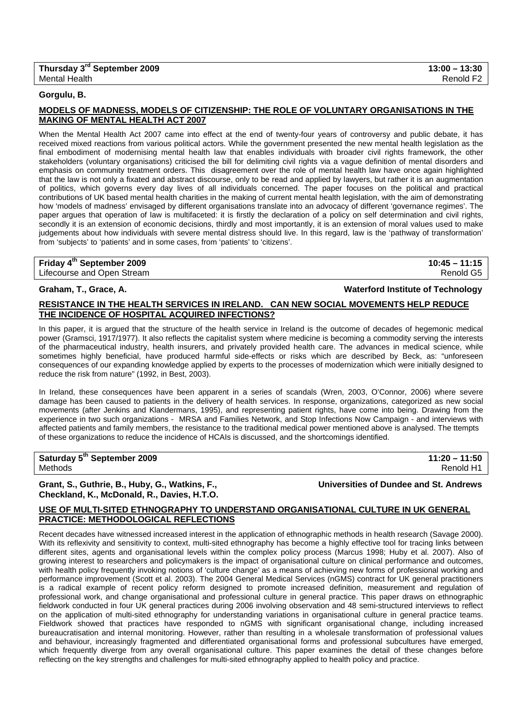| Thursday 3 <sup>rd</sup> September 2009 | $13:00 - 13:30$       |
|-----------------------------------------|-----------------------|
| <b>Mental Health</b>                    | Renold F <sub>2</sub> |

### **Gorgulu, B.**

## **MODELS OF MADNESS, MODELS OF CITIZENSHIP: THE ROLE OF VOLUNTARY ORGANISATIONS IN THE MAKING OF MENTAL HEALTH ACT 2007**

When the Mental Health Act 2007 came into effect at the end of twenty-four years of controversy and public debate, it has received mixed reactions from various political actors. While the government presented the new mental health legislation as the final embodiment of modernising mental health law that enables individuals with broader civil rights framework, the other stakeholders (voluntary organisations) criticised the bill for delimiting civil rights via a vague definition of mental disorders and emphasis on community treatment orders. This disagreement over the role of mental health law have once again highlighted that the law is not only a fixated and abstract discourse, only to be read and applied by lawyers, but rather it is an augmentation of politics, which governs every day lives of all individuals concerned. The paper focuses on the political and practical contributions of UK based mental health charities in the making of current mental health legislation, with the aim of demonstrating how 'models of madness' envisaged by different organisations translate into an advocacy of different 'governance regimes'. The paper argues that operation of law is multifaceted: it is firstly the declaration of a policy on self determination and civil rights, secondly it is an extension of economic decisions, thirdly and most importantly, it is an extension of moral values used to make judgements about how individuals with severe mental distress should live. In this regard, law is the 'pathway of transformation' from 'subjects' to 'patients' and in some cases, from 'patients' to 'citizens'.

## **Friday 4th September 2009 10:45 – 11:15**

Lifecourse and Open Stream **Renold G5** and C<sub>5</sub> and C<sub>5</sub> and C<sub>5</sub> and C<sub>5</sub> and C<sub>5</sub> and C<sub>5</sub> and C<sub>5</sub> and C<sub>5</sub> and C<sub>5</sub> and C<sub>5</sub> and C<sub>5</sub> and C<sub>5</sub> and C<sub>5</sub> and C<sub>5</sub> and C<sub>5</sub> and C<sub>5</sub> and C<sub>5</sub> and C<sub>5</sub> and C<sub>5</sub> and C<sub>5</sub> and

### **Graham, T., Grace, A. Waterford Institute of Technology**

## **RESISTANCE IN THE HEALTH SERVICES IN IRELAND. CAN NEW SOCIAL MOVEMENTS HELP REDUCE THE INCIDENCE OF HOSPITAL ACQUIRED INFECTIONS?**

In this paper, it is argued that the structure of the health service in Ireland is the outcome of decades of hegemonic medical power (Gramsci, 1917/1977). It also reflects the capitalist system where medicine is becoming a commodity serving the interests of the pharmaceutical industry, health insurers, and privately provided health care. The advances in medical science, while sometimes highly beneficial, have produced harmful side-effects or risks which are described by Beck, as: "unforeseen consequences of our expanding knowledge applied by experts to the processes of modernization which were initially designed to reduce the risk from nature" (1992, in Best, 2003).

In Ireland, these consequences have been apparent in a series of scandals (Wren, 2003, O'Connor, 2006) where severe damage has been caused to patients in the delivery of health services. In response, organizations, categorized as new social movements (after Jenkins and Klandermans, 1995), and representing patient rights, have come into being. Drawing from the experience in two such organizations - MRSA and Families Network, and Stop Infections Now Campaign - and interviews with affected patients and family members, the resistance to the traditional medical power mentioned above is analysed. The ttempts of these organizations to reduce the incidence of HCAIs is discussed, and the shortcomings identified.

## **Saturday 5th September 2009 11:20 – 11:50**

Methods Renold H1

## **Grant, S., Guthrie, B., Huby, G., Watkins, F., Universities of Dundee and St. Andrews Checkland, K., McDonald, R., Davies, H.T.O.**

## **USE OF MULTI-SITED ETHNOGRAPHY TO UNDERSTAND ORGANISATIONAL CULTURE IN UK GENERAL PRACTICE: METHODOLOGICAL REFLECTIONS**

Recent decades have witnessed increased interest in the application of ethnographic methods in health research (Savage 2000). With its reflexivity and sensitivity to context, multi-sited ethnography has become a highly effective tool for tracing links between different sites, agents and organisational levels within the complex policy process (Marcus 1998; Huby et al. 2007). Also of growing interest to researchers and policymakers is the impact of organisational culture on clinical performance and outcomes, with health policy frequently invoking notions of 'culture change' as a means of achieving new forms of professional working and performance improvement (Scott et al. 2003). The 2004 General Medical Services (nGMS) contract for UK general practitioners is a radical example of recent policy reform designed to promote increased definition, measurement and regulation of professional work, and change organisational and professional culture in general practice. This paper draws on ethnographic fieldwork conducted in four UK general practices during 2006 involving observation and 48 semi-structured interviews to reflect on the application of multi-sited ethnography for understanding variations in organisational culture in general practice teams. Fieldwork showed that practices have responded to nGMS with significant organisational change, including increased bureaucratisation and internal monitoring. However, rather than resulting in a wholesale transformation of professional values and behaviour, increasingly fragmented and differentiated organisational forms and professional subcultures have emerged, which frequently diverge from any overall organisational culture. This paper examines the detail of these changes before reflecting on the key strengths and challenges for multi-sited ethnography applied to health policy and practice.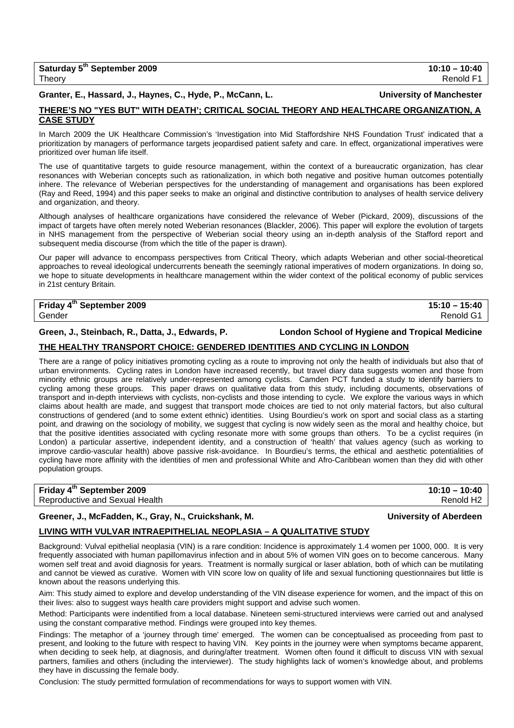## Granter, E., Hassard, J., Haynes, C., Hyde, P., McCann, L. **Network and Manchester and American** University of Manchester

## **THERE'S NO "YES BUT" WITH DEATH'; CRITICAL SOCIAL THEORY AND HEALTHCARE ORGANIZATION, A CASE STUDY**

In March 2009 the UK Healthcare Commission's 'Investigation into Mid Staffordshire NHS Foundation Trust' indicated that a prioritization by managers of performance targets jeopardised patient safety and care. In effect, organizational imperatives were prioritized over human life itself.

The use of quantitative targets to guide resource management, within the context of a bureaucratic organization, has clear resonances with Weberian concepts such as rationalization, in which both negative and positive human outcomes potentially inhere. The relevance of Weberian perspectives for the understanding of management and organisations has been explored (Ray and Reed, 1994) and this paper seeks to make an original and distinctive contribution to analyses of health service delivery and organization, and theory.

Although analyses of healthcare organizations have considered the relevance of Weber (Pickard, 2009), discussions of the impact of targets have often merely noted Weberian resonances (Blackler, 2006). This paper will explore the evolution of targets in NHS management from the perspective of Weberian social theory using an in-depth analysis of the Stafford report and subsequent media discourse (from which the title of the paper is drawn).

Our paper will advance to encompass perspectives from Critical Theory, which adapts Weberian and other social-theoretical approaches to reveal ideological undercurrents beneath the seemingly rational imperatives of modern organizations. In doing so, we hope to situate developments in healthcare management within the wider context of the political economy of public services in 21st century Britain.

## **Friday 4th September 2009 15:10 – 15:40**

Gender Renold G1

**Green, J., Steinbach, R., Datta, J., Edwards, P. London School of Hygiene and Tropical Medicine**

## **THE HEALTHY TRANSPORT CHOICE: GENDERED IDENTITIES AND CYCLING IN LONDON**

There are a range of policy initiatives promoting cycling as a route to improving not only the health of individuals but also that of urban environments. Cycling rates in London have increased recently, but travel diary data suggests women and those from minority ethnic groups are relatively under-represented among cyclists. Camden PCT funded a study to identify barriers to cycling among these groups. This paper draws on qualitative data from this study, including documents, observations of transport and in-depth interviews with cyclists, non-cyclists and those intending to cycle. We explore the various ways in which claims about health are made, and suggest that transport mode choices are tied to not only material factors, but also cultural constructions of gendered (and to some extent ethnic) identities. Using Bourdieu's work on sport and social class as a starting point, and drawing on the sociology of mobility, we suggest that cycling is now widely seen as the moral and healthy choice, but that the positive identities associated with cycling resonate more with some groups than others. To be a cyclist requires (in London) a particular assertive, independent identity, and a construction of 'health' that values agency (such as working to improve cardio-vascular health) above passive risk-avoidance. In Bourdieu's terms, the ethical and aesthetic potentialities of cycling have more affinity with the identities of men and professional White and Afro-Caribbean women than they did with other population groups.

| Friday 4 <sup>th</sup> September 2009 | $10:10 - 10:40$       |
|---------------------------------------|-----------------------|
| Reproductive and Sexual Health        | Renold H <sub>2</sub> |

## **Greener, J., McFadden, K., Gray, N., Cruickshank, M. University of Aberdeen**

## **LIVING WITH VULVAR INTRAEPITHELIAL NEOPLASIA – A QUALITATIVE STUDY**

Background: Vulval epithelial neoplasia (VIN) is a rare condition: Incidence is approximately 1.4 women per 1000, 000. It is very frequently associated with human papillomavirus infection and in about 5% of women VIN goes on to become cancerous. Many women self treat and avoid diagnosis for years. Treatment is normally surgical or laser ablation, both of which can be mutilating and cannot be viewed as curative. Women with VIN score low on quality of life and sexual functioning questionnaires but little is known about the reasons underlying this.

Aim: This study aimed to explore and develop understanding of the VIN disease experience for women, and the impact of this on their lives: also to suggest ways health care providers might support and advise such women.

Method: Participants were indentified from a local database. Nineteen semi-structured interviews were carried out and analysed using the constant comparative method. Findings were grouped into key themes.

Findings: The metaphor of a 'journey through time' emerged. The women can be conceptualised as proceeding from past to present, and looking to the future with respect to having VIN. Key points in the journey were when symptoms became apparent, when deciding to seek help, at diagnosis, and during/after treatment. Women often found it difficult to discuss VIN with sexual partners, families and others (including the interviewer). The study highlights lack of women's knowledge about, and problems they have in discussing the female body.

Conclusion: The study permitted formulation of recommendations for ways to support women with VIN.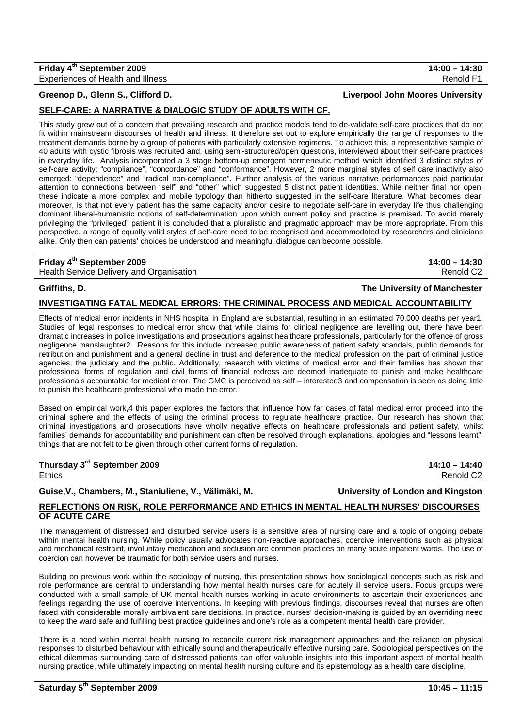**Friday 4th September 2009 14:00 – 14:30**  Experiences of Health and Illness Renold F1 and The Renold F1 and The Renold F1 and The Renold F1

## **SELF-CARE: A NARRATIVE & DIALOGIC STUDY OF ADULTS WITH CF.**

This study grew out of a concern that prevailing research and practice models tend to de-validate self-care practices that do not fit within mainstream discourses of health and illness. It therefore set out to explore empirically the range of responses to the treatment demands borne by a group of patients with particularly extensive regimens. To achieve this, a representative sample of 40 adults with cystic fibrosis was recruited and, using semi-structured/open questions, interviewed about their self-care practices in everyday life. Analysis incorporated a 3 stage bottom-up emergent hermeneutic method which identified 3 distinct styles of self-care activity: "compliance", "concordance" and "conformance". However, 2 more marginal styles of self care inactivity also emerged: "dependence" and "radical non-compliance". Further analysis of the various narrative performances paid particular attention to connections between "self" and "other" which suggested 5 distinct patient identities. While neither final nor open, these indicate a more complex and mobile typology than hitherto suggested in the self-care literature. What becomes clear, moreover, is that not every patient has the same capacity and/or desire to negotiate self-care in everyday life thus challenging dominant liberal-humanistic notions of self-determination upon which current policy and practice is premised. To avoid merely privileging the "privileged" patient it is concluded that a pluralistic and pragmatic approach may be more appropriate. From this perspective, a range of equally valid styles of self-care need to be recognised and accommodated by researchers and clinicians alike. Only then can patients' choices be understood and meaningful dialogue can become possible.

## **Friday 4th September 2009 14:00 – 14:30**

Health Service Delivery and Organisation **Renold C2 Renold C2** 

### **Griffiths, D. The University of Manchester**

### **INVESTIGATING FATAL MEDICAL ERRORS: THE CRIMINAL PROCESS AND MEDICAL ACCOUNTABILITY**

Effects of medical error incidents in NHS hospital in England are substantial, resulting in an estimated 70,000 deaths per year1. Studies of legal responses to medical error show that while claims for clinical negligence are levelling out, there have been dramatic increases in police investigations and prosecutions against healthcare professionals, particularly for the offence of gross negligence manslaughter2. Reasons for this include increased public awareness of patient safety scandals, public demands for retribution and punishment and a general decline in trust and deference to the medical profession on the part of criminal justice agencies, the judiciary and the public. Additionally, research with victims of medical error and their families has shown that professional forms of regulation and civil forms of financial redress are deemed inadequate to punish and make healthcare professionals accountable for medical error. The GMC is perceived as self – interested3 and compensation is seen as doing little to punish the healthcare professional who made the error.

Based on empirical work,4 this paper explores the factors that influence how far cases of fatal medical error proceed into the criminal sphere and the effects of using the criminal process to regulate healthcare practice. Our research has shown that criminal investigations and prosecutions have wholly negative effects on healthcare professionals and patient safety, whilst families' demands for accountability and punishment can often be resolved through explanations, apologies and "lessons learnt", things that are not felt to be given through other current forms of regulation.

**Thursday 3rd September 2009 14:10 – 14:40**  Ethics Renold C2

**Guise,V., Chambers, M., Staniuliene, V., Välimäki, M. University of London and Kingston** 

## **REFLECTIONS ON RISK, ROLE PERFORMANCE AND ETHICS IN MENTAL HEALTH NURSES' DISCOURSES OF ACUTE CARE**

The management of distressed and disturbed service users is a sensitive area of nursing care and a topic of ongoing debate within mental health nursing. While policy usually advocates non-reactive approaches, coercive interventions such as physical and mechanical restraint, involuntary medication and seclusion are common practices on many acute inpatient wards. The use of coercion can however be traumatic for both service users and nurses.

Building on previous work within the sociology of nursing, this presentation shows how sociological concepts such as risk and role performance are central to understanding how mental health nurses care for acutely ill service users. Focus groups were conducted with a small sample of UK mental health nurses working in acute environments to ascertain their experiences and feelings regarding the use of coercive interventions. In keeping with previous findings, discourses reveal that nurses are often faced with considerable morally ambivalent care decisions. In practice, nurses' decision-making is guided by an overriding need to keep the ward safe and fulfilling best practice guidelines and one's role as a competent mental health care provider.

There is a need within mental health nursing to reconcile current risk management approaches and the reliance on physical responses to disturbed behaviour with ethically sound and therapeutically effective nursing care. Sociological perspectives on the ethical dilemmas surrounding care of distressed patients can offer valuable insights into this important aspect of mental health nursing practice, while ultimately impacting on mental health nursing culture and its epistemology as a health care discipline.

**Greenop D., Glenn S., Clifford D. Liverpool John Moores University**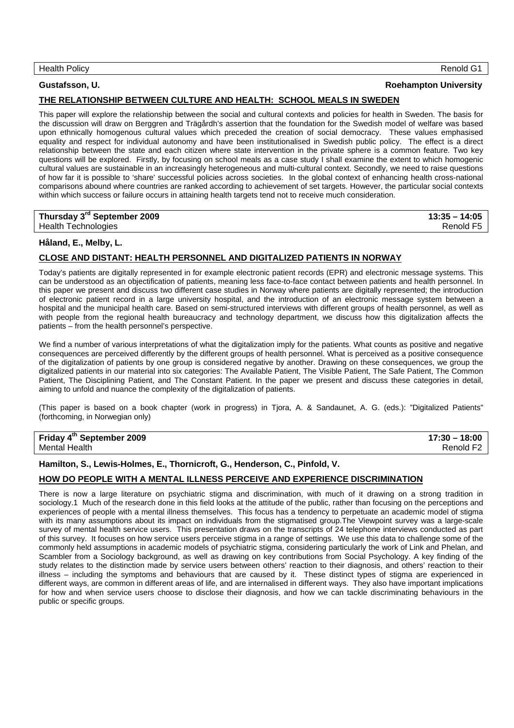## **Gustafsson, U. Roehampton University**

## **THE RELATIONSHIP BETWEEN CULTURE AND HEALTH: SCHOOL MEALS IN SWEDEN**

This paper will explore the relationship between the social and cultural contexts and policies for health in Sweden. The basis for the discussion will draw on Berggren and Trägårdh's assertion that the foundation for the Swedish model of welfare was based upon ethnically homogenous cultural values which preceded the creation of social democracy. These values emphasised equality and respect for individual autonomy and have been institutionalised in Swedish public policy. The effect is a direct relationship between the state and each citizen where state intervention in the private sphere is a common feature. Two key questions will be explored. Firstly, by focusing on school meals as a case study I shall examine the extent to which homogenic cultural values are sustainable in an increasingly heterogeneous and multi-cultural context. Secondly, we need to raise questions of how far it is possible to 'share' successful policies across societies. In the global context of enhancing health cross-national comparisons abound where countries are ranked according to achievement of set targets. However, the particular social contexts within which success or failure occurs in attaining health targets tend not to receive much consideration.

## **Thursday 3rd September 2009 13:35 – 14:05**

Health Technologies Renold F5

## **Håland, E., Melby, L.**

## **CLOSE AND DISTANT: HEALTH PERSONNEL AND DIGITALIZED PATIENTS IN NORWAY**

Today's patients are digitally represented in for example electronic patient records (EPR) and electronic message systems. This can be understood as an objectification of patients, meaning less face-to-face contact between patients and health personnel. In this paper we present and discuss two different case studies in Norway where patients are digitally represented; the introduction of electronic patient record in a large university hospital, and the introduction of an electronic message system between a hospital and the municipal health care. Based on semi-structured interviews with different groups of health personnel, as well as with people from the regional health bureaucracy and technology department, we discuss how this digitalization affects the patients – from the health personnel's perspective.

We find a number of various interpretations of what the digitalization imply for the patients. What counts as positive and negative consequences are perceived differently by the different groups of health personnel. What is perceived as a positive consequence of the digitalization of patients by one group is considered negative by another. Drawing on these consequences, we group the digitalized patients in our material into six categories: The Available Patient, The Visible Patient, The Safe Patient, The Common Patient, The Disciplining Patient, and The Constant Patient. In the paper we present and discuss these categories in detail, aiming to unfold and nuance the complexity of the digitalization of patients.

(This paper is based on a book chapter (work in progress) in Tjora, A. & Sandaunet, A. G. (eds.): "Digitalized Patients" (forthcoming, in Norwegian only)

**Friday 4th September 2009 17:30 – 18:00**  Mental Health **Renold F2** 

## **Hamilton, S., Lewis-Holmes, E., Thornicroft, G., Henderson, C., Pinfold, V.**

## **HOW DO PEOPLE WITH A MENTAL ILLNESS PERCEIVE AND EXPERIENCE DISCRIMINATION**

There is now a large literature on psychiatric stigma and discrimination, with much of it drawing on a strong tradition in sociology.1 Much of the research done in this field looks at the attitude of the public, rather than focusing on the perceptions and experiences of people with a mental illness themselves. This focus has a tendency to perpetuate an academic model of stigma with its many assumptions about its impact on individuals from the stigmatised group.The Viewpoint survey was a large-scale survey of mental health service users. This presentation draws on the transcripts of 24 telephone interviews conducted as part of this survey. It focuses on how service users perceive stigma in a range of settings. We use this data to challenge some of the commonly held assumptions in academic models of psychiatric stigma, considering particularly the work of Link and Phelan, and Scambler from a Sociology background, as well as drawing on key contributions from Social Psychology. A key finding of the study relates to the distinction made by service users between others' reaction to their diagnosis, and others' reaction to their illness – including the symptoms and behaviours that are caused by it. These distinct types of stigma are experienced in different ways, are common in different areas of life, and are internalised in different ways. They also have important implications for how and when service users choose to disclose their diagnosis, and how we can tackle discriminating behaviours in the public or specific groups.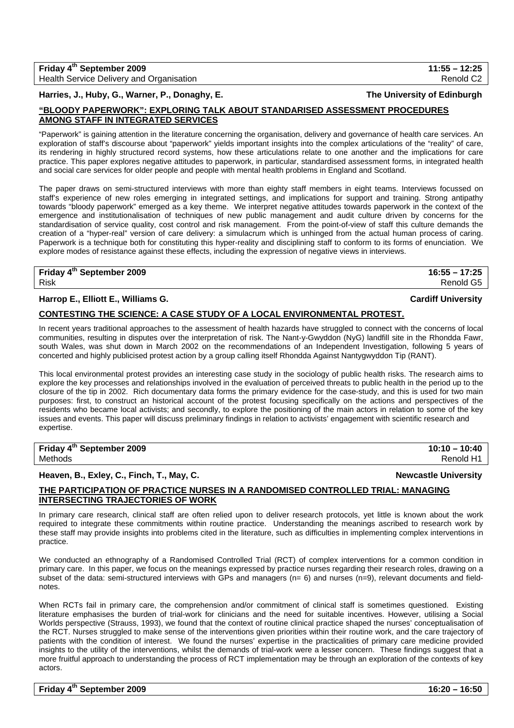## **Friday 4th September 2009 11:55 – 12:25**  Health Service Delivery and Organisation **Renold C2 Renold C2**

**Harries, J., Huby, G., Warner, P., Donaghy, E. The University of Edinburgh**

## **"BLOODY PAPERWORK": EXPLORING TALK ABOUT STANDARISED ASSESSMENT PROCEDURES AMONG STAFF IN INTEGRATED SERVICES**

"Paperwork" is gaining attention in the literature concerning the organisation, delivery and governance of health care services. An exploration of staff's discourse about "paperwork" yields important insights into the complex articulations of the "reality" of care, its rendering in highly structured record systems, how these articulations relate to one another and the implications for care practice. This paper explores negative attitudes to paperwork, in particular, standardised assessment forms, in integrated health and social care services for older people and people with mental health problems in England and Scotland.

The paper draws on semi-structured interviews with more than eighty staff members in eight teams. Interviews focussed on staff's experience of new roles emerging in integrated settings, and implications for support and training. Strong antipathy towards "bloody paperwork" emerged as a key theme. We interpret negative attitudes towards paperwork in the context of the emergence and institutionalisation of techniques of new public management and audit culture driven by concerns for the standardisation of service quality, cost control and risk management. From the point-of-view of staff this culture demands the creation of a "hyper-real" version of care delivery: a simulacrum which is unhinged from the actual human process of caring. Paperwork is a technique both for constituting this hyper-reality and disciplining staff to conform to its forms of enunciation. We explore modes of resistance against these effects, including the expression of negative views in interviews.

**Friday 4th September 2009 16:55 – 17:25**  Risk Renold G5

## **Harrop E., Elliott E., Williams G. Cardiff University**

## **CONTESTING THE SCIENCE: A CASE STUDY OF A LOCAL ENVIRONMENTAL PROTEST.**

In recent years traditional approaches to the assessment of health hazards have struggled to connect with the concerns of local communities, resulting in disputes over the interpretation of risk. The Nant-y-Gwyddon (NyG) landfill site in the Rhondda Fawr, south Wales, was shut down in March 2002 on the recommendations of an Independent Investigation, following 5 years of concerted and highly publicised protest action by a group calling itself Rhondda Against Nantygwyddon Tip (RANT).

This local environmental protest provides an interesting case study in the sociology of public health risks. The research aims to explore the key processes and relationships involved in the evaluation of perceived threats to public health in the period up to the closure of the tip in 2002. Rich documentary data forms the primary evidence for the case-study, and this is used for two main purposes: first, to construct an historical account of the protest focusing specifically on the actions and perspectives of the residents who became local activists; and secondly, to explore the positioning of the main actors in relation to some of the key issues and events. This paper will discuss preliminary findings in relation to activists' engagement with scientific research and expertise.

| Friday 4 <sup>th</sup> September 2009 | $10:10 - 10:40$ |
|---------------------------------------|-----------------|
| Methods                               | Renold H1       |

## **Heaven, B., Exley, C., Finch, T., May, C. Newcastle University**

## **THE PARTICIPATION OF PRACTICE NURSES IN A RANDOMISED CONTROLLED TRIAL: MANAGING INTERSECTING TRAJECTORIES OF WORK**

In primary care research, clinical staff are often relied upon to deliver research protocols, yet little is known about the work required to integrate these commitments within routine practice. Understanding the meanings ascribed to research work by these staff may provide insights into problems cited in the literature, such as difficulties in implementing complex interventions in practice.

We conducted an ethnography of a Randomised Controlled Trial (RCT) of complex interventions for a common condition in primary care. In this paper, we focus on the meanings expressed by practice nurses regarding their research roles, drawing on a subset of the data: semi-structured interviews with GPs and managers (n= 6) and nurses (n=9), relevant documents and fieldnotes.

When RCTs fail in primary care, the comprehension and/or commitment of clinical staff is sometimes questioned. Existing literature emphasises the burden of trial-work for clinicians and the need for suitable incentives. However, utilising a Social Worlds perspective (Strauss, 1993), we found that the context of routine clinical practice shaped the nurses' conceptualisation of the RCT. Nurses struggled to make sense of the interventions given priorities within their routine work, and the care trajectory of patients with the condition of interest. We found the nurses' expertise in the practicalities of primary care medicine provided insights to the utility of the interventions, whilst the demands of trial-work were a lesser concern. These findings suggest that a more fruitful approach to understanding the process of RCT implementation may be through an exploration of the contexts of key actors.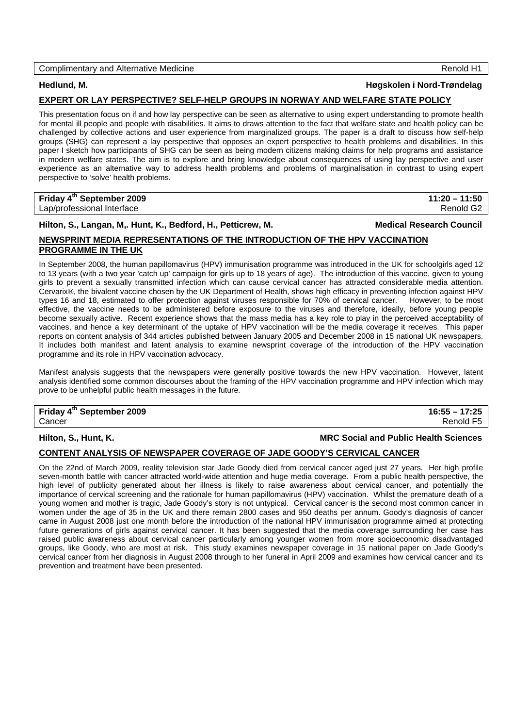## Complimentary and Alternative Medicine Renold H1

## **Hedlund, M. Høgskolen i Nord-Trøndelag**

## **EXPERT OR LAY PERSPECTIVE? SELF-HELP GROUPS IN NORWAY AND WELFARE STATE POLICY**

This presentation focus on if and how lay perspective can be seen as alternative to using expert understanding to promote health for mental ill people and people with disabilities. It aims to draws attention to the fact that welfare state and health policy can be challenged by collective actions and user experience from marginalized groups. The paper is a draft to discuss how self-help groups (SHG) can represent a lay perspective that opposes an expert perspective to health problems and disabilities. In this paper I sketch how participants of SHG can be seen as being modern citizens making claims for help programs and assistance in modern welfare states. The aim is to explore and bring knowledge about consequences of using lay perspective and user experience as an alternative way to address health problems and problems of marginalisation in contrast to using expert perspective to 'solve' health problems.

## **Friday 4th September 2009 11:20 – 11:50**  Lap/professional Interface Renold G2

Hilton, S., Langan, M., Hunt, K., Bedford, H., Petticrew, M. **Medical Research Council Medical Research Council** 

## **NEWSPRINT MEDIA REPRESENTATIONS OF THE INTRODUCTION OF THE HPV VACCINATION PROGRAMME IN THE UK**

In September 2008, the human papillomavirus (HPV) immunisation programme was introduced in the UK for schoolgirls aged 12 to 13 years (with a two year 'catch up' campaign for girls up to 18 years of age). The introduction of this vaccine, given to young girls to prevent a sexually transmitted infection which can cause cervical cancer has attracted considerable media attention. Cervarix®, the bivalent vaccine chosen by the UK Department of Health, shows high efficacy in preventing infection against HPV types 16 and 18, estimated to offer protection against viruses responsible for 70% of cervical cancer. However, to be most effective, the vaccine needs to be administered before exposure to the viruses and therefore, ideally, before young people become sexually active. Recent experience shows that the mass media has a key role to play in the perceived acceptability of vaccines, and hence a key determinant of the uptake of HPV vaccination will be the media coverage it receives. This paper reports on content analysis of 344 articles published between January 2005 and December 2008 in 15 national UK newspapers. It includes both manifest and latent analysis to examine newsprint coverage of the introduction of the HPV vaccination programme and its role in HPV vaccination advocacy.

Manifest analysis suggests that the newspapers were generally positive towards the new HPV vaccination. However, latent analysis identified some common discourses about the framing of the HPV vaccination programme and HPV infection which may prove to be unhelpful public health messages in the future.

# **Friday 4th September 2009 16:55 – 17:25**

Cancer Renold F5

### **Hilton, S., Hunt, K. MRC Social and Public Health Sciences**

## **CONTENT ANALYSIS OF NEWSPAPER COVERAGE OF JADE GOODY'S CERVICAL CANCER**

On the 22nd of March 2009, reality television star Jade Goody died from cervical cancer aged just 27 years. Her high profile seven-month battle with cancer attracted world-wide attention and huge media coverage. From a public health perspective, the high level of publicity generated about her illness is likely to raise awareness about cervical cancer, and potentially the importance of cervical screening and the rationale for human papillomavirus (HPV) vaccination. Whilst the premature death of a young women and mother is tragic, Jade Goody's story is not untypical. Cervical cancer is the second most common cancer in women under the age of 35 in the UK and there remain 2800 cases and 950 deaths per annum. Goody's diagnosis of cancer came in August 2008 just one month before the introduction of the national HPV immunisation programme aimed at protecting future generations of girls against cervical cancer. It has been suggested that the media coverage surrounding her case has raised public awareness about cervical cancer particularly among younger women from more socioeconomic disadvantaged groups, like Goody, who are most at risk. This study examines newspaper coverage in 15 national paper on Jade Goody's cervical cancer from her diagnosis in August 2008 through to her funeral in April 2009 and examines how cervical cancer and its prevention and treatment have been presented.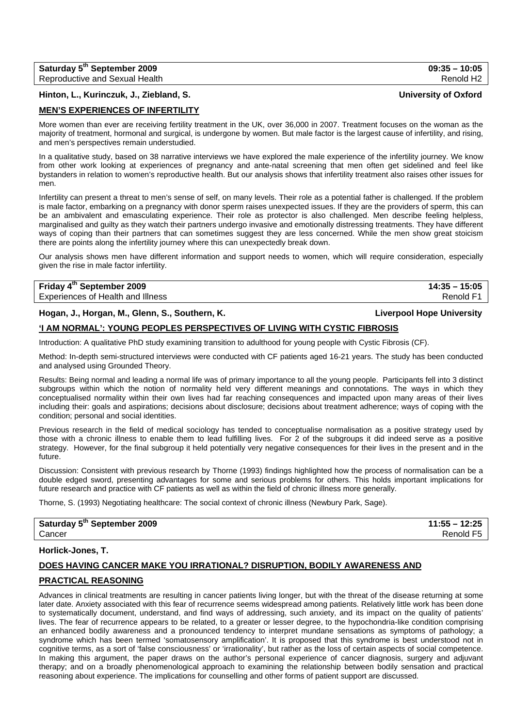| Saturday 5 <sup>th</sup> September 2009 | $09:35 - 10:05$ |
|-----------------------------------------|-----------------|
| Reproductive and Sexual Health          | Renold H2       |

## **Hinton, L., Kurinczuk, J., Ziebland, S. University of Oxford**

## **MEN'S EXPERIENCES OF INFERTILITY**

More women than ever are receiving fertility treatment in the UK, over 36,000 in 2007. Treatment focuses on the woman as the majority of treatment, hormonal and surgical, is undergone by women. But male factor is the largest cause of infertility, and rising, and men's perspectives remain understudied.

In a qualitative study, based on 38 narrative interviews we have explored the male experience of the infertility journey. We know from other work looking at experiences of pregnancy and ante-natal screening that men often get sidelined and feel like bystanders in relation to women's reproductive health. But our analysis shows that infertility treatment also raises other issues for men.

Infertility can present a threat to men's sense of self, on many levels. Their role as a potential father is challenged. If the problem is male factor, embarking on a pregnancy with donor sperm raises unexpected issues. If they are the providers of sperm, this can be an ambivalent and emasculating experience. Their role as protector is also challenged. Men describe feeling helpless, marginalised and guilty as they watch their partners undergo invasive and emotionally distressing treatments. They have different ways of coping than their partners that can sometimes suggest they are less concerned. While the men show great stoicism there are points along the infertility journey where this can unexpectedly break down.

Our analysis shows men have different information and support needs to women, which will require consideration, especially given the rise in male factor infertility.

## **Friday 4th September 2009 14:35 – 15:05**

## Experiences of Health and Illness Renold F1 and The Renold F1 and The Renold F1 and The Renold F1

## **Hogan, J., Horgan, M., Glenn, S., Southern, K. Liverpool Hope University**

## **'I AM NORMAL': YOUNG PEOPLES PERSPECTIVES OF LIVING WITH CYSTIC FIBROSIS**

Introduction: A qualitative PhD study examining transition to adulthood for young people with Cystic Fibrosis (CF).

Method: In-depth semi-structured interviews were conducted with CF patients aged 16-21 years. The study has been conducted and analysed using Grounded Theory.

Results: Being normal and leading a normal life was of primary importance to all the young people. Participants fell into 3 distinct subgroups within which the notion of normality held very different meanings and connotations. The ways in which they conceptualised normality within their own lives had far reaching consequences and impacted upon many areas of their lives including their: goals and aspirations; decisions about disclosure; decisions about treatment adherence; ways of coping with the condition; personal and social identities.

Previous research in the field of medical sociology has tended to conceptualise normalisation as a positive strategy used by those with a chronic illness to enable them to lead fulfilling lives. For 2 of the subgroups it did indeed serve as a positive strategy. However, for the final subgroup it held potentially very negative consequences for their lives in the present and in the future.

Discussion: Consistent with previous research by Thorne (1993) findings highlighted how the process of normalisation can be a double edged sword, presenting advantages for some and serious problems for others. This holds important implications for future research and practice with CF patients as well as within the field of chronic illness more generally.

Thorne, S. (1993) Negotiating healthcare: The social context of chronic illness (Newbury Park, Sage).

## **Saturday 5th September 2009 11:55 – 12:25**  Cancer Renold F5

## **Horlick-Jones, T.**

## **DOES HAVING CANCER MAKE YOU IRRATIONAL? DISRUPTION, BODILY AWARENESS AND**

## **PRACTICAL REASONING**

Advances in clinical treatments are resulting in cancer patients living longer, but with the threat of the disease returning at some later date. Anxiety associated with this fear of recurrence seems widespread among patients. Relatively little work has been done to systematically document, understand, and find ways of addressing, such anxiety, and its impact on the quality of patients' lives. The fear of recurrence appears to be related, to a greater or lesser degree, to the hypochondria-like condition comprising an enhanced bodily awareness and a pronounced tendency to interpret mundane sensations as symptoms of pathology; a syndrome which has been termed 'somatosensory amplification'. It is proposed that this syndrome is best understood not in cognitive terms, as a sort of 'false consciousness' or 'irrationality', but rather as the loss of certain aspects of social competence. In making this argument, the paper draws on the author's personal experience of cancer diagnosis, surgery and adjuvant therapy; and on a broadly phenomenological approach to examining the relationship between bodily sensation and practical reasoning about experience. The implications for counselling and other forms of patient support are discussed.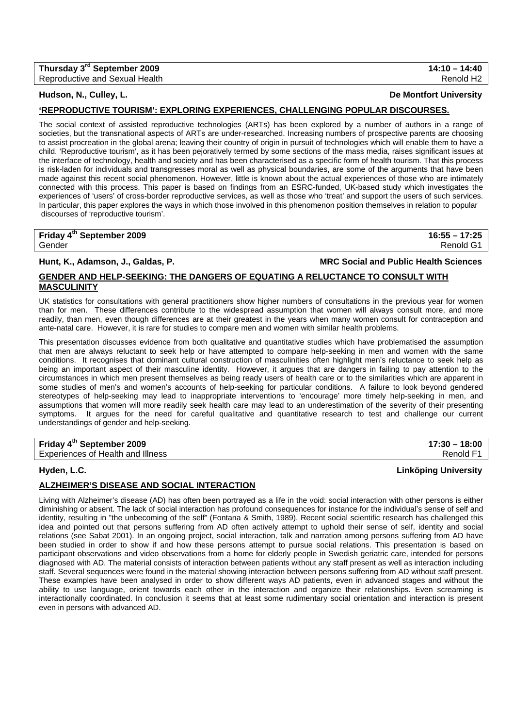| Thursday 3 <sup>rd</sup> September 2009 | $14:10 - 14:40$       |
|-----------------------------------------|-----------------------|
| Reproductive and Sexual Health          | Renold H <sub>2</sub> |

## **Hudson, N., Culley, L. De Montfort University**

## **'REPRODUCTIVE TOURISM': EXPLORING EXPERIENCES, CHALLENGING POPULAR DISCOURSES.**

The social context of assisted reproductive technologies (ARTs) has been explored by a number of authors in a range of societies, but the transnational aspects of ARTs are under-researched. Increasing numbers of prospective parents are choosing to assist procreation in the global arena; leaving their country of origin in pursuit of technologies which will enable them to have a child. 'Reproductive tourism', as it has been pejoratively termed by some sections of the mass media, raises significant issues at the interface of technology, health and society and has been characterised as a specific form of health tourism. That this process is risk-laden for individuals and transgresses moral as well as physical boundaries, are some of the arguments that have been made against this recent social phenomenon. However, little is known about the actual experiences of those who are intimately connected with this process. This paper is based on findings from an ESRC-funded, UK-based study which investigates the experiences of 'users' of cross-border reproductive services, as well as those who 'treat' and support the users of such services. In particular, this paper explores the ways in which those involved in this phenomenon position themselves in relation to popular discourses of 'reproductive tourism'.

| Friday 4 <sup>th</sup> September 2009 | $16:55 - 17:25$ |
|---------------------------------------|-----------------|
| Gender                                | Renold G1       |

### **Hunt, K., Adamson, J., Galdas, P. MRC Social and Public Health Sciences**

## **GENDER AND HELP-SEEKING: THE DANGERS OF EQUATING A RELUCTANCE TO CONSULT WITH MASCULINITY**

UK statistics for consultations with general practitioners show higher numbers of consultations in the previous year for women than for men. These differences contribute to the widespread assumption that women will always consult more, and more readily, than men, even though differences are at their greatest in the years when many women consult for contraception and ante-natal care. However, it is rare for studies to compare men and women with similar health problems.

This presentation discusses evidence from both qualitative and quantitative studies which have problematised the assumption that men are always reluctant to seek help or have attempted to compare help-seeking in men and women with the same conditions. It recognises that dominant cultural construction of masculinities often highlight men's reluctance to seek help as being an important aspect of their masculine identity. However, it argues that are dangers in failing to pay attention to the circumstances in which men present themselves as being ready users of health care or to the similarities which are apparent in some studies of men's and women's accounts of help-seeking for particular conditions. A failure to look beyond gendered stereotypes of help-seeking may lead to inappropriate interventions to 'encourage' more timely help-seeking in men, and assumptions that women will more readily seek health care may lead to an underestimation of the severity of their presenting symptoms. It argues for the need for careful qualitative and quantitative research to test and challenge our current understandings of gender and help-seeking.

| Friday 4 <sup>th</sup> September 2009 | $17:30 - 18:00$ |
|---------------------------------------|-----------------|
| Experiences of Health and Illness     | Renold F1       |

## **Hyden, L.C. Linköping University**

## **ALZHEIMER'S DISEASE AND SOCIAL INTERACTION**

Living with Alzheimer's disease (AD) has often been portrayed as a life in the void: social interaction with other persons is either diminishing or absent. The lack of social interaction has profound consequences for instance for the individual's sense of self and identity, resulting in "the unbecoming of the self" (Fontana & Smith, 1989). Recent social scientific research has challenged this idea and pointed out that persons suffering from AD often actively attempt to uphold their sense of self, identity and social relations (see Sabat 2001). In an ongoing project, social interaction, talk and narration among persons suffering from AD have been studied in order to show if and how these persons attempt to pursue social relations. This presentation is based on participant observations and video observations from a home for elderly people in Swedish geriatric care, intended for persons diagnosed with AD. The material consists of interaction between patients without any staff present as well as interaction including staff. Several sequences were found in the material showing interaction between persons suffering from AD without staff present. These examples have been analysed in order to show different ways AD patients, even in advanced stages and without the ability to use language, orient towards each other in the interaction and organize their relationships. Even screaming is interactionally coordinated. In conclusion it seems that at least some rudimentary social orientation and interaction is present even in persons with advanced AD.

**Thursday 3rd September 2009 14:10 – 14:40**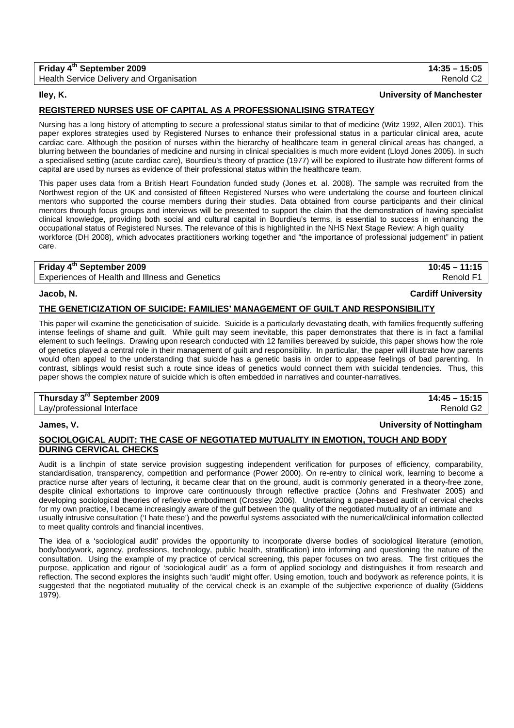| Friday 4 <sup>th</sup> September 2009    | $14:35 - 15:05$       |
|------------------------------------------|-----------------------|
| Health Service Delivery and Organisation | Renold C <sub>2</sub> |

### **Iley, K. University of Manchester**

## **REGISTERED NURSES USE OF CAPITAL AS A PROFESSIONALISING STRATEGY**

Nursing has a long history of attempting to secure a professional status similar to that of medicine (Witz 1992, Allen 2001). This paper explores strategies used by Registered Nurses to enhance their professional status in a particular clinical area, acute cardiac care. Although the position of nurses within the hierarchy of healthcare team in general clinical areas has changed, a blurring between the boundaries of medicine and nursing in clinical specialities is much more evident (Lloyd Jones 2005). In such a specialised setting (acute cardiac care), Bourdieu's theory of practice (1977) will be explored to illustrate how different forms of capital are used by nurses as evidence of their professional status within the healthcare team.

This paper uses data from a British Heart Foundation funded study (Jones et. al. 2008). The sample was recruited from the Northwest region of the UK and consisted of fifteen Registered Nurses who were undertaking the course and fourteen clinical mentors who supported the course members during their studies. Data obtained from course participants and their clinical mentors through focus groups and interviews will be presented to support the claim that the demonstration of having specialist clinical knowledge, providing both social and cultural capital in Bourdieu's terms, is essential to success in enhancing the occupational status of Registered Nurses. The relevance of this is highlighted in the NHS Next Stage Review: A high quality workforce (DH 2008), which advocates practitioners working together and "the importance of professional judgement" in patient care.

## **Friday 4th September 2009 10:45 – 11:15**

Experiences of Health and Illness and Genetics **Renold F1** and Controller Renold F1 and Renold F1 and Renold F1

### **Jacob, N. Cardiff University**

### **THE GENETICIZATION OF SUICIDE: FAMILIES' MANAGEMENT OF GUILT AND RESPONSIBILITY**

This paper will examine the geneticisation of suicide. Suicide is a particularly devastating death, with families frequently suffering intense feelings of shame and guilt. While guilt may seem inevitable, this paper demonstrates that there is in fact a familial element to such feelings. Drawing upon research conducted with 12 families bereaved by suicide, this paper shows how the role of genetics played a central role in their management of guilt and responsibility. In particular, the paper will illustrate how parents would often appeal to the understanding that suicide has a genetic basis in order to appease feelings of bad parenting. In contrast, siblings would resist such a route since ideas of genetics would connect them with suicidal tendencies. Thus, this paper shows the complex nature of suicide which is often embedded in narratives and counter-narratives.

| Thursday 3 <sup>rd</sup> September 2009 | $14:45 - 15:15$ |
|-----------------------------------------|-----------------|
| Lay/professional Interface              | Renold G2       |

## **James, V. University of Nottingham**

## **SOCIOLOGICAL AUDIT: THE CASE OF NEGOTIATED MUTUALITY IN EMOTION, TOUCH AND BODY DURING CERVICAL CHECKS**

Audit is a linchpin of state service provision suggesting independent verification for purposes of efficiency, comparability, standardisation, transparency, competition and performance (Power 2000). On re-entry to clinical work, learning to become a practice nurse after years of lecturing, it became clear that on the ground, audit is commonly generated in a theory-free zone, despite clinical exhortations to improve care continuously through reflective practice (Johns and Freshwater 2005) and developing sociological theories of reflexive embodiment (Crossley 2006). Undertaking a paper-based audit of cervical checks for my own practice, I became increasingly aware of the gulf between the quality of the negotiated mutuality of an intimate and usually intrusive consultation ('I hate these') and the powerful systems associated with the numerical/clinical information collected to meet quality controls and financial incentives.

The idea of a 'sociological audit' provides the opportunity to incorporate diverse bodies of sociological literature (emotion, body/bodywork, agency, professions, technology, public health, stratification) into informing and questioning the nature of the consultation. Using the example of my practice of cervical screening, this paper focuses on two areas. The first critiques the purpose, application and rigour of 'sociological audit' as a form of applied sociology and distinguishes it from research and reflection. The second explores the insights such 'audit' might offer. Using emotion, touch and bodywork as reference points, it is suggested that the negotiated mutuality of the cervical check is an example of the subjective experience of duality (Giddens 1979).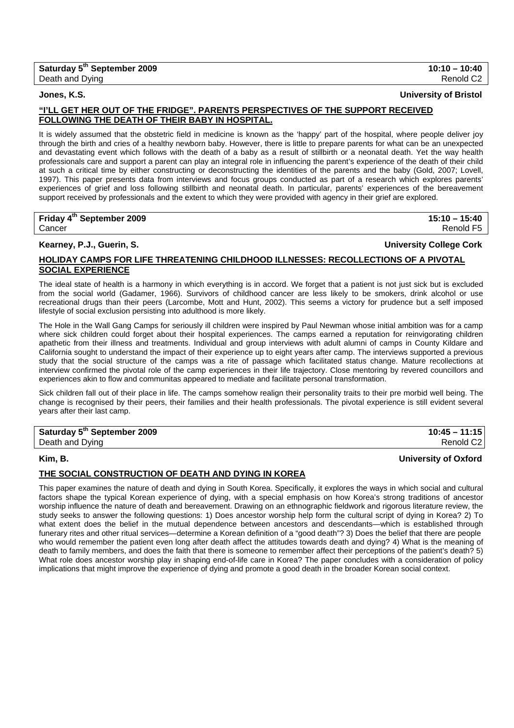## **Jones, K.S. University of Bristol**

## **"I'LL GET HER OUT OF THE FRIDGE". PARENTS PERSPECTIVES OF THE SUPPORT RECEIVED FOLLOWING THE DEATH OF THEIR BABY IN HOSPITAL.**

It is widely assumed that the obstetric field in medicine is known as the 'happy' part of the hospital, where people deliver joy through the birth and cries of a healthy newborn baby. However, there is little to prepare parents for what can be an unexpected and devastating event which follows with the death of a baby as a result of stillbirth or a neonatal death. Yet the way health professionals care and support a parent can play an integral role in influencing the parent's experience of the death of their child at such a critical time by either constructing or deconstructing the identities of the parents and the baby (Gold, 2007; Lovell, 1997). This paper presents data from interviews and focus groups conducted as part of a research which explores parents' experiences of grief and loss following stillbirth and neonatal death. In particular, parents' experiences of the bereavement support received by professionals and the extent to which they were provided with agency in their grief are explored.

## **Friday 4th September 2009 15:10 – 15:40**  Cancer Renold F5

## **Kearney, P.J., Guerin, S. University College Cork**

## **HOLIDAY CAMPS FOR LIFE THREATENING CHILDHOOD ILLNESSES: RECOLLECTIONS OF A PIVOTAL SOCIAL EXPERIENCE**

The ideal state of health is a harmony in which everything is in accord. We forget that a patient is not just sick but is excluded from the social world (Gadamer, 1966). Survivors of childhood cancer are less likely to be smokers, drink alcohol or use recreational drugs than their peers (Larcombe, Mott and Hunt, 2002). This seems a victory for prudence but a self imposed lifestyle of social exclusion persisting into adulthood is more likely.

The Hole in the Wall Gang Camps for seriously ill children were inspired by Paul Newman whose initial ambition was for a camp where sick children could forget about their hospital experiences. The camps earned a reputation for reinvigorating children apathetic from their illness and treatments. Individual and group interviews with adult alumni of camps in County Kildare and California sought to understand the impact of their experience up to eight years after camp. The interviews supported a previous study that the social structure of the camps was a rite of passage which facilitated status change. Mature recollections at interview confirmed the pivotal role of the camp experiences in their life trajectory. Close mentoring by revered councillors and experiences akin to flow and communitas appeared to mediate and facilitate personal transformation.

Sick children fall out of their place in life. The camps somehow realign their personality traits to their pre morbid well being. The change is recognised by their peers, their families and their health professionals. The pivotal experience is still evident several years after their last camp.

| Saturday 5 <sup>th</sup> September 2009 | $10:45 - 11:15$       |
|-----------------------------------------|-----------------------|
| Death and Dying                         | Renold C <sub>2</sub> |

## **Kim, B. University of Oxford**

## **THE SOCIAL CONSTRUCTION OF DEATH AND DYING IN KOREA**

This paper examines the nature of death and dying in South Korea. Specifically, it explores the ways in which social and cultural factors shape the typical Korean experience of dying, with a special emphasis on how Korea's strong traditions of ancestor worship influence the nature of death and bereavement. Drawing on an ethnographic fieldwork and rigorous literature review, the study seeks to answer the following questions: 1) Does ancestor worship help form the cultural script of dying in Korea? 2) To what extent does the belief in the mutual dependence between ancestors and descendants—which is established through funerary rites and other ritual services—determine a Korean definition of a "good death"? 3) Does the belief that there are people who would remember the patient even long after death affect the attitudes towards death and dying? 4) What is the meaning of death to family members, and does the faith that there is someone to remember affect their perceptions of the patient's death? 5) What role does ancestor worship play in shaping end-of-life care in Korea? The paper concludes with a consideration of policy implications that might improve the experience of dying and promote a good death in the broader Korean social context.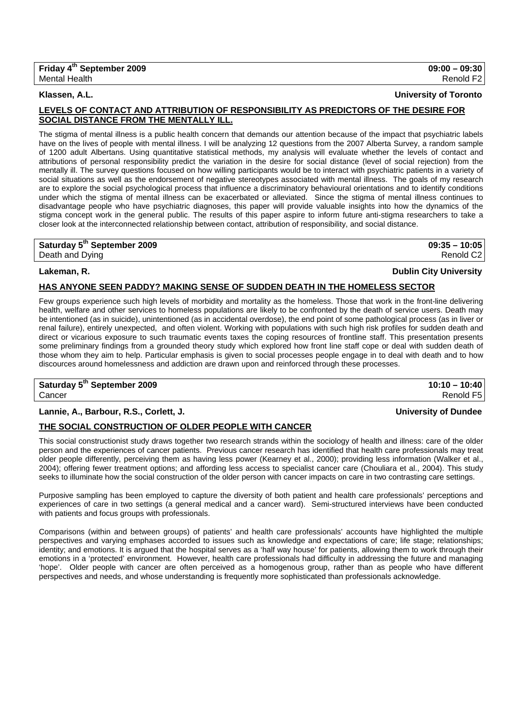## **LEVELS OF CONTACT AND ATTRIBUTION OF RESPONSIBILITY AS PREDICTORS OF THE DESIRE FOR SOCIAL DISTANCE FROM THE MENTALLY ILL.**

The stigma of mental illness is a public health concern that demands our attention because of the impact that psychiatric labels have on the lives of people with mental illness. I will be analyzing 12 questions from the 2007 Alberta Survey, a random sample of 1200 adult Albertans. Using quantitative statistical methods, my analysis will evaluate whether the levels of contact and attributions of personal responsibility predict the variation in the desire for social distance (level of social rejection) from the mentally ill. The survey questions focused on how willing participants would be to interact with psychiatric patients in a variety of social situations as well as the endorsement of negative stereotypes associated with mental illness. The goals of my research are to explore the social psychological process that influence a discriminatory behavioural orientations and to identify conditions under which the stigma of mental illness can be exacerbated or alleviated. Since the stigma of mental illness continues to disadvantage people who have psychiatric diagnoses, this paper will provide valuable insights into how the dynamics of the stigma concept work in the general public. The results of this paper aspire to inform future anti-stigma researchers to take a closer look at the interconnected relationship between contact, attribution of responsibility, and social distance.

## **Saturday 5th September 2009 09:35 – 10:05**

## **Lakeman, R. Dublin City University**

## **HAS ANYONE SEEN PADDY? MAKING SENSE OF SUDDEN DEATH IN THE HOMELESS SECTOR**

Few groups experience such high levels of morbidity and mortality as the homeless. Those that work in the front-line delivering health, welfare and other services to homeless populations are likely to be confronted by the death of service users. Death may be intentioned (as in suicide), unintentioned (as in accidental overdose), the end point of some pathological process (as in liver or renal failure), entirely unexpected, and often violent. Working with populations with such high risk profiles for sudden death and direct or vicarious exposure to such traumatic events taxes the coping resources of frontline staff. This presentation presents some preliminary findings from a grounded theory study which explored how front line staff cope or deal with sudden death of those whom they aim to help. Particular emphasis is given to social processes people engage in to deal with death and to how discources around homelessness and addiction are drawn upon and reinforced through these processes.

**Saturday 5th September 2009 10:10 – 10:40**  Cancer Renold F5

## **Lannie, A., Barbour, R.S., Corlett, J. University of Dundee**

## **THE SOCIAL CONSTRUCTION OF OLDER PEOPLE WITH CANCER**

This social constructionist study draws together two research strands within the sociology of health and illness: care of the older person and the experiences of cancer patients. Previous cancer research has identified that health care professionals may treat older people differently, perceiving them as having less power (Kearney et al., 2000); providing less information (Walker et al., 2004); offering fewer treatment options; and affording less access to specialist cancer care (Chouliara et al., 2004). This study seeks to illuminate how the social construction of the older person with cancer impacts on care in two contrasting care settings.

Purposive sampling has been employed to capture the diversity of both patient and health care professionals' perceptions and experiences of care in two settings (a general medical and a cancer ward). Semi-structured interviews have been conducted with patients and focus groups with professionals.

Comparisons (within and between groups) of patients' and health care professionals' accounts have highlighted the multiple perspectives and varying emphases accorded to issues such as knowledge and expectations of care; life stage; relationships; identity; and emotions. It is argued that the hospital serves as a 'half way house' for patients, allowing them to work through their emotions in a 'protected' environment. However, health care professionals had difficulty in addressing the future and managing 'hope'. Older people with cancer are often perceived as a homogenous group, rather than as people who have different perspectives and needs, and whose understanding is frequently more sophisticated than professionals acknowledge.

# Death and Dying Renold C2

# **Klassen, A.L. University of Toronto**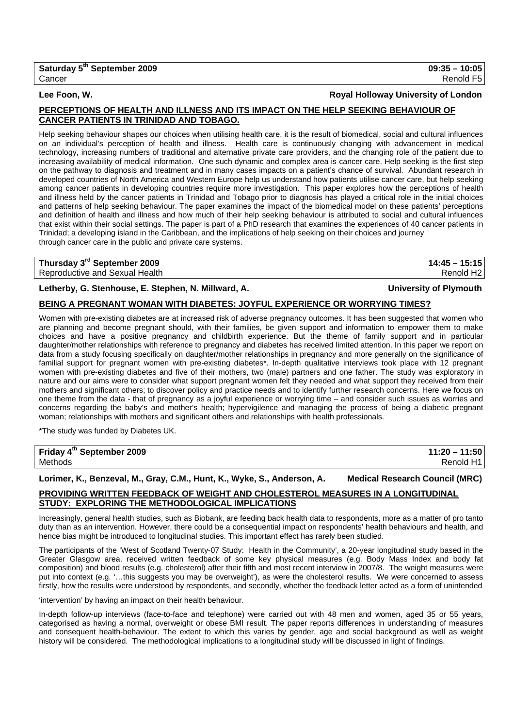## **Lee Foon, W. Royal Holloway University of London**

## **PERCEPTIONS OF HEALTH AND ILLNESS AND ITS IMPACT ON THE HELP SEEKING BEHAVIOUR OF CANCER PATIENTS IN TRINIDAD AND TOBAGO.**

Help seeking behaviour shapes our choices when utilising health care, it is the result of biomedical, social and cultural influences on an individual's perception of health and illness. Health care is continuously changing with advancement in medical technology, increasing numbers of traditional and alternative private care providers, and the changing role of the patient due to increasing availability of medical information. One such dynamic and complex area is cancer care. Help seeking is the first step on the pathway to diagnosis and treatment and in many cases impacts on a patient's chance of survival. Abundant research in developed countries of North America and Western Europe help us understand how patients utilise cancer care, but help seeking among cancer patients in developing countries require more investigation. This paper explores how the perceptions of health and illness held by the cancer patients in Trinidad and Tobago prior to diagnosis has played a critical role in the initial choices and patterns of help seeking behaviour. The paper examines the impact of the biomedical model on these patients' perceptions and definition of health and illness and how much of their help seeking behaviour is attributed to social and cultural influences that exist within their social settings. The paper is part of a PhD research that examines the experiences of 40 cancer patients in Trinidad; a developing island in the Caribbean, and the implications of help seeking on their choices and journey through cancer care in the public and private care systems.

# **Thursday 3rd September 2009 14:45 – 15:15**

Reproductive and Sexual Health Renold H2

## **Letherby, G. Stenhouse, E. Stephen, N. Millward, A. University of Plymouth**

## **BEING A PREGNANT WOMAN WITH DIABETES: JOYFUL EXPERIENCE OR WORRYING TIMES?**

Women with pre-existing diabetes are at increased risk of adverse pregnancy outcomes. It has been suggested that women who are planning and become pregnant should, with their families, be given support and information to empower them to make choices and have a positive pregnancy and childbirth experience. But the theme of family support and in particular daughter/mother relationships with reference to pregnancy and diabetes has received limited attention. In this paper we report on data from a study focusing specifically on daughter/mother relationships in pregnancy and more generally on the significance of familial support for pregnant women with pre-existing diabetes\*. In-depth qualitative interviews took place with 12 pregnant women with pre-existing diabetes and five of their mothers, two (male) partners and one father. The study was exploratory in nature and our aims were to consider what support pregnant women felt they needed and what support they received from their mothers and significant others; to discover policy and practice needs and to identify further research concerns. Here we focus on one theme from the data - that of pregnancy as a joyful experience or worrying time – and consider such issues as worries and concerns regarding the baby's and mother's health; hypervigilence and managing the process of being a diabetic pregnant woman; relationships with mothers and significant others and relationships with health professionals.

\*The study was funded by Diabetes UK.

| Friday 4 <sup>th</sup> September 2009 | $11:20 - 11:50$ |
|---------------------------------------|-----------------|
| Methods                               | Renold H1       |

# **Lorimer, K., Benzeval, M., Gray, C.M., Hunt, K., Wyke, S., Anderson, A. Medical Research Council (MRC)**

## **PROVIDING WRITTEN FEEDBACK OF WEIGHT AND CHOLESTEROL MEASURES IN A LONGITUDINAL STUDY: EXPLORING THE METHODOLOGICAL IMPLICATIONS**

Increasingly, general health studies, such as Biobank, are feeding back health data to respondents, more as a matter of pro tanto duty than as an intervention. However, there could be a consequential impact on respondents' health behaviours and health, and hence bias might be introduced to longitudinal studies. This important effect has rarely been studied.

The participants of the 'West of Scotland Twenty-07 Study: Health in the Community', a 20-year longitudinal study based in the Greater Glasgow area, received written feedback of some key physical measures (e.g. Body Mass Index and body fat composition) and blood results (e.g. cholesterol) after their fifth and most recent interview in 2007/8. The weight measures were put into context (e.g. '…this suggests you may be overweight'), as were the cholesterol results. We were concerned to assess firstly, how the results were understood by respondents, and secondly, whether the feedback letter acted as a form of unintended

'intervention' by having an impact on their health behaviour.

In-depth follow-up interviews (face-to-face and telephone) were carried out with 48 men and women, aged 35 or 55 years, categorised as having a normal, overweight or obese BMI result. The paper reports differences in understanding of measures and consequent health-behaviour. The extent to which this varies by gender, age and social background as well as weight history will be considered. The methodological implications to a longitudinal study will be discussed in light of findings.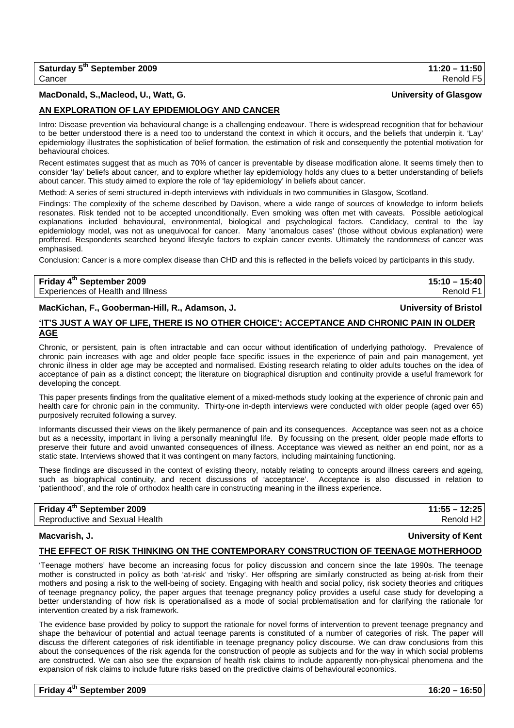## **MacDonald, S.,Macleod, U., Watt, G. University of Glasgow**

## **AN EXPLORATION OF LAY EPIDEMIOLOGY AND CANCER**

Intro: Disease prevention via behavioural change is a challenging endeavour. There is widespread recognition that for behaviour to be better understood there is a need too to understand the context in which it occurs, and the beliefs that underpin it. 'Lay' epidemiology illustrates the sophistication of belief formation, the estimation of risk and consequently the potential motivation for behavioural choices.

Recent estimates suggest that as much as 70% of cancer is preventable by disease modification alone. It seems timely then to consider 'lay' beliefs about cancer, and to explore whether lay epidemiology holds any clues to a better understanding of beliefs about cancer. This study aimed to explore the role of 'lay epidemiology' in beliefs about cancer.

Method: A series of semi structured in-depth interviews with individuals in two communities in Glasgow, Scotland.

Findings: The complexity of the scheme described by Davison, where a wide range of sources of knowledge to inform beliefs resonates. Risk tended not to be accepted unconditionally. Even smoking was often met with caveats. Possible aetiological explanations included behavioural, environmental, biological and psychological factors. Candidacy, central to the lay epidemiology model, was not as unequivocal for cancer. Many 'anomalous cases' (those without obvious explanation) were proffered. Respondents searched beyond lifestyle factors to explain cancer events. Ultimately the randomness of cancer was emphasised.

Conclusion: Cancer is a more complex disease than CHD and this is reflected in the beliefs voiced by participants in this study.

| Friday 4 <sup>th</sup> September 2009 | $15:10 - 15:40$ |
|---------------------------------------|-----------------|
| Experiences of Health and Illness     | Renold F1       |

## **MacKichan, F., Gooberman-Hill, R., Adamson, J. University of Bristol**

## **'IT'S JUST A WAY OF LIFE, THERE IS NO OTHER CHOICE': ACCEPTANCE AND CHRONIC PAIN IN OLDER AGE**

Chronic, or persistent, pain is often intractable and can occur without identification of underlying pathology. Prevalence of chronic pain increases with age and older people face specific issues in the experience of pain and pain management, yet chronic illness in older age may be accepted and normalised. Existing research relating to older adults touches on the idea of acceptance of pain as a distinct concept; the literature on biographical disruption and continuity provide a useful framework for developing the concept.

This paper presents findings from the qualitative element of a mixed-methods study looking at the experience of chronic pain and health care for chronic pain in the community. Thirty-one in-depth interviews were conducted with older people (aged over 65) purposively recruited following a survey.

Informants discussed their views on the likely permanence of pain and its consequences. Acceptance was seen not as a choice but as a necessity, important in living a personally meaningful life. By focussing on the present, older people made efforts to preserve their future and avoid unwanted consequences of illness. Acceptance was viewed as neither an end point, nor as a static state. Interviews showed that it was contingent on many factors, including maintaining functioning.

These findings are discussed in the context of existing theory, notably relating to concepts around illness careers and ageing, such as biographical continuity, and recent discussions of 'acceptance'. Acceptance is also discussed in relation to 'patienthood', and the role of orthodox health care in constructing meaning in the illness experience.

# **Friday 4th September 2009 11:55 – 12:25**

Reproductive and Sexual Health Renold H2

## **Macvarish, J. University of Kent**

## **THE EFFECT OF RISK THINKING ON THE CONTEMPORARY CONSTRUCTION OF TEENAGE MOTHERHOOD**

'Teenage mothers' have become an increasing focus for policy discussion and concern since the late 1990s. The teenage mother is constructed in policy as both 'at-risk' and 'risky'. Her offspring are similarly constructed as being at-risk from their mothers and posing a risk to the well-being of society. Engaging with health and social policy, risk society theories and critiques of teenage pregnancy policy, the paper argues that teenage pregnancy policy provides a useful case study for developing a better understanding of how risk is operationalised as a mode of social problematisation and for clarifying the rationale for intervention created by a risk framework.

The evidence base provided by policy to support the rationale for novel forms of intervention to prevent teenage pregnancy and shape the behaviour of potential and actual teenage parents is constituted of a number of categories of risk. The paper will discuss the different categories of risk identifiable in teenage pregnancy policy discourse. We can draw conclusions from this about the consequences of the risk agenda for the construction of people as subjects and for the way in which social problems are constructed. We can also see the expansion of health risk claims to include apparently non-physical phenomena and the expansion of risk claims to include future risks based on the predictive claims of behavioural economics.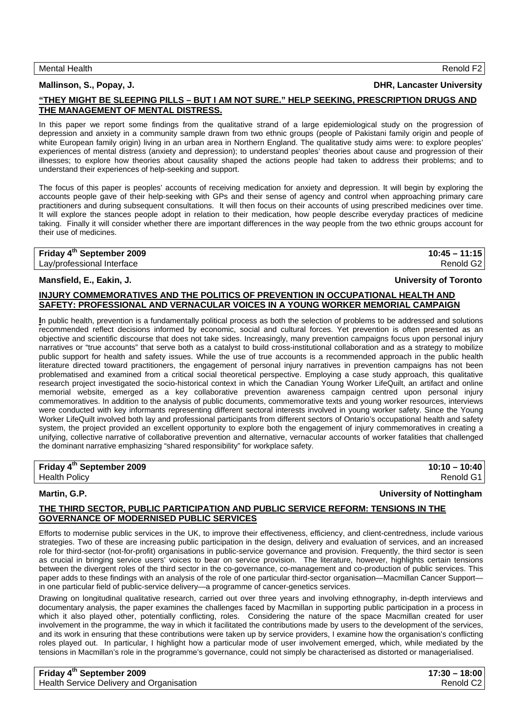## **Mallinson, S., Popay, J. DHR, Lancaster University**

## **"THEY MIGHT BE SLEEPING PILLS – BUT I AM NOT SURE." HELP SEEKING, PRESCRIPTION DRUGS AND THE MANAGEMENT OF MENTAL DISTRESS.**

In this paper we report some findings from the qualitative strand of a large epidemiological study on the progression of depression and anxiety in a community sample drawn from two ethnic groups (people of Pakistani family origin and people of white European family origin) living in an urban area in Northern England. The qualitative study aims were: to explore peoples' experiences of mental distress (anxiety and depression); to understand peoples' theories about cause and progression of their illnesses; to explore how theories about causality shaped the actions people had taken to address their problems; and to understand their experiences of help-seeking and support.

The focus of this paper is peoples' accounts of receiving medication for anxiety and depression. It will begin by exploring the accounts people gave of their help-seeking with GPs and their sense of agency and control when approaching primary care practitioners and during subsequent consultations. It will then focus on their accounts of using prescribed medicines over time. It will explore the stances people adopt in relation to their medication, how people describe everyday practices of medicine taking. Finally it will consider whether there are important differences in the way people from the two ethnic groups account for their use of medicines.

## **Friday 4th September 2009 10:45 – 11:15**  Lay/professional Interface Renold G2

## **Mansfield, E., Eakin, J. University of Toronto**

## **INJURY COMMEMORATIVES AND THE POLITICS OF PREVENTION IN OCCUPATIONAL HEALTH AND SAFETY: PROFESSIONAL AND VERNACULAR VOICES IN A YOUNG WORKER MEMORIAL CAMPAIGN**

**I**n public health, prevention is a fundamentally political process as both the selection of problems to be addressed and solutions recommended reflect decisions informed by economic, social and cultural forces. Yet prevention is often presented as an objective and scientific discourse that does not take sides. Increasingly, many prevention campaigns focus upon personal injury narratives or "true accounts" that serve both as a catalyst to build cross-institutional collaboration and as a strategy to mobilize public support for health and safety issues. While the use of true accounts is a recommended approach in the public health literature directed toward practitioners, the engagement of personal injury narratives in prevention campaigns has not been problematised and examined from a critical social theoretical perspective. Employing a case study approach, this qualitative research project investigated the socio-historical context in which the Canadian Young Worker LifeQuilt, an artifact and online memorial website, emerged as a key collaborative prevention awareness campaign centred upon personal injury commemoratives. In addition to the analysis of public documents, commemorative texts and young worker resources, interviews were conducted with key informants representing different sectoral interests involved in young worker safety. Since the Young Worker LifeQuilt involved both lay and professional participants from different sectors of Ontario's occupational health and safety system, the project provided an excellent opportunity to explore both the engagement of injury commemoratives in creating a unifying, collective narrative of collaborative prevention and alternative, vernacular accounts of worker fatalities that challenged the dominant narrative emphasizing "shared responsibility" for workplace safety.

## **Friday 4<sup>th</sup> September 2009** 2009 2009 2009 2010 2021 20:00 20:00 20:00 20:00 20:00 20:00 20:00 20:00 20:00 20:00 20:00 20:00 20:00 20:00 20:00 20:00 20:00 20:00 20:00 20:00 20:00 20:00 20:00 20:00 20:00 20:00 20:00 20:00

Health Policy Renold G1

## **Martin, G.P. University of Nottingham**

## **THE THIRD SECTOR, PUBLIC PARTICIPATION AND PUBLIC SERVICE REFORM: TENSIONS IN THE GOVERNANCE OF MODERNISED PUBLIC SERVICES**

Efforts to modernise public services in the UK, to improve their effectiveness, efficiency, and client-centredness, include various strategies. Two of these are increasing public participation in the design, delivery and evaluation of services, and an increased role for third-sector (not-for-profit) organisations in public-service governance and provision. Frequently, the third sector is seen as crucial in bringing service users' voices to bear on service provision. The literature, however, highlights certain tensions between the divergent roles of the third sector in the co-governance, co-management and co-production of public services. This paper adds to these findings with an analysis of the role of one particular third-sector organisation—Macmillan Cancer Support in one particular field of public-service delivery—a programme of cancer-genetics services.

Drawing on longitudinal qualitative research, carried out over three years and involving ethnography, in-depth interviews and documentary analysis, the paper examines the challenges faced by Macmillan in supporting public participation in a process in which it also played other, potentially conflicting, roles. Considering the nature of the space Macmillan created for user involvement in the programme, the way in which it facilitated the contributions made by users to the development of the services, and its work in ensuring that these contributions were taken up by service providers, I examine how the organisation's conflicting roles played out. In particular, I highlight how a particular mode of user involvement emerged, which, while mediated by the tensions in Macmillan's role in the programme's governance, could not simply be characterised as distorted or managerialised.

| Friday 4 <sup>th</sup> September 2009    | $17:30 - 18:00$       |
|------------------------------------------|-----------------------|
| Health Service Delivery and Organisation | Renold C <sub>2</sub> |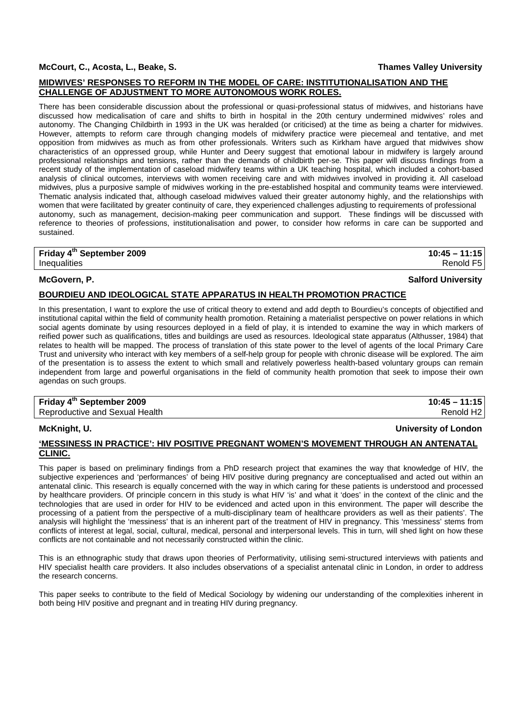## **McCourt, C., Acosta, L., Beake, S. Thames Valley University**

## **MIDWIVES' RESPONSES TO REFORM IN THE MODEL OF CARE: INSTITUTIONALISATION AND THE CHALLENGE OF ADJUSTMENT TO MORE AUTONOMOUS WORK ROLES.**

There has been considerable discussion about the professional or quasi-professional status of midwives, and historians have discussed how medicalisation of care and shifts to birth in hospital in the 20th century undermined midwives' roles and autonomy. The Changing Childbirth in 1993 in the UK was heralded (or criticised) at the time as being a charter for midwives. However, attempts to reform care through changing models of midwifery practice were piecemeal and tentative, and met opposition from midwives as much as from other professionals. Writers such as Kirkham have argued that midwives show characteristics of an oppressed group, while Hunter and Deery suggest that emotional labour in midwifery is largely around professional relationships and tensions, rather than the demands of childbirth per-se. This paper will discuss findings from a recent study of the implementation of caseload midwifery teams within a UK teaching hospital, which included a cohort-based analysis of clinical outcomes, interviews with women receiving care and with midwives involved in providing it. All caseload midwives, plus a purposive sample of midwives working in the pre-established hospital and community teams were interviewed. Thematic analysis indicated that, although caseload midwives valued their greater autonomy highly, and the relationships with women that were facilitated by greater continuity of care, they experienced challenges adjusting to requirements of professional autonomy, such as management, decision-making peer communication and support. These findings will be discussed with reference to theories of professions, institutionalisation and power, to consider how reforms in care can be supported and sustained.

## **Friday 4th September 2009 10:45 – 11:15**

Inequalities Renold F5

## **McGovern, P. Salford University**

## **BOURDIEU AND IDEOLOGICAL STATE APPARATUS IN HEALTH PROMOTION PRACTICE**

In this presentation, I want to explore the use of critical theory to extend and add depth to Bourdieu's concepts of objectified and institutional capital within the field of community health promotion. Retaining a materialist perspective on power relations in which social agents dominate by using resources deployed in a field of play, it is intended to examine the way in which markers of reified power such as qualifications, titles and buildings are used as resources. Ideological state apparatus (Althusser, 1984) that relates to health will be mapped. The process of translation of this state power to the level of agents of the local Primary Care Trust and university who interact with key members of a self-help group for people with chronic disease will be explored. The aim of the presentation is to assess the extent to which small and relatively powerless health-based voluntary groups can remain independent from large and powerful organisations in the field of community health promotion that seek to impose their own agendas on such groups.

## **Friday 4th September 2009 10:45 – 11:15**  Reproductive and Sexual Health Renold H2

## **McKnight, U. University of London**

## **'MESSINESS IN PRACTICE': HIV POSITIVE PREGNANT WOMEN'S MOVEMENT THROUGH AN ANTENATAL CLINIC.**

This paper is based on preliminary findings from a PhD research project that examines the way that knowledge of HIV, the subjective experiences and 'performances' of being HIV positive during pregnancy are conceptualised and acted out within an antenatal clinic. This research is equally concerned with the way in which caring for these patients is understood and processed by healthcare providers. Of principle concern in this study is what HIV 'is' and what it 'does' in the context of the clinic and the technologies that are used in order for HIV to be evidenced and acted upon in this environment. The paper will describe the processing of a patient from the perspective of a multi-disciplinary team of healthcare providers as well as their patients'. The analysis will highlight the 'messiness' that is an inherent part of the treatment of HIV in pregnancy. This 'messiness' stems from conflicts of interest at legal, social, cultural, medical, personal and interpersonal levels. This in turn, will shed light on how these conflicts are not containable and not necessarily constructed within the clinic.

This is an ethnographic study that draws upon theories of Performativity, utilising semi-structured interviews with patients and HIV specialist health care providers. It also includes observations of a specialist antenatal clinic in London, in order to address the research concerns.

This paper seeks to contribute to the field of Medical Sociology by widening our understanding of the complexities inherent in both being HIV positive and pregnant and in treating HIV during pregnancy.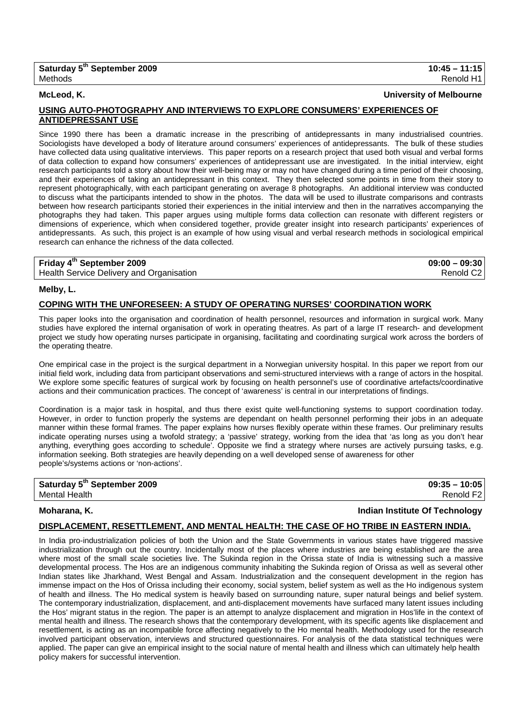**McLeod, K. University of Melbourne**

## **USING AUTO-PHOTOGRAPHY AND INTERVIEWS TO EXPLORE CONSUMERS' EXPERIENCES OF ANTIDEPRESSANT USE**

Since 1990 there has been a dramatic increase in the prescribing of antidepressants in many industrialised countries. Sociologists have developed a body of literature around consumers' experiences of antidepressants. The bulk of these studies have collected data using qualitative interviews. This paper reports on a research project that used both visual and verbal forms of data collection to expand how consumers' experiences of antidepressant use are investigated. In the initial interview, eight research participants told a story about how their well-being may or may not have changed during a time period of their choosing, and their experiences of taking an antidepressant in this context. They then selected some points in time from their story to represent photographically, with each participant generating on average 8 photographs. An additional interview was conducted to discuss what the participants intended to show in the photos. The data will be used to illustrate comparisons and contrasts between how research participants storied their experiences in the initial interview and then in the narratives accompanying the photographs they had taken. This paper argues using multiple forms data collection can resonate with different registers or dimensions of experience, which when considered together, provide greater insight into research participants' experiences of antidepressants. As such, this project is an example of how using visual and verbal research methods in sociological empirical research can enhance the richness of the data collected.

| Friday 4 <sup>th</sup> September 2009    | $09:00 - 09:30$       |
|------------------------------------------|-----------------------|
| Health Service Delivery and Organisation | Renold C <sub>2</sub> |

### **Melby, L.**

## **COPING WITH THE UNFORESEEN: A STUDY OF OPERATING NURSES' COORDINATION WORK**

This paper looks into the organisation and coordination of health personnel, resources and information in surgical work. Many studies have explored the internal organisation of work in operating theatres. As part of a large IT research- and development project we study how operating nurses participate in organising, facilitating and coordinating surgical work across the borders of the operating theatre.

One empirical case in the project is the surgical department in a Norwegian university hospital. In this paper we report from our initial field work, including data from participant observations and semi-structured interviews with a range of actors in the hospital. We explore some specific features of surgical work by focusing on health personnel's use of coordinative artefacts/coordinative actions and their communication practices. The concept of 'awareness' is central in our interpretations of findings.

Coordination is a major task in hospital, and thus there exist quite well-functioning systems to support coordination today. However, in order to function properly the systems are dependant on health personnel performing their jobs in an adequate manner within these formal frames. The paper explains how nurses flexibly operate within these frames. Our preliminary results indicate operating nurses using a twofold strategy; a 'passive' strategy, working from the idea that 'as long as you don't hear anything, everything goes according to schedule'. Opposite we find a strategy where nurses are actively pursuing tasks, e.g. information seeking. Both strategies are heavily depending on a well developed sense of awareness for other people's/systems actions or 'non-actions'.

| Saturday 5 <sup>th</sup> September 2009 | $09:35 - 10:05$       |
|-----------------------------------------|-----------------------|
| Mental Health                           | Renold F <sub>2</sub> |

### **Moharana, K. Indian Institute Of Technology**

### **DISPLACEMENT, RESETTLEMENT, AND MENTAL HEALTH: THE CASE OF HO TRIBE IN EASTERN INDIA.**

In India pro-industrialization policies of both the Union and the State Governments in various states have triggered massive industrialization through out the country. Incidentally most of the places where industries are being established are the area where most of the small scale societies live. The Sukinda region in the Orissa state of India is witnessing such a massive developmental process. The Hos are an indigenous community inhabiting the Sukinda region of Orissa as well as several other Indian states like Jharkhand, West Bengal and Assam. Industrialization and the consequent development in the region has immense impact on the Hos of Orissa including their economy, social system, belief system as well as the Ho indigenous system of health and illness. The Ho medical system is heavily based on surrounding nature, super natural beings and belief system. The contemporary industrialization, displacement, and anti-displacement movements have surfaced many latent issues including the Hos' migrant status in the region. The paper is an attempt to analyze displacement and migration in Hos'life in the context of mental health and illness. The research shows that the contemporary development, with its specific agents like displacement and resettlement, is acting as an incompatible force affecting negatively to the Ho mental health. Methodology used for the research involved participant observation, interviews and structured questionnaires. For analysis of the data statistical techniques were applied. The paper can give an empirical insight to the social nature of mental health and illness which can ultimately help health policy makers for successful intervention.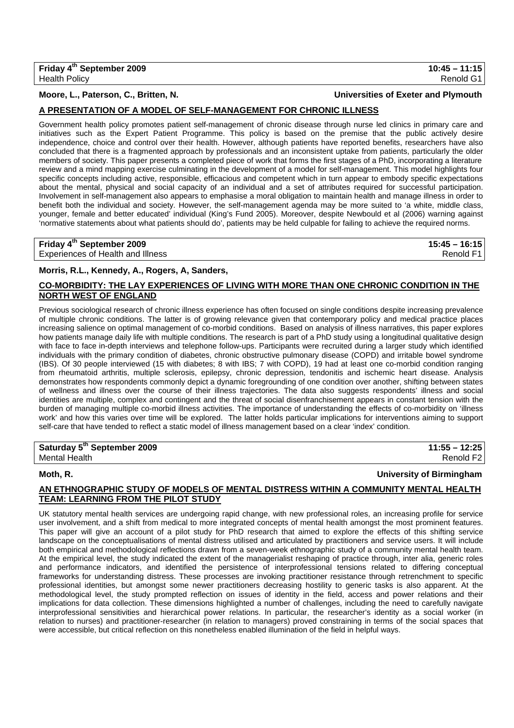## **A PRESENTATION OF A MODEL OF SELF-MANAGEMENT FOR CHRONIC ILLNESS**

Government health policy promotes patient self-management of chronic disease through nurse led clinics in primary care and initiatives such as the Expert Patient Programme. This policy is based on the premise that the public actively desire independence, choice and control over their health. However, although patients have reported benefits, researchers have also concluded that there is a fragmented approach by professionals and an inconsistent uptake from patients, particularly the older members of society. This paper presents a completed piece of work that forms the first stages of a PhD, incorporating a literature review and a mind mapping exercise culminating in the development of a model for self-management. This model highlights four specific concepts including active, responsible, efficacious and competent which in turn appear to embody specific expectations about the mental, physical and social capacity of an individual and a set of attributes required for successful participation. Involvement in self-management also appears to emphasise a moral obligation to maintain health and manage illness in order to benefit both the individual and society. However, the self-management agenda may be more suited to 'a white, middle class, younger, female and better educated' individual (King's Fund 2005). Moreover, despite Newbould et al (2006) warning against 'normative statements about what patients should do', patients may be held culpable for failing to achieve the required norms.

| Friday 4 <sup>th</sup> September 2009 | $15:45 - 16:15$ |
|---------------------------------------|-----------------|
| Experiences of Health and Illness     | Renold F1       |

## **Morris, R.L., Kennedy, A., Rogers, A, Sanders,**

## **CO-MORBIDITY: THE LAY EXPERIENCES OF LIVING WITH MORE THAN ONE CHRONIC CONDITION IN THE NORTH WEST OF ENGLAND**

Previous sociological research of chronic illness experience has often focused on single conditions despite increasing prevalence of multiple chronic conditions. The latter is of growing relevance given that contemporary policy and medical practice places increasing salience on optimal management of co-morbid conditions. Based on analysis of illness narratives, this paper explores how patients manage daily life with multiple conditions. The research is part of a PhD study using a longitudinal qualitative design with face to face in-depth interviews and telephone follow-ups. Participants were recruited during a larger study which identified individuals with the primary condition of diabetes, chronic obstructive pulmonary disease (COPD) and irritable bowel syndrome (IBS). Of 30 people interviewed (15 with diabetes; 8 with IBS; 7 with COPD), 19 had at least one co-morbid condition ranging from rheumatoid arthritis, multiple sclerosis, epilepsy, chronic depression, tendonitis and ischemic heart disease. Analysis demonstrates how respondents commonly depict a dynamic foregrounding of one condition over another, shifting between states of wellness and illness over the course of their illness trajectories. The data also suggests respondents' illness and social identities are multiple, complex and contingent and the threat of social disenfranchisement appears in constant tension with the burden of managing multiple co-morbid illness activities. The importance of understanding the effects of co-morbidity on 'illness work' and how this varies over time will be explored. The latter holds particular implications for interventions aiming to support self-care that have tended to reflect a static model of illness management based on a clear 'index' condition.

| Saturday 5 <sup>th</sup> September 2009 | $11:55 - 12:25$       |
|-----------------------------------------|-----------------------|
| Mental Health                           | Renold F <sub>2</sub> |

**Moth, R. University of Birmingham**

## **AN ETHNOGRAPHIC STUDY OF MODELS OF MENTAL DISTRESS WITHIN A COMMUNITY MENTAL HEALTH TEAM: LEARNING FROM THE PILOT STUDY**

UK statutory mental health services are undergoing rapid change, with new professional roles, an increasing profile for service user involvement, and a shift from medical to more integrated concepts of mental health amongst the most prominent features. This paper will give an account of a pilot study for PhD research that aimed to explore the effects of this shifting service landscape on the conceptualisations of mental distress utilised and articulated by practitioners and service users. It will include both empirical and methodological reflections drawn from a seven-week ethnographic study of a community mental health team. At the empirical level, the study indicated the extent of the managerialist reshaping of practice through, inter alia, generic roles and performance indicators, and identified the persistence of interprofessional tensions related to differing conceptual frameworks for understanding distress. These processes are invoking practitioner resistance through retrenchment to specific professional identities, but amongst some newer practitioners decreasing hostility to generic tasks is also apparent. At the methodological level, the study prompted reflection on issues of identity in the field, access and power relations and their implications for data collection. These dimensions highlighted a number of challenges, including the need to carefully navigate interprofessional sensitivities and hierarchical power relations. In particular, the researcher's identity as a social worker (in relation to nurses) and practitioner-researcher (in relation to managers) proved constraining in terms of the social spaces that were accessible, but critical reflection on this nonetheless enabled illumination of the field in helpful ways.

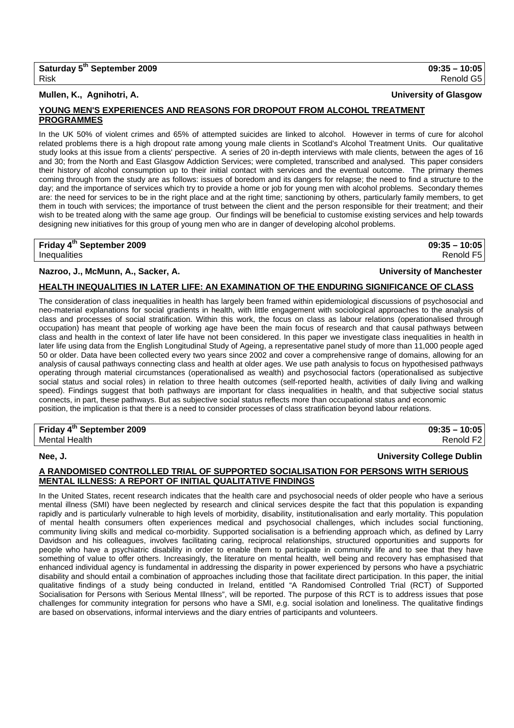## **Mullen, K., Agnihotri, A. University of Glasgow**

## **YOUNG MEN'S EXPERIENCES AND REASONS FOR DROPOUT FROM ALCOHOL TREATMENT PROGRAMMES**

In the UK 50% of violent crimes and 65% of attempted suicides are linked to alcohol. However in terms of cure for alcohol related problems there is a high dropout rate among young male clients in Scotland's Alcohol Treatment Units. Our qualitative study looks at this issue from a clients' perspective. A series of 20 in-depth interviews with male clients, between the ages of 16 and 30; from the North and East Glasgow Addiction Services; were completed, transcribed and analysed. This paper considers their history of alcohol consumption up to their initial contact with services and the eventual outcome. The primary themes coming through from the study are as follows: issues of boredom and its dangers for relapse; the need to find a structure to the day; and the importance of services which try to provide a home or job for young men with alcohol problems. Secondary themes are: the need for services to be in the right place and at the right time; sanctioning by others, particularly family members, to get them in touch with services; the importance of trust between the client and the person responsible for their treatment; and their wish to be treated along with the same age group. Our findings will be beneficial to customise existing services and help towards designing new initiatives for this group of young men who are in danger of developing alcohol problems.

## **Friday 4th September 2009 09:35 – 10:05**

Inequalities Renold F5

## **Nazroo, J., McMunn, A., Sacker, A. University of Manchester**

## **HEALTH INEQUALITIES IN LATER LIFE: AN EXAMINATION OF THE ENDURING SIGNIFICANCE OF CLASS**

The consideration of class inequalities in health has largely been framed within epidemiological discussions of psychosocial and neo-material explanations for social gradients in health, with little engagement with sociological approaches to the analysis of class and processes of social stratification. Within this work, the focus on class as labour relations (operationalised through occupation) has meant that people of working age have been the main focus of research and that causal pathways between class and health in the context of later life have not been considered. In this paper we investigate class inequalities in health in later life using data from the English Longitudinal Study of Ageing, a representative panel study of more than 11,000 people aged 50 or older. Data have been collected every two years since 2002 and cover a comprehensive range of domains, allowing for an analysis of causal pathways connecting class and health at older ages. We use path analysis to focus on hypothesised pathways operating through material circumstances (operationalised as wealth) and psychosocial factors (operationalised as subjective social status and social roles) in relation to three health outcomes (self-reported health, activities of daily living and walking speed). Findings suggest that both pathways are important for class inequalities in health, and that subjective social status connects, in part, these pathways. But as subjective social status reflects more than occupational status and economic position, the implication is that there is a need to consider processes of class stratification beyond labour relations.

## **Friday 4th September 2009 09:35 – 10:05**  Mental Health Renold F2

## **Nee, J. University College Dublin**

## **A RANDOMISED CONTROLLED TRIAL OF SUPPORTED SOCIALISATION FOR PERSONS WITH SERIOUS MENTAL ILLNESS: A REPORT OF INITIAL QUALITATIVE FINDINGS**

In the United States, recent research indicates that the health care and psychosocial needs of older people who have a serious mental illness (SMI) have been neglected by research and clinical services despite the fact that this population is expanding rapidly and is particularly vulnerable to high levels of morbidity, disability, institutionalisation and early mortality. This population of mental health consumers often experiences medical and psychosocial challenges, which includes social functioning, community living skills and medical co-morbidity. Supported socialisation is a befriending approach which, as defined by Larry Davidson and his colleagues, involves facilitating caring, reciprocal relationships, structured opportunities and supports for people who have a psychiatric disability in order to enable them to participate in community life and to see that they have something of value to offer others. Increasingly, the literature on mental health, well being and recovery has emphasised that enhanced individual agency is fundamental in addressing the disparity in power experienced by persons who have a psychiatric disability and should entail a combination of approaches including those that facilitate direct participation. In this paper, the initial qualitative findings of a study being conducted in Ireland, entitled "A Randomised Controlled Trial (RCT) of Supported Socialisation for Persons with Serious Mental Illness", will be reported. The purpose of this RCT is to address issues that pose challenges for community integration for persons who have a SMI, e.g. social isolation and loneliness. The qualitative findings are based on observations, informal interviews and the diary entries of participants and volunteers.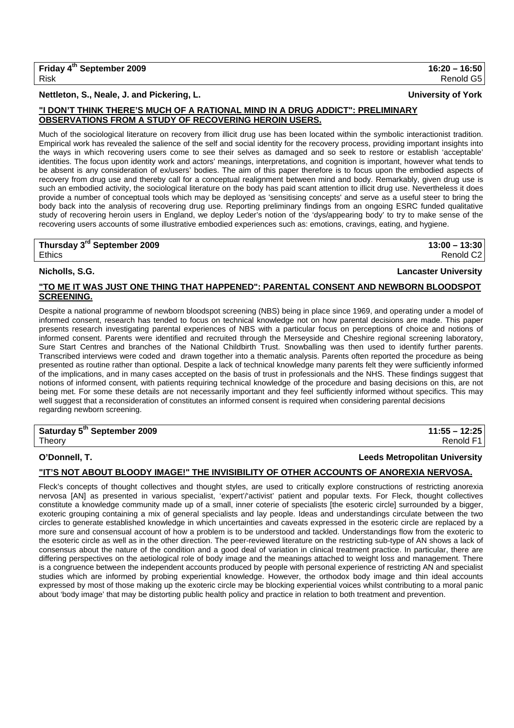### **Nettleton, S., Neale, J. and Pickering, L. University of York**

## **"I DON'T THINK THERE'S MUCH OF A RATIONAL MIND IN A DRUG ADDICT": PRELIMINARY OBSERVATIONS FROM A STUDY OF RECOVERING HEROIN USERS.**

Much of the sociological literature on recovery from illicit drug use has been located within the symbolic interactionist tradition. Empirical work has revealed the salience of the self and social identity for the recovery process, providing important insights into the ways in which recovering users come to see their selves as damaged and so seek to restore or establish 'acceptable' identities. The focus upon identity work and actors' meanings, interpretations, and cognition is important, however what tends to be absent is any consideration of ex/users' bodies. The aim of this paper therefore is to focus upon the embodied aspects of recovery from drug use and thereby call for a conceptual realignment between mind and body. Remarkably, given drug use is such an embodied activity, the sociological literature on the body has paid scant attention to illicit drug use. Nevertheless it does provide a number of conceptual tools which may be deployed as 'sensitising concepts' and serve as a useful steer to bring the body back into the analysis of recovering drug use. Reporting preliminary findings from an ongoing ESRC funded qualitative study of recovering heroin users in England, we deploy Leder's notion of the 'dys/appearing body' to try to make sense of the recovering users accounts of some illustrative embodied experiences such as: emotions, cravings, eating, and hygiene.

## **Thursday 3rd September 2009 13:00 – 13:30**

Ethics Renold C2

**Nicholls, S.G. Lancaster University**

## **"TO ME IT WAS JUST ONE THING THAT HAPPENED": PARENTAL CONSENT AND NEWBORN BLOODSPOT SCREENING.**

Despite a national programme of newborn bloodspot screening (NBS) being in place since 1969, and operating under a model of informed consent, research has tended to focus on technical knowledge not on how parental decisions are made. This paper presents research investigating parental experiences of NBS with a particular focus on perceptions of choice and notions of informed consent. Parents were identified and recruited through the Merseyside and Cheshire regional screening laboratory, Sure Start Centres and branches of the National Childbirth Trust. Snowballing was then used to identify further parents. Transcribed interviews were coded and drawn together into a thematic analysis. Parents often reported the procedure as being presented as routine rather than optional. Despite a lack of technical knowledge many parents felt they were sufficiently informed of the implications, and in many cases accepted on the basis of trust in professionals and the NHS. These findings suggest that notions of informed consent, with patients requiring technical knowledge of the procedure and basing decisions on this, are not being met. For some these details are not necessarily important and they feel sufficiently informed without specifics. This may well suggest that a reconsideration of constitutes an informed consent is required when considering parental decisions regarding newborn screening.

| Saturday 5 <sup>th</sup> September 2009 | $11:55 - 12:25$ |
|-----------------------------------------|-----------------|
| Theory                                  | Renold F1       |

## **O'Donnell, T. Leeds Metropolitan University**

## **"IT'S NOT ABOUT BLOODY IMAGE!" THE INVISIBILITY OF OTHER ACCOUNTS OF ANOREXIA NERVOSA.**

Fleck's concepts of thought collectives and thought styles, are used to critically explore constructions of restricting anorexia nervosa [AN] as presented in various specialist, 'expert'/'activist' patient and popular texts. For Fleck, thought collectives constitute a knowledge community made up of a small, inner coterie of specialists [the esoteric circle] surrounded by a bigger, exoteric grouping containing a mix of general specialists and lay people. Ideas and understandings circulate between the two circles to generate established knowledge in which uncertainties and caveats expressed in the esoteric circle are replaced by a more sure and consensual account of how a problem is to be understood and tackled. Understandings flow from the exoteric to the esoteric circle as well as in the other direction. The peer-reviewed literature on the restricting sub-type of AN shows a lack of consensus about the nature of the condition and a good deal of variation in clinical treatment practice. In particular, there are differing perspectives on the aetiological role of body image and the meanings attached to weight loss and management. There is a congruence between the independent accounts produced by people with personal experience of restricting AN and specialist studies which are informed by probing experiential knowledge. However, the orthodox body image and thin ideal accounts expressed by most of those making up the exoteric circle may be blocking experiential voices whilst contributing to a moral panic about 'body image' that may be distorting public health policy and practice in relation to both treatment and prevention.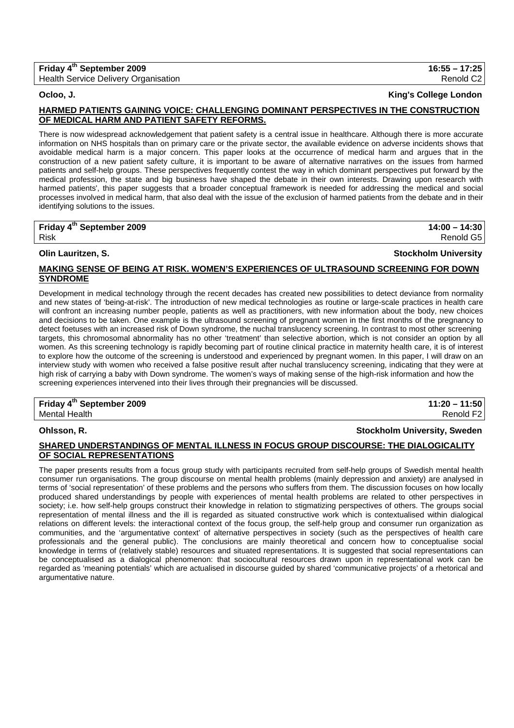# **Friday 4th September 2009 16:55 – 17:25**

Health Service Delivery Organisation Renold C2

**Ocloo, J. King's College London**

## **HARMED PATIENTS GAINING VOICE: CHALLENGING DOMINANT PERSPECTIVES IN THE CONSTRUCTION OF MEDICAL HARM AND PATIENT SAFETY REFORMS.**

There is now widespread acknowledgement that patient safety is a central issue in healthcare. Although there is more accurate information on NHS hospitals than on primary care or the private sector, the available evidence on adverse incidents shows that avoidable medical harm is a major concern. This paper looks at the occurrence of medical harm and argues that in the construction of a new patient safety culture, it is important to be aware of alternative narratives on the issues from harmed patients and self-help groups. These perspectives frequently contest the way in which dominant perspectives put forward by the medical profession, the state and big business have shaped the debate in their own interests. Drawing upon research with harmed patients', this paper suggests that a broader conceptual framework is needed for addressing the medical and social processes involved in medical harm, that also deal with the issue of the exclusion of harmed patients from the debate and in their identifying solutions to the issues.

**Friday 4th September 2009 14:00 – 14:30** 

**Olin Lauritzen, S. Stockholm University**

Risk Renold G5

## **MAKING SENSE OF BEING AT RISK. WOMEN'S EXPERIENCES OF ULTRASOUND SCREENING FOR DOWN SYNDROME**

Development in medical technology through the recent decades has created new possibilities to detect deviance from normality and new states of 'being-at-risk'. The introduction of new medical technologies as routine or large-scale practices in health care will confront an increasing number people, patients as well as practitioners, with new information about the body, new choices and decisions to be taken. One example is the ultrasound screening of pregnant women in the first months of the pregnancy to detect foetuses with an increased risk of Down syndrome, the nuchal translucency screening. In contrast to most other screening targets, this chromosomal abnormality has no other 'treatment' than selective abortion, which is not consider an option by all women. As this screening technology is rapidly becoming part of routine clinical practice in maternity health care, it is of interest to explore how the outcome of the screening is understood and experienced by pregnant women. In this paper, I will draw on an interview study with women who received a false positive result after nuchal translucency screening, indicating that they were at high risk of carrying a baby with Down syndrome. The women's ways of making sense of the high-risk information and how the screening experiences intervened into their lives through their pregnancies will be discussed.

**Friday 4th September 2009 11:20 – 11:50**  Mental Health **Renold F2** 

## **Ohlsson, R. Stockholm University, Sweden**

## **SHARED UNDERSTANDINGS OF MENTAL ILLNESS IN FOCUS GROUP DISCOURSE: THE DIALOGICALITY OF SOCIAL REPRESENTATIONS**

The paper presents results from a focus group study with participants recruited from self-help groups of Swedish mental health consumer run organisations. The group discourse on mental health problems (mainly depression and anxiety) are analysed in terms of 'social representation' of these problems and the persons who suffers from them. The discussion focuses on how locally produced shared understandings by people with experiences of mental health problems are related to other perspectives in society; i.e. how self-help groups construct their knowledge in relation to stigmatizing perspectives of others. The groups social representation of mental illness and the ill is regarded as situated constructive work which is contextualised within dialogical relations on different levels: the interactional context of the focus group, the self-help group and consumer run organization as communities, and the 'argumentative context' of alternative perspectives in society (such as the perspectives of health care professionals and the general public). The conclusions are mainly theoretical and concern how to conceptualise social knowledge in terms of (relatively stable) resources and situated representations. It is suggested that social representations can be conceptualised as a dialogical phenomenon: that sociocultural resources drawn upon in representational work can be regarded as 'meaning potentials' which are actualised in discourse guided by shared 'communicative projects' of a rhetorical and argumentative nature.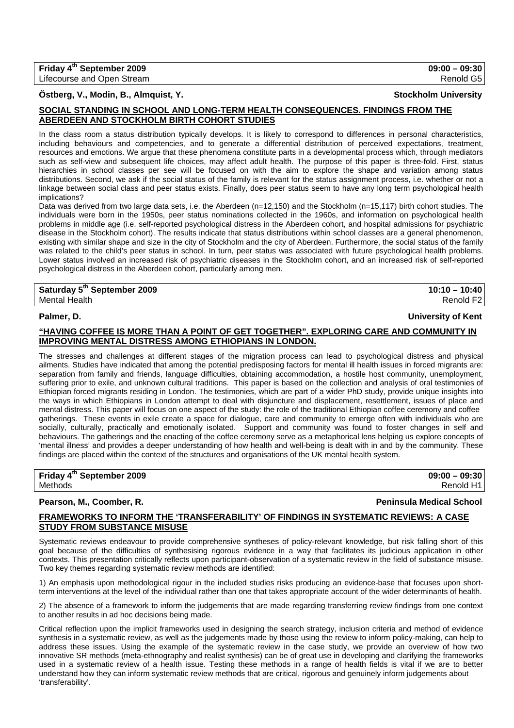**Friday 4th September 2009 09:00 – 09:30** 

## **Östberg, V., Modin, B., Almquist, Y. Stockholm University**

### **SOCIAL STANDING IN SCHOOL AND LONG-TERM HEALTH CONSEQUENCES. FINDINGS FROM THE ABERDEEN AND STOCKHOLM BIRTH COHORT STUDIES**

In the class room a status distribution typically develops. It is likely to correspond to differences in personal characteristics, including behaviours and competencies, and to generate a differential distribution of perceived expectations, treatment, resources and emotions. We argue that these phenomena constitute parts in a developmental process which, through mediators such as self-view and subsequent life choices, may affect adult health. The purpose of this paper is three-fold. First, status hierarchies in school classes per see will be focused on with the aim to explore the shape and variation among status distributions. Second, we ask if the social status of the family is relevant for the status assignment process, i.e. whether or not a linkage between social class and peer status exists. Finally, does peer status seem to have any long term psychological health implications?

Data was derived from two large data sets, i.e. the Aberdeen (n=12,150) and the Stockholm (n=15,117) birth cohort studies. The individuals were born in the 1950s, peer status nominations collected in the 1960s, and information on psychological health problems in middle age (i.e. self-reported psychological distress in the Aberdeen cohort, and hospital admissions for psychiatric disease in the Stockholm cohort). The results indicate that status distributions within school classes are a general phenomenon, existing with similar shape and size in the city of Stockholm and the city of Aberdeen. Furthermore, the social status of the family was related to the child's peer status in school. In turn, peer status was associated with future psychological health problems. Lower status involved an increased risk of psychiatric diseases in the Stockholm cohort, and an increased risk of self-reported psychological distress in the Aberdeen cohort, particularly among men.

## **Saturday 5th September 2009 10:10 – 10:40**  Mental Health Renold F2

### **Palmer, D. University of Kent**

### **"HAVING COFFEE IS MORE THAN A POINT OF GET TOGETHER". EXPLORING CARE AND COMMUNITY IN IMPROVING MENTAL DISTRESS AMONG ETHIOPIANS IN LONDON.**

The stresses and challenges at different stages of the migration process can lead to psychological distress and physical ailments. Studies have indicated that among the potential predisposing factors for mental ill health issues in forced migrants are: separation from family and friends, language difficulties, obtaining accommodation, a hostile host community, unemployment, suffering prior to exile, and unknown cultural traditions. This paper is based on the collection and analysis of oral testimonies of Ethiopian forced migrants residing in London. The testimonies, which are part of a wider PhD study, provide unique insights into the ways in which Ethiopians in London attempt to deal with disjuncture and displacement, resettlement, issues of place and mental distress. This paper will focus on one aspect of the study: the role of the traditional Ethiopian coffee ceremony and coffee gatherings. These events in exile create a space for dialogue, care and community to emerge often with individuals who are socially, culturally, practically and emotionally isolated. Support and community was found to foster changes in self and behaviours. The gatherings and the enacting of the coffee ceremony serve as a metaphorical lens helping us explore concepts of 'mental illness' and provides a deeper understanding of how health and well-being is dealt with in and by the community. These findings are placed within the context of the structures and organisations of the UK mental health system.

| Friday 4 <sup>th</sup> September 2009 | $09:00 - 09:30$ |
|---------------------------------------|-----------------|
| Methods                               | Renold H1       |

**Pearson, M., Coomber, R. Peninsula Medical School**

## **FRAMEWORKS TO INFORM THE 'TRANSFERABILITY' OF FINDINGS IN SYSTEMATIC REVIEWS: A CASE STUDY FROM SUBSTANCE MISUSE**

Systematic reviews endeavour to provide comprehensive syntheses of policy-relevant knowledge, but risk falling short of this goal because of the difficulties of synthesising rigorous evidence in a way that facilitates its judicious application in other contexts. This presentation critically reflects upon participant-observation of a systematic review in the field of substance misuse. Two key themes regarding systematic review methods are identified:

1) An emphasis upon methodological rigour in the included studies risks producing an evidence-base that focuses upon shortterm interventions at the level of the individual rather than one that takes appropriate account of the wider determinants of health.

2) The absence of a framework to inform the judgements that are made regarding transferring review findings from one context to another results in ad hoc decisions being made.

Critical reflection upon the implicit frameworks used in designing the search strategy, inclusion criteria and method of evidence synthesis in a systematic review, as well as the judgements made by those using the review to inform policy-making, can help to address these issues. Using the example of the systematic review in the case study, we provide an overview of how two innovative SR methods (meta-ethnography and realist synthesis) can be of great use in developing and clarifying the frameworks used in a systematic review of a health issue. Testing these methods in a range of health fields is vital if we are to better understand how they can inform systematic review methods that are critical, rigorous and genuinely inform judgements about 'transferability'.

Lifecourse and Open Stream **Renold G5** and C<sub>5</sub> and C<sub>5</sub> and C<sub>5</sub> and C<sub>5</sub> and C<sub>5</sub> and C<sub>5</sub> and C<sub>5</sub> and C<sub>5</sub> and C<sub>5</sub> and C<sub>5</sub> and C<sub>5</sub> and C<sub>5</sub> and C<sub>5</sub> and C<sub>5</sub> and C<sub>5</sub> and C<sub>5</sub> and C<sub>5</sub> and C<sub>5</sub> and C<sub>5</sub> and C<sub>5</sub> and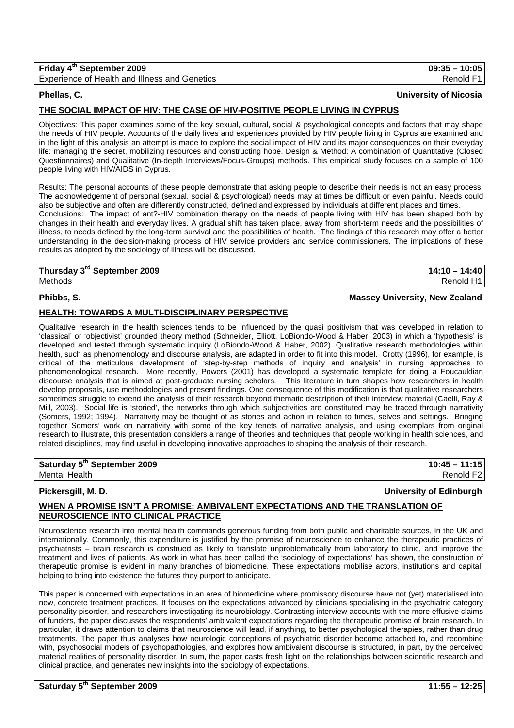| Friday 4 <sup>th</sup> September 2009         | $09:35 - 10:05$ |
|-----------------------------------------------|-----------------|
| Experience of Health and Illness and Genetics | Renold F1       |

### **Phellas, C. University of Nicosia**

## **THE SOCIAL IMPACT OF HIV: THE CASE OF HIV-POSITIVE PEOPLE LIVING IN CYPRUS**

Objectives: This paper examines some of the key sexual, cultural, social & psychological concepts and factors that may shape the needs of HIV people. Accounts of the daily lives and experiences provided by HIV people living in Cyprus are examined and in the light of this analysis an attempt is made to explore the social impact of HIV and its major consequences on their everyday life: managing the secret, mobilizing resources and constructing hope. Design & Method: A combination of Quantitative (Closed Questionnaires) and Qualitative (In-depth Interviews/Focus-Groups) methods. This empirical study focuses on a sample of 100 people living with HIV/AIDS in Cyprus.

Results: The personal accounts of these people demonstrate that asking people to describe their needs is not an easy process. The acknowledgement of personal (sexual, social & psychological) needs may at times be difficult or even painful. Needs could also be subjective and often are differently constructed, defined and expressed by individuals at different places and times.

Conclusions: The impact of ant?-HIV combination therapy on the needs of people living with HIV has been shaped both by changes in their health and everyday lives. A gradual shift has taken place, away from short-term needs and the possibilities of illness, to needs defined by the long-term survival and the possibilities of health. The findings of this research may offer a better understanding in the decision-making process of HIV service providers and service commissioners. The implications of these results as adopted by the sociology of illness will be discussed.

## **Thursday 3rd September 2009 14:10 – 14:40**  Methods Renold H1

## **Phibbs, S. Massey University, New Zealand**

## **HEALTH: TOWARDS A MULTI-DISCIPLINARY PERSPECTIVE**

Qualitative research in the health sciences tends to be influenced by the quasi positivism that was developed in relation to 'classical' or 'objectivist' grounded theory method (Schneider, Elliott, LoBiondo-Wood & Haber, 2003) in which a 'hypothesis' is developed and tested through systematic inquiry (LoBiondo-Wood & Haber, 2002). Qualitative research methodologies within health, such as phenomenology and discourse analysis, are adapted in order to fit into this model. Crotty (1996), for example, is critical of the meticulous development of 'step-by-step methods of inquiry and analysis' in nursing approaches to phenomenological research. More recently, Powers (2001) has developed a systematic template for doing a Foucauldian discourse analysis that is aimed at post-graduate nursing scholars. This literature in turn shapes how researchers in health develop proposals, use methodologies and present findings. One consequence of this modification is that qualitative researchers sometimes struggle to extend the analysis of their research beyond thematic description of their interview material (Caelli, Ray & Mill, 2003). Social life is 'storied', the networks through which subjectivities are constituted may be traced through narrativity (Somers, 1992; 1994). Narrativity may be thought of as stories and action in relation to times, selves and settings. Bringing together Somers' work on narrativity with some of the key tenets of narrative analysis, and using exemplars from original research to illustrate, this presentation considers a range of theories and techniques that people working in health sciences, and related disciplines, may find useful in developing innovative approaches to shaping the analysis of their research.

### **Saturday 5th September 2009 10:45 – 11:15**  Mental Health Renold F2

**Pickersgill, M. D. University of Edinburgh**

## **WHEN A PROMISE ISN'T A PROMISE: AMBIVALENT EXPECTATIONS AND THE TRANSLATION OF NEUROSCIENCE INTO CLINICAL PRACTICE**

Neuroscience research into mental health commands generous funding from both public and charitable sources, in the UK and internationally. Commonly, this expenditure is justified by the promise of neuroscience to enhance the therapeutic practices of psychiatrists – brain research is construed as likely to translate unproblematically from laboratory to clinic, and improve the treatment and lives of patients. As work in what has been called the 'sociology of expectations' has shown, the construction of therapeutic promise is evident in many branches of biomedicine. These expectations mobilise actors, institutions and capital, helping to bring into existence the futures they purport to anticipate.

This paper is concerned with expectations in an area of biomedicine where promissory discourse have not (yet) materialised into new, concrete treatment practices. It focuses on the expectations advanced by clinicians specialising in the psychiatric category personality pisorder, and researchers investigating its neurobiology. Contrasting interview accounts with the more effusive claims of funders, the paper discusses the respondents' ambivalent expectations regarding the therapeutic promise of brain research. In particular, it draws attention to claims that neuroscience will lead, if anything, to better psychological therapies, rather than drug treatments. The paper thus analyses how neurologic conceptions of psychiatric disorder become attached to, and recombine with, psychosocial models of psychopathologies, and explores how ambivalent discourse is structured, in part, by the perceived material realities of personality disorder. In sum, the paper casts fresh light on the relationships between scientific research and clinical practice, and generates new insights into the sociology of expectations.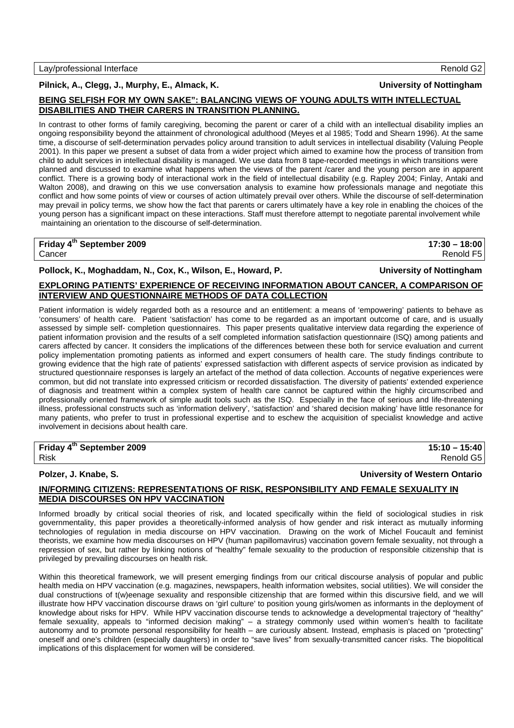## **Pilnick, A., Clegg, J., Murphy, E., Almack, K. University of Nottingham**

## **BEING SELFISH FOR MY OWN SAKE": BALANCING VIEWS OF YOUNG ADULTS WITH INTELLECTUAL DISABILITIES AND THEIR CARERS IN TRANSITION PLANNING.**

In contrast to other forms of family caregiving, becoming the parent or carer of a child with an intellectual disability implies an ongoing responsibility beyond the attainment of chronological adulthood (Meyes et al 1985; Todd and Shearn 1996). At the same time, a discourse of self-determination pervades policy around transition to adult services in intellectual disability (Valuing People 2001). In this paper we present a subset of data from a wider project which aimed to examine how the process of transition from child to adult services in intellectual disability is managed. We use data from 8 tape-recorded meetings in which transitions were planned and discussed to examine what happens when the views of the parent /carer and the young person are in apparent conflict. There is a growing body of interactional work in the field of intellectual disability (e.g. Rapley 2004; Finlay, Antaki and Walton 2008), and drawing on this we use conversation analysis to examine how professionals manage and negotiate this conflict and how some points of view or courses of action ultimately prevail over others. While the discourse of self-determination may prevail in policy terms, we show how the fact that parents or carers ultimately have a key role in enabling the choices of the young person has a significant impact on these interactions. Staff must therefore attempt to negotiate parental involvement while maintaining an orientation to the discourse of self-determination.

| Friday 4 <sup>th</sup> September 2009 | $17:30 - 18:00$ |
|---------------------------------------|-----------------|
| Cancer                                | Renold F5       |

## **Pollock, K., Moghaddam, N., Cox, K., Wilson, E., Howard, P. University of Nottingham**

## **EXPLORING PATIENTS' EXPERIENCE OF RECEIVING INFORMATION ABOUT CANCER, A COMPARISON OF INTERVIEW AND QUESTIONNAIRE METHODS OF DATA COLLECTION**

Patient information is widely regarded both as a resource and an entitlement: a means of 'empowering' patients to behave as 'consumers' of health care. Patient 'satisfaction' has come to be regarded as an important outcome of care, and is usually assessed by simple self- completion questionnaires. This paper presents qualitative interview data regarding the experience of patient information provision and the results of a self completed information satisfaction questionnaire (ISQ) among patients and carers affected by cancer. It considers the implications of the differences between these both for service evaluation and current policy implementation promoting patients as informed and expert consumers of health care. The study findings contribute to growing evidence that the high rate of patients' expressed satisfaction with different aspects of service provision as indicated by structured questionnaire responses is largely an artefact of the method of data collection. Accounts of negative experiences were common, but did not translate into expressed criticism or recorded dissatisfaction. The diversity of patients' extended experience of diagnosis and treatment within a complex system of health care cannot be captured within the highly circumscribed and professionally oriented framework of simple audit tools such as the ISQ. Especially in the face of serious and life-threatening illness, professional constructs such as 'information delivery', 'satisfaction' and 'shared decision making' have little resonance for many patients, who prefer to trust in professional expertise and to eschew the acquisition of specialist knowledge and active involvement in decisions about health care.

| Friday 4 <sup>th</sup> September 2009 | $15:10 - 15:40$ |
|---------------------------------------|-----------------|
| Risk                                  | Renold G5       |

## **Polzer, J. Knabe, S. University of Western Ontario**

## **IN/FORMING CITIZENS: REPRESENTATIONS OF RISK, RESPONSIBILITY AND FEMALE SEXUALITY IN MEDIA DISCOURSES ON HPV VACCINATION**

Informed broadly by critical social theories of risk, and located specifically within the field of sociological studies in risk governmentality, this paper provides a theoretically-informed analysis of how gender and risk interact as mutually informing technologies of regulation in media discourse on HPV vaccination. Drawing on the work of Michel Foucault and feminist theorists, we examine how media discourses on HPV (human papillomavirus) vaccination govern female sexuality, not through a repression of sex, but rather by linking notions of "healthy" female sexuality to the production of responsible citizenship that is privileged by prevailing discourses on health risk.

Within this theoretical framework, we will present emerging findings from our critical discourse analysis of popular and public health media on HPV vaccination (e.g. magazines, newspapers, health information websites, social utilities). We will consider the dual constructions of t(w)eenage sexuality and responsible citizenship that are formed within this discursive field, and we will illustrate how HPV vaccination discourse draws on 'girl culture' to position young girls/women as informants in the deployment of knowledge about risks for HPV. While HPV vaccination discourse tends to acknowledge a developmental trajectory of "healthy" female sexuality, appeals to "informed decision making" – a strategy commonly used within women's health to facilitate autonomy and to promote personal responsibility for health – are curiously absent. Instead, emphasis is placed on "protecting" oneself and one's children (especially daughters) in order to "save lives" from sexually-transmitted cancer risks. The biopolitical implications of this displacement for women will be considered.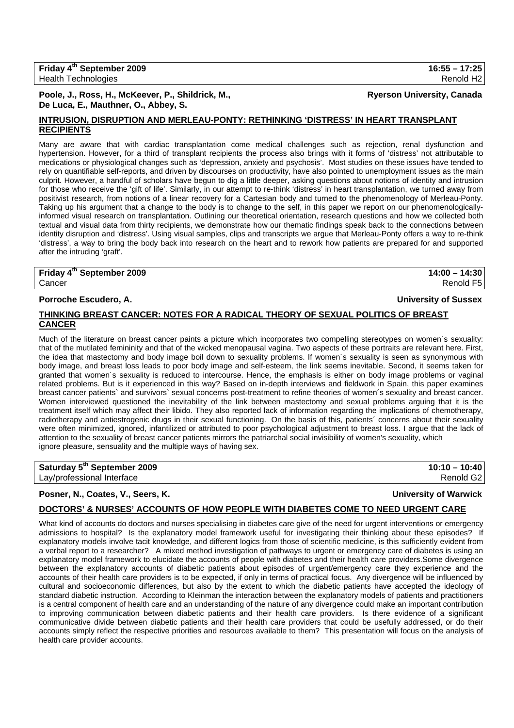### **Poole, J., Ross, H., McKeever, P., Shildrick, M., Ryerson University, Canada De Luca, E., Mauthner, O., Abbey, S.**

## **INTRUSION, DISRUPTION AND MERLEAU-PONTY: RETHINKING 'DISTRESS' IN HEART TRANSPLANT RECIPIENTS**

Many are aware that with cardiac transplantation come medical challenges such as rejection, renal dysfunction and hypertension. However, for a third of transplant recipients the process also brings with it forms of 'distress' not attributable to medications or physiological changes such as 'depression, anxiety and psychosis'. Most studies on these issues have tended to rely on quantifiable self-reports, and driven by discourses on productivity, have also pointed to unemployment issues as the main culprit. However, a handful of scholars have begun to dig a little deeper, asking questions about notions of identity and intrusion for those who receive the 'gift of life'. Similarly, in our attempt to re-think 'distress' in heart transplantation, we turned away from positivist research, from notions of a linear recovery for a Cartesian body and turned to the phenomenology of Merleau-Ponty. Taking up his argument that a change to the body is to change to the self, in this paper we report on our phenomenologicallyinformed visual research on transplantation. Outlining our theoretical orientation, research questions and how we collected both textual and visual data from thirty recipients, we demonstrate how our thematic findings speak back to the connections between identity disruption and 'distress'. Using visual samples, clips and transcripts we argue that Merleau-Ponty offers a way to re-think 'distress', a way to bring the body back into research on the heart and to rework how patients are prepared for and supported after the intruding 'graft'.

**Friday 4th September 2009 14:00 – 14:30**  Cancer Renold F5

## **Porroche Escudero, A. University of Sussex**

## **THINKING BREAST CANCER: NOTES FOR A RADICAL THEORY OF SEXUAL POLITICS OF BREAST CANCER**

Much of the literature on breast cancer paints a picture which incorporates two compelling stereotypes on women´s sexuality: that of the mutilated femininity and that of the wicked menopausal vagina. Two aspects of these portraits are relevant here. First, the idea that mastectomy and body image boil down to sexuality problems. If women´s sexuality is seen as synonymous with body image, and breast loss leads to poor body image and self-esteem, the link seems inevitable. Second, it seems taken for granted that women´s sexuality is reduced to intercourse. Hence, the emphasis is either on body image problems or vaginal related problems. But is it experienced in this way? Based on in-depth interviews and fieldwork in Spain, this paper examines breast cancer patients` and survivors` sexual concerns post-treatment to refine theories of women´s sexuality and breast cancer. Women interviewed questioned the inevitability of the link between mastectomy and sexual problems arguing that it is the treatment itself which may affect their libido. They also reported lack of information regarding the implications of chemotherapy, radiotherapy and antiestrogenic drugs in their sexual functioning. On the basis of this, patients´ concerns about their sexuality were often minimized, ignored, infantilized or attributed to poor psychological adjustment to breast loss. I argue that the lack of attention to the sexuality of breast cancer patients mirrors the patriarchal social invisibility of women's sexuality, which ignore pleasure, sensuality and the multiple ways of having sex.

| Saturday 5 <sup>th</sup> September 2009 | $10:10 - 10:40$       |
|-----------------------------------------|-----------------------|
| Lay/professional Interface              | Renold G <sub>2</sub> |

## **Posner, N., Coates, V., Seers, K. University of Warwick**

## **DOCTORS' & NURSES' ACCOUNTS OF HOW PEOPLE WITH DIABETES COME TO NEED URGENT CARE**

What kind of accounts do doctors and nurses specialising in diabetes care give of the need for urgent interventions or emergency admissions to hospital? Is the explanatory model framework useful for investigating their thinking about these episodes? If explanatory models involve tacit knowledge, and different logics from those of scientific medicine, is this sufficiently evident from a verbal report to a researcher? A mixed method investigation of pathways to urgent or emergency care of diabetes is using an explanatory model framework to elucidate the accounts of people with diabetes and their health care providers.Some divergence between the explanatory accounts of diabetic patients about episodes of urgent/emergency care they experience and the accounts of their health care providers is to be expected, if only in terms of practical focus. Any divergence will be influenced by cultural and socioeconomic differences, but also by the extent to which the diabetic patients have accepted the ideology of standard diabetic instruction. According to Kleinman the interaction between the explanatory models of patients and practitioners is a central component of health care and an understanding of the nature of any divergence could make an important contribution to improving communication between diabetic patients and their health care providers. Is there evidence of a significant communicative divide between diabetic patients and their health care providers that could be usefully addressed, or do their accounts simply reflect the respective priorities and resources available to them? This presentation will focus on the analysis of health care provider accounts.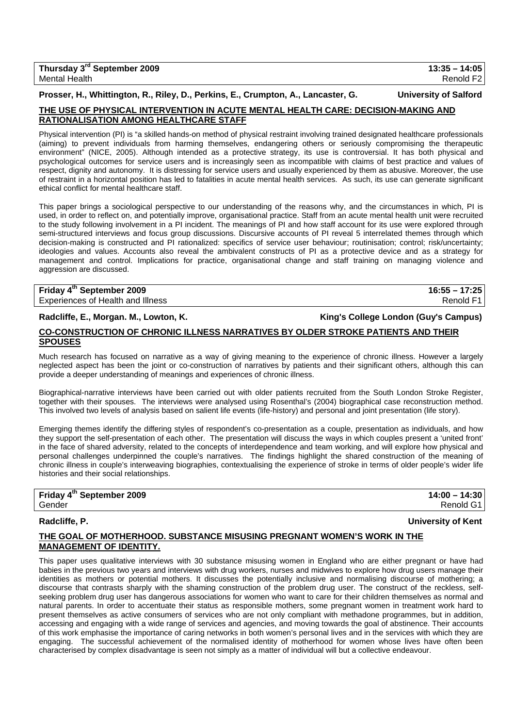## **Prosser, H., Whittington, R., Riley, D., Perkins, E., Crumpton, A., Lancaster, G. University of Salford THE USE OF PHYSICAL INTERVENTION IN ACUTE MENTAL HEALTH CARE: DECISION-MAKING AND**

# **RATIONALISATION AMONG HEALTHCARE STAFF**

Physical intervention (PI) is "a skilled hands-on method of physical restraint involving trained designated healthcare professionals (aiming) to prevent individuals from harming themselves, endangering others or seriously compromising the therapeutic environment" (NICE, 2005). Although intended as a protective strategy, its use is controversial. It has both physical and psychological outcomes for service users and is increasingly seen as incompatible with claims of best practice and values of respect, dignity and autonomy. It is distressing for service users and usually experienced by them as abusive. Moreover, the use of restraint in a horizontal position has led to fatalities in acute mental health services. As such, its use can generate significant ethical conflict for mental healthcare staff.

This paper brings a sociological perspective to our understanding of the reasons why, and the circumstances in which, PI is used, in order to reflect on, and potentially improve, organisational practice. Staff from an acute mental health unit were recruited to the study following involvement in a PI incident. The meanings of PI and how staff account for its use were explored through semi-structured interviews and focus group discussions. Discursive accounts of PI reveal 5 interrelated themes through which decision-making is constructed and PI rationalized: specifics of service user behaviour; routinisation; control; risk/uncertainty; ideologies and values. Accounts also reveal the ambivalent constructs of PI as a protective device and as a strategy for management and control. Implications for practice, organisational change and staff training on managing violence and aggression are discussed.

### **Friday 4th September 2009 16:55 – 17:25**  Experiences of Health and Illness Renold F1 and The Renold F1 and The Renold F1 and The Renold F1

## **Radcliffe, E., Morgan. M., Lowton, K. King's College London (Guy's Campus)**

## **CO-CONSTRUCTION OF CHRONIC ILLNESS NARRATIVES BY OLDER STROKE PATIENTS AND THEIR SPOUSES**

Much research has focused on narrative as a way of giving meaning to the experience of chronic illness. However a largely neglected aspect has been the joint or co-construction of narratives by patients and their significant others, although this can provide a deeper understanding of meanings and experiences of chronic illness.

Biographical-narrative interviews have been carried out with older patients recruited from the South London Stroke Register, together with their spouses. The interviews were analysed using Rosenthal's (2004) biographical case reconstruction method. This involved two levels of analysis based on salient life events (life-history) and personal and joint presentation (life story).

Emerging themes identify the differing styles of respondent's co-presentation as a couple, presentation as individuals, and how they support the self-presentation of each other. The presentation will discuss the ways in which couples present a 'united front' in the face of shared adversity, related to the concepts of interdependence and team working, and will explore how physical and personal challenges underpinned the couple's narratives. The findings highlight the shared construction of the meaning of chronic illness in couple's interweaving biographies, contextualising the experience of stroke in terms of older people's wider life histories and their social relationships.

| Friday 4 <sup>th</sup> September 2009 | $14:00 - 14:30$ |
|---------------------------------------|-----------------|
| Gender                                | Renold G1       |

## **Radcliffe, P. University of Kent**

## **THE GOAL OF MOTHERHOOD. SUBSTANCE MISUSING PREGNANT WOMEN'S WORK IN THE MANAGEMENT OF IDENTITY.**

This paper uses qualitative interviews with 30 substance misusing women in England who are either pregnant or have had babies in the previous two years and interviews with drug workers, nurses and midwives to explore how drug users manage their identities as mothers or potential mothers. It discusses the potentially inclusive and normalising discourse of mothering; a discourse that contrasts sharply with the shaming construction of the problem drug user. The construct of the reckless, selfseeking problem drug user has dangerous associations for women who want to care for their children themselves as normal and natural parents. In order to accentuate their status as responsible mothers, some pregnant women in treatment work hard to present themselves as active consumers of services who are not only compliant with methadone programmes, but in addition, accessing and engaging with a wide range of services and agencies, and moving towards the goal of abstinence. Their accounts of this work emphasise the importance of caring networks in both women's personal lives and in the services with which they are engaging. The successful achievement of the normalised identity of motherhood for women whose lives have often been characterised by complex disadvantage is seen not simply as a matter of individual will but a collective endeavour.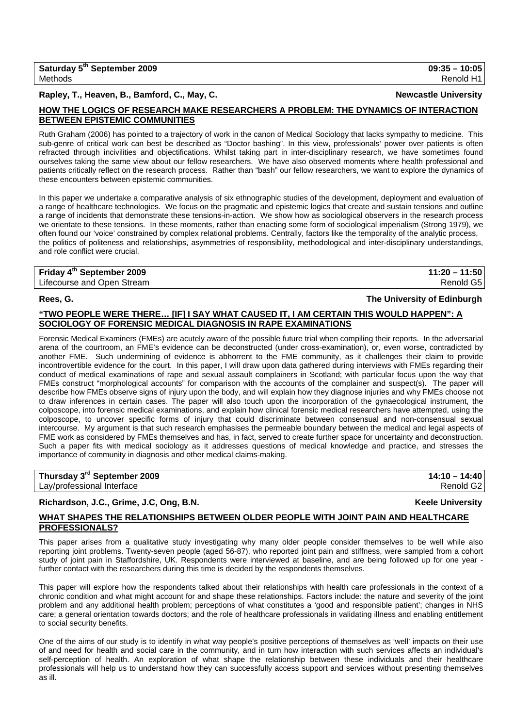## **Rapley, T., Heaven, B., Bamford, C., May, C. Newcastle University**

## **HOW THE LOGICS OF RESEARCH MAKE RESEARCHERS A PROBLEM: THE DYNAMICS OF INTERACTION BETWEEN EPISTEMIC COMMUNITIES**

Ruth Graham (2006) has pointed to a trajectory of work in the canon of Medical Sociology that lacks sympathy to medicine. This sub-genre of critical work can best be described as "Doctor bashing". In this view, professionals' power over patients is often refracted through incivilities and objectifications. Whilst taking part in inter-disciplinary research, we have sometimes found ourselves taking the same view about our fellow researchers. We have also observed moments where health professional and patients critically reflect on the research process. Rather than "bash" our fellow researchers, we want to explore the dynamics of these encounters between epistemic communities.

In this paper we undertake a comparative analysis of six ethnographic studies of the development, deployment and evaluation of a range of healthcare technologies. We focus on the pragmatic and epistemic logics that create and sustain tensions and outline a range of incidents that demonstrate these tensions-in-action. We show how as sociological observers in the research process we orientate to these tensions. In these moments, rather than enacting some form of sociological imperialism (Strong 1979), we often found our 'voice' constrained by complex relational problems. Centrally, factors like the temporality of the analytic process, the politics of politeness and relationships, asymmetries of responsibility, methodological and inter-disciplinary understandings, and role conflict were crucial.

## **Friday 4th September 2009 11:20 – 11:50**  Lifecourse and Open Stream **Renold G5** and Control Control of the Control Control Control Control Control Control Control Control Control Control Control Control Control Control Control Control Control Control Control Cont

### **Rees, G. The University of Edinburgh**

## **"TWO PEOPLE WERE THERE… [IF] I SAY WHAT CAUSED IT, I AM CERTAIN THIS WOULD HAPPEN": A SOCIOLOGY OF FORENSIC MEDICAL DIAGNOSIS IN RAPE EXAMINATIONS**

Forensic Medical Examiners (FMEs) are acutely aware of the possible future trial when compiling their reports. In the adversarial arena of the courtroom, an FME's evidence can be deconstructed (under cross-examination), or, even worse, contradicted by another FME. Such undermining of evidence is abhorrent to the FME community, as it challenges their claim to provide incontrovertible evidence for the court. In this paper, I will draw upon data gathered during interviews with FMEs regarding their conduct of medical examinations of rape and sexual assault complainers in Scotland; with particular focus upon the way that FMEs construct "morphological accounts" for comparison with the accounts of the complainer and suspect(s). The paper will describe how FMEs observe signs of injury upon the body, and will explain how they diagnose injuries and why FMEs choose not to draw inferences in certain cases. The paper will also touch upon the incorporation of the gynaecological instrument, the colposcope, into forensic medical examinations, and explain how clinical forensic medical researchers have attempted, using the colposcope, to uncover specific forms of injury that could discriminate between consensual and non-consensual sexual intercourse. My argument is that such research emphasises the permeable boundary between the medical and legal aspects of FME work as considered by FMEs themselves and has, in fact, served to create further space for uncertainty and deconstruction. Such a paper fits with medical sociology as it addresses questions of medical knowledge and practice, and stresses the importance of community in diagnosis and other medical claims-making.

| Thursday 3 <sup>rd</sup> September 2009 | $14:10 - 14:40$ |
|-----------------------------------------|-----------------|
| Lay/professional Interface              | Renold G2       |

## **Richardson, J.C., Grime, J.C, Ong, B.N. Keele University**

## **WHAT SHAPES THE RELATIONSHIPS BETWEEN OLDER PEOPLE WITH JOINT PAIN AND HEALTHCARE PROFESSIONALS?**

This paper arises from a qualitative study investigating why many older people consider themselves to be well while also reporting joint problems. Twenty-seven people (aged 56-87), who reported joint pain and stiffness, were sampled from a cohort study of joint pain in Staffordshire, UK. Respondents were interviewed at baseline, and are being followed up for one year further contact with the researchers during this time is decided by the respondents themselves.

This paper will explore how the respondents talked about their relationships with health care professionals in the context of a chronic condition and what might account for and shape these relationships. Factors include: the nature and severity of the joint problem and any additional health problem; perceptions of what constitutes a 'good and responsible patient'; changes in NHS care; a general orientation towards doctors; and the role of healthcare professionals in validating illness and enabling entitlement to social security benefits.

One of the aims of our study is to identify in what way people's positive perceptions of themselves as 'well' impacts on their use of and need for health and social care in the community, and in turn how interaction with such services affects an individual's self-perception of health. An exploration of what shape the relationship between these individuals and their healthcare professionals will help us to understand how they can successfully access support and services without presenting themselves as ill.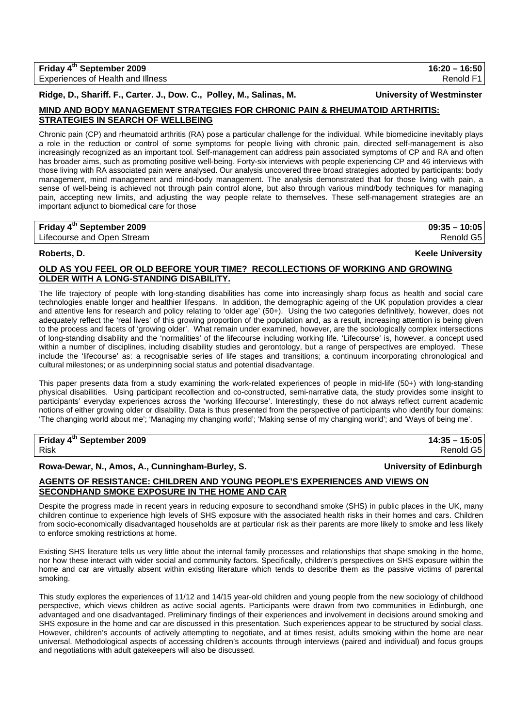**Ridge, D., Shariff. F., Carter. J., Dow. C., Polley, M., Salinas, M. University of Westminster** 

## **MIND AND BODY MANAGEMENT STRATEGIES FOR CHRONIC PAIN & RHEUMATOID ARTHRITIS: STRATEGIES IN SEARCH OF WELLBEING**

Chronic pain (CP) and rheumatoid arthritis (RA) pose a particular challenge for the individual. While biomedicine inevitably plays a role in the reduction or control of some symptoms for people living with chronic pain, directed self-management is also increasingly recognized as an important tool. Self-management can address pain associated symptoms of CP and RA and often has broader aims, such as promoting positive well-being. Forty-six interviews with people experiencing CP and 46 interviews with those living with RA associated pain were analysed. Our analysis uncovered three broad strategies adopted by participants: body management, mind management and mind-body management. The analysis demonstrated that for those living with pain, a sense of well-being is achieved not through pain control alone, but also through various mind/body techniques for managing pain, accepting new limits, and adjusting the way people relate to themselves. These self-management strategies are an important adjunct to biomedical care for those

## **Friday 4th September 2009 09:35 – 10:05**

Lifecourse and Open Stream **Renold G5** and C<sub>5</sub> and C<sub>5</sub> and C<sub>5</sub> and C<sub>5</sub> and C<sub>5</sub> and C<sub>5</sub> and C<sub>5</sub> and C<sub>5</sub> and C<sub>5</sub> and C<sub>5</sub> and C<sub>5</sub> and C<sub>5</sub> and C<sub>5</sub> and C<sub>5</sub> and C<sub>5</sub> and C<sub>5</sub> and C<sub>5</sub> and C<sub>5</sub> and C<sub>5</sub> and C<sub>5</sub> and

**Roberts, D. Keele University**

## **OLD AS YOU FEEL OR OLD BEFORE YOUR TIME? RECOLLECTIONS OF WORKING AND GROWING OLDER WITH A LONG-STANDING DISABILITY.**

The life trajectory of people with long-standing disabilities has come into increasingly sharp focus as health and social care technologies enable longer and healthier lifespans. In addition, the demographic ageing of the UK population provides a clear and attentive lens for research and policy relating to 'older age' (50+). Using the two categories definitively, however, does not adequately reflect the 'real lives' of this growing proportion of the population and, as a result, increasing attention is being given to the process and facets of 'growing older'. What remain under examined, however, are the sociologically complex intersections of long-standing disability and the 'normalities' of the lifecourse including working life. 'Lifecourse' is, however, a concept used within a number of disciplines, including disability studies and gerontology, but a range of perspectives are employed. These include the 'lifecourse' as: a recognisable series of life stages and transitions; a continuum incorporating chronological and cultural milestones; or as underpinning social status and potential disadvantage.

This paper presents data from a study examining the work-related experiences of people in mid-life (50+) with long-standing physical disabilities. Using participant recollection and co-constructed, semi-narrative data, the study provides some insight to participants' everyday experiences across the 'working lifecourse'. Interestingly, these do not always reflect current academic notions of either growing older or disability. Data is thus presented from the perspective of participants who identify four domains: 'The changing world about me'; 'Managing my changing world'; 'Making sense of my changing world'; and 'Ways of being me'.

## **Friday 4th September 2009 14:35 – 15:05**

## **Rowa-Dewar, N., Amos, A., Cunningham-Burley, S. University of Edinburgh**

## **AGENTS OF RESISTANCE: CHILDREN AND YOUNG PEOPLE'S EXPERIENCES AND VIEWS ON SECONDHAND SMOKE EXPOSURE IN THE HOME AND CAR** Despite the progress made in recent years in reducing exposure to secondhand smoke (SHS) in public places in the UK, many

children continue to experience high levels of SHS exposure with the associated health risks in their homes and cars. Children from socio-economically disadvantaged households are at particular risk as their parents are more likely to smoke and less likely to enforce smoking restrictions at home.

Existing SHS literature tells us very little about the internal family processes and relationships that shape smoking in the home, nor how these interact with wider social and community factors. Specifically, children's perspectives on SHS exposure within the home and car are virtually absent within existing literature which tends to describe them as the passive victims of parental smoking.

This study explores the experiences of 11/12 and 14/15 year-old children and young people from the new sociology of childhood perspective, which views children as active social agents. Participants were drawn from two communities in Edinburgh, one advantaged and one disadvantaged. Preliminary findings of their experiences and involvement in decisions around smoking and SHS exposure in the home and car are discussed in this presentation. Such experiences appear to be structured by social class. However, children's accounts of actively attempting to negotiate, and at times resist, adults smoking within the home are near universal. Methodological aspects of accessing children's accounts through interviews (paired and individual) and focus groups and negotiations with adult gatekeepers will also be discussed.

Risk Renold G5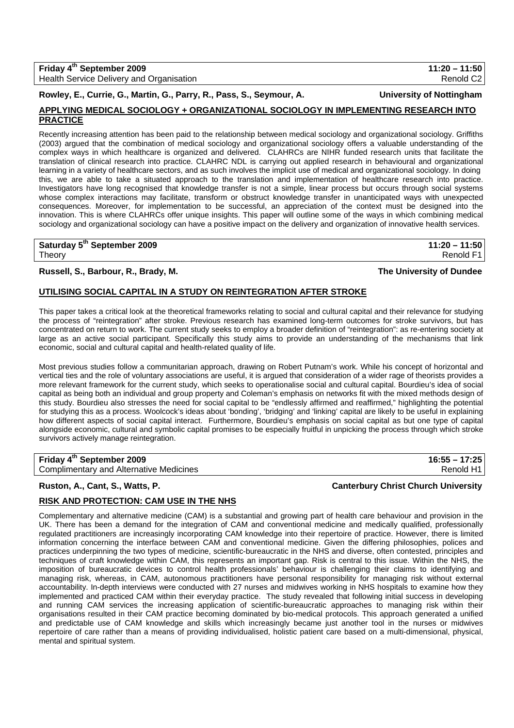| Friday 4 <sup>th</sup> September 2009           | $11:20 - 11:50$       |
|-------------------------------------------------|-----------------------|
| <b>Health Service Delivery and Organisation</b> | Renold C <sub>2</sub> |

**Rowley, E., Currie, G., Martin, G., Parry, R., Pass, S., Seymour, A. University of Nottingham** 

## **APPLYING MEDICAL SOCIOLOGY + ORGANIZATIONAL SOCIOLOGY IN IMPLEMENTING RESEARCH INTO PRACTICE**

Recently increasing attention has been paid to the relationship between medical sociology and organizational sociology. Griffiths (2003) argued that the combination of medical sociology and organizational sociology offers a valuable understanding of the complex ways in which healthcare is organized and delivered. CLAHRCs are NIHR funded research units that facilitate the translation of clinical research into practice. CLAHRC NDL is carrying out applied research in behavioural and organizational learning in a variety of healthcare sectors, and as such involves the implicit use of medical and organizational sociology. In doing this, we are able to take a situated approach to the translation and implementation of healthcare research into practice. Investigators have long recognised that knowledge transfer is not a simple, linear process but occurs through social systems whose complex interactions may facilitate, transform or obstruct knowledge transfer in unanticipated ways with unexpected consequences. Moreover, for implementation to be successful, an appreciation of the context must be designed into the innovation. This is where CLAHRCs offer unique insights. This paper will outline some of the ways in which combining medical sociology and organizational sociology can have a positive impact on the delivery and organization of innovative health services.

## **Saturday 5th September 2009 11:20 – 11:50**

## **Russell, S., Barbour, R., Brady, M. The University of Dundee**

## **UTILISING SOCIAL CAPITAL IN A STUDY ON REINTEGRATION AFTER STROKE**

This paper takes a critical look at the theoretical frameworks relating to social and cultural capital and their relevance for studying the process of "reintegration" after stroke. Previous research has examined long-term outcomes for stroke survivors, but has concentrated on return to work. The current study seeks to employ a broader definition of "reintegration": as re-entering society at large as an active social participant. Specifically this study aims to provide an understanding of the mechanisms that link economic, social and cultural capital and health-related quality of life.

Most previous studies follow a communitarian approach, drawing on Robert Putnam's work. While his concept of horizontal and vertical ties and the role of voluntary associations are useful, it is argued that consideration of a wider rage of theorists provides a more relevant framework for the current study, which seeks to operationalise social and cultural capital. Bourdieu's idea of social capital as being both an individual and group property and Coleman's emphasis on networks fit with the mixed methods design of this study. Bourdieu also stresses the need for social capital to be "endlessly affirmed and reaffirmed," highlighting the potential for studying this as a process. Woolcock's ideas about 'bonding', 'bridging' and 'linking' capital are likely to be useful in explaining how different aspects of social capital interact. Furthermore, Bourdieu's emphasis on social capital as but one type of capital alongside economic, cultural and symbolic capital promises to be especially fruitful in unpicking the process through which stroke survivors actively manage reintegration.

**Friday 4th September 2009 16:55 – 17:25**  Complimentary and Alternative Medicines **Renold H1** and Alternative Medicines Renold H1

## **Ruston, A., Cant, S., Watts, P. Canterbury Christ Church University**

## **RISK AND PROTECTION: CAM USE IN THE NHS**

Complementary and alternative medicine (CAM) is a substantial and growing part of health care behaviour and provision in the UK. There has been a demand for the integration of CAM and conventional medicine and medically qualified, professionally regulated practitioners are increasingly incorporating CAM knowledge into their repertoire of practice. However, there is limited information concerning the interface between CAM and conventional medicine. Given the differing philosophies, polices and practices underpinning the two types of medicine, scientific-bureaucratic in the NHS and diverse, often contested, principles and techniques of craft knowledge within CAM, this represents an important gap. Risk is central to this issue. Within the NHS, the imposition of bureaucratic devices to control health professionals' behaviour is challenging their claims to identifying and managing risk, whereas, in CAM, autonomous practitioners have personal responsibility for managing risk without external accountability. In-depth interviews were conducted with 27 nurses and midwives working in NHS hospitals to examine how they implemented and practiced CAM within their everyday practice. The study revealed that following initial success in developing and running CAM services the increasing application of scientific-bureaucratic approaches to managing risk within their organisations resulted in their CAM practice becoming dominated by bio-medical protocols. This approach generated a unified and predictable use of CAM knowledge and skills which increasingly became just another tool in the nurses or midwives repertoire of care rather than a means of providing individualised, holistic patient care based on a multi-dimensional, physical, mental and spiritual system.

Theory Renold F1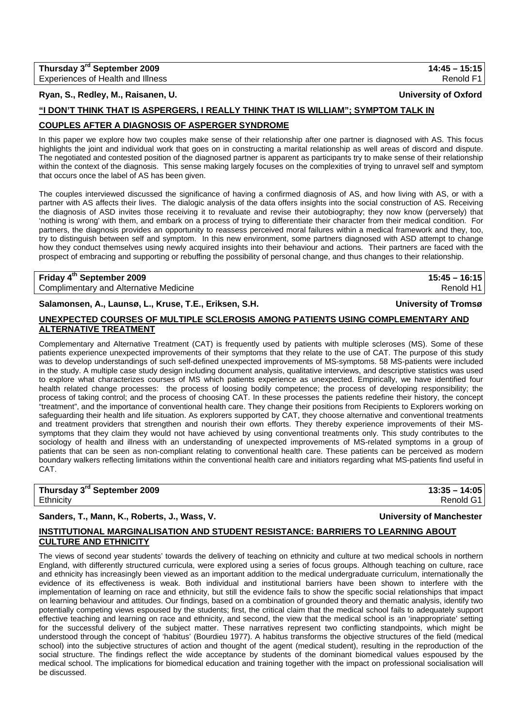## **Ryan, S., Redley, M., Raisanen, U. University of Oxford**

## **"I DON'T THINK THAT IS ASPERGERS, I REALLY THINK THAT IS WILLIAM"; SYMPTOM TALK IN**

### **COUPLES AFTER A DIAGNOSIS OF ASPERGER SYNDROME**

In this paper we explore how two couples make sense of their relationship after one partner is diagnosed with AS. This focus highlights the joint and individual work that goes on in constructing a marital relationship as well areas of discord and dispute. The negotiated and contested position of the diagnosed partner is apparent as participants try to make sense of their relationship within the context of the diagnosis. This sense making largely focuses on the complexities of trying to unravel self and symptom that occurs once the label of AS has been given.

The couples interviewed discussed the significance of having a confirmed diagnosis of AS, and how living with AS, or with a partner with AS affects their lives. The dialogic analysis of the data offers insights into the social construction of AS. Receiving the diagnosis of ASD invites those receiving it to revaluate and revise their autobiography; they now know (perversely) that 'nothing is wrong' with them, and embark on a process of trying to differentiate their character from their medical condition. For partners, the diagnosis provides an opportunity to reassess perceived moral failures within a medical framework and they, too, try to distinguish between self and symptom. In this new environment, some partners diagnosed with ASD attempt to change how they conduct themselves using newly acquired insights into their behaviour and actions. Their partners are faced with the prospect of embracing and supporting or rebuffing the possibility of personal change, and thus changes to their relationship.

## **Friday 4<sup>th</sup> September 2009** 15:45 – 16:15 Complimentary and Alternative Medicine Renold H1

**Salamonsen, A., Launsø, L., Kruse, T.E., Eriksen, S.H. University of Tromsø**

## **UNEXPECTED COURSES OF MULTIPLE SCLEROSIS AMONG PATIENTS USING COMPLEMENTARY AND ALTERNATIVE TREATMENT**

Complementary and Alternative Treatment (CAT) is frequently used by patients with multiple scleroses (MS). Some of these patients experience unexpected improvements of their symptoms that they relate to the use of CAT. The purpose of this study was to develop understandings of such self-defined unexpected improvements of MS-symptoms. 58 MS-patients were included in the study. A multiple case study design including document analysis, qualitative interviews, and descriptive statistics was used to explore what characterizes courses of MS which patients experience as unexpected. Empirically, we have identified four health related change processes: the process of loosing bodily competence; the process of developing responsibility; the process of taking control; and the process of choosing CAT. In these processes the patients redefine their history, the concept "treatment", and the importance of conventional health care. They change their positions from Recipients to Explorers working on safeguarding their health and life situation. As explorers supported by CAT, they choose alternative and conventional treatments and treatment providers that strengthen and nourish their own efforts. They thereby experience improvements of their MSsymptoms that they claim they would not have achieved by using conventional treatments only. This study contributes to the sociology of health and illness with an understanding of unexpected improvements of MS-related symptoms in a group of patients that can be seen as non-compliant relating to conventional health care. These patients can be perceived as modern boundary walkers reflecting limitations within the conventional health care and initiators regarding what MS-patients find useful in CAT.

| Thursday 3 <sup>rd</sup> September 2009 | $13:35 - 14:05$ |
|-----------------------------------------|-----------------|
| Ethnicity                               | Renold G1       |

## **Sanders, T., Mann, K., Roberts, J., Wass, V. University of Manchester**

## **INSTITUTIONAL MARGINALISATION AND STUDENT RESISTANCE: BARRIERS TO LEARNING ABOUT CULTURE AND ETHNICITY**

The views of second year students' towards the delivery of teaching on ethnicity and culture at two medical schools in northern England, with differently structured curricula, were explored using a series of focus groups. Although teaching on culture, race and ethnicity has increasingly been viewed as an important addition to the medical undergraduate curriculum, internationally the evidence of its effectiveness is weak. Both individual and institutional barriers have been shown to interfere with the implementation of learning on race and ethnicity, but still the evidence fails to show the specific social relationships that impact on learning behaviour and attitudes. Our findings, based on a combination of grounded theory and thematic analysis, identify two potentially competing views espoused by the students; first, the critical claim that the medical school fails to adequately support effective teaching and learning on race and ethnicity, and second, the view that the medical school is an 'inappropriate' setting for the successful delivery of the subject matter. These narratives represent two conflicting standpoints, which might be understood through the concept of 'habitus' (Bourdieu 1977). A habitus transforms the objective structures of the field (medical school) into the subjective structures of action and thought of the agent (medical student), resulting in the reproduction of the social structure. The findings reflect the wide acceptance by students of the dominant biomedical values espoused by the medical school. The implications for biomedical education and training together with the impact on professional socialisation will be discussed.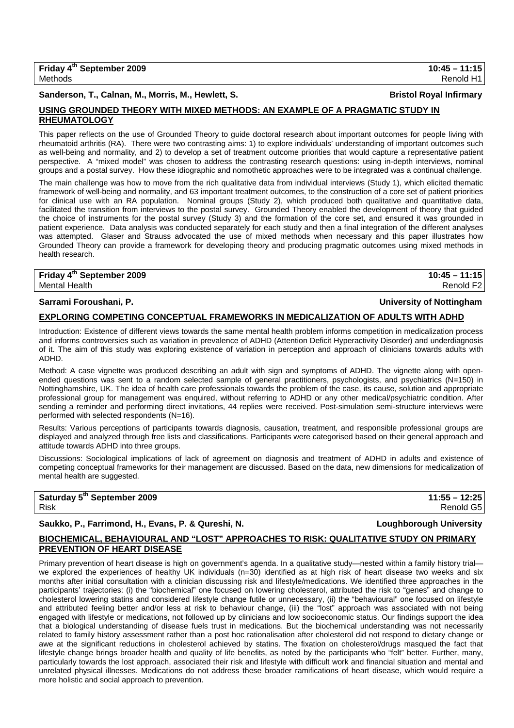**Sanderson, T., Calnan, M., Morris, M., Hewlett, S. Bristol Royal Infirmary**

## **USING GROUNDED THEORY WITH MIXED METHODS: AN EXAMPLE OF A PRAGMATIC STUDY IN RHEUMATOLOGY**

This paper reflects on the use of Grounded Theory to guide doctoral research about important outcomes for people living with rheumatoid arthritis (RA). There were two contrasting aims: 1) to explore individuals' understanding of important outcomes such as well-being and normality, and 2) to develop a set of treatment outcome priorities that would capture a representative patient perspective. A "mixed model" was chosen to address the contrasting research questions: using in-depth interviews, nominal groups and a postal survey. How these idiographic and nomothetic approaches were to be integrated was a continual challenge.

The main challenge was how to move from the rich qualitative data from individual interviews (Study 1), which elicited thematic framework of well-being and normality, and 63 important treatment outcomes, to the construction of a core set of patient priorities for clinical use with an RA population. Nominal groups (Study 2), which produced both qualitative and quantitative data, facilitated the transition from interviews to the postal survey. Grounded Theory enabled the development of theory that guided the choice of instruments for the postal survey (Study 3) and the formation of the core set, and ensured it was grounded in patient experience. Data analysis was conducted separately for each study and then a final integration of the different analyses was attempted. Glaser and Strauss advocated the use of mixed methods when necessary and this paper illustrates how Grounded Theory can provide a framework for developing theory and producing pragmatic outcomes using mixed methods in health research.

**Friday 4th September 2009 10:45 – 11:15**  Mental Health **Renold F2** 

## **Sarrami Foroushani, P. University of Nottingham**

## **EXPLORING COMPETING CONCEPTUAL FRAMEWORKS IN MEDICALIZATION OF ADULTS WITH ADHD**

Introduction: Existence of different views towards the same mental health problem informs competition in medicalization process and informs controversies such as variation in prevalence of ADHD (Attention Deficit Hyperactivity Disorder) and underdiagnosis of it. The aim of this study was exploring existence of variation in perception and approach of clinicians towards adults with ADHD.

Method: A case vignette was produced describing an adult with sign and symptoms of ADHD. The vignette along with openended questions was sent to a random selected sample of general practitioners, psychologists, and psychiatrics (N=150) in Nottinghamshire, UK. The idea of health care professionals towards the problem of the case, its cause, solution and appropriate professional group for management was enquired, without referring to ADHD or any other medical/psychiatric condition. After sending a reminder and performing direct invitations, 44 replies were received. Post-simulation semi-structure interviews were performed with selected respondents (N=16).

Results: Various perceptions of participants towards diagnosis, causation, treatment, and responsible professional groups are displayed and analyzed through free lists and classifications. Participants were categorised based on their general approach and attitude towards ADHD into three groups.

Discussions: Sociological implications of lack of agreement on diagnosis and treatment of ADHD in adults and existence of competing conceptual frameworks for their management are discussed. Based on the data, new dimensions for medicalization of mental health are suggested.

| Saturday 5 <sup>th</sup> September 2009 | $11:55 - 12:25$ |
|-----------------------------------------|-----------------|
| Risk                                    | Renold G5       |

## **Saukko, P., Farrimond, H., Evans, P. & Qureshi, N. Loughborough University**

## **BIOCHEMICAL, BEHAVIOURAL AND "LOST" APPROACHES TO RISK: QUALITATIVE STUDY ON PRIMARY PREVENTION OF HEART DISEASE**

Primary prevention of heart disease is high on government's agenda. In a qualitative study—nested within a family history trial we explored the experiences of healthy UK individuals (n=30) identified as at high risk of heart disease two weeks and six months after initial consultation with a clinician discussing risk and lifestyle/medications. We identified three approaches in the participants' trajectories: (i) the "biochemical" one focused on lowering cholesterol, attributed the risk to "genes" and change to cholesterol lowering statins and considered lifestyle change futile or unnecessary, (ii) the "behavioural" one focused on lifestyle and attributed feeling better and/or less at risk to behaviour change, (iii) the "lost" approach was associated with not being engaged with lifestyle or medications, not followed up by clinicians and low socioeconomic status. Our findings support the idea that a biological understanding of disease fuels trust in medications. But the biochemical understanding was not necessarily related to family history assessment rather than a post hoc rationalisation after cholesterol did not respond to dietary change or awe at the significant reductions in cholesterol achieved by statins. The fixation on cholesterol/drugs masqued the fact that lifestyle change brings broader health and quality of life benefits, as noted by the participants who "felt" better. Further, many, particularly towards the lost approach, associated their risk and lifestyle with difficult work and financial situation and mental and unrelated physical illnesses. Medications do not address these broader ramifications of heart disease, which would require a more holistic and social approach to prevention.

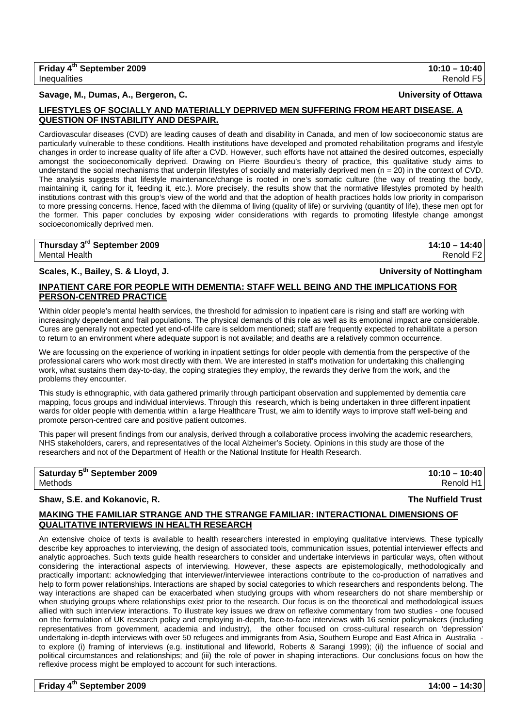## **Savage, M., Dumas, A., Bergeron, C. University of Ottawa**

## **LIFESTYLES OF SOCIALLY AND MATERIALLY DEPRIVED MEN SUFFERING FROM HEART DISEASE. A QUESTION OF INSTABILITY AND DESPAIR.**

Cardiovascular diseases (CVD) are leading causes of death and disability in Canada, and men of low socioeconomic status are particularly vulnerable to these conditions. Health institutions have developed and promoted rehabilitation programs and lifestyle changes in order to increase quality of life after a CVD. However, such efforts have not attained the desired outcomes, especially amongst the socioeconomically deprived. Drawing on Pierre Bourdieu's theory of practice, this qualitative study aims to understand the social mechanisms that underpin lifestyles of socially and materially deprived men ( $n = 20$ ) in the context of CVD. The analysis suggests that lifestyle maintenance/change is rooted in one's somatic culture (the way of treating the body, maintaining it, caring for it, feeding it, etc.). More precisely, the results show that the normative lifestyles promoted by health institutions contrast with this group's view of the world and that the adoption of health practices holds low priority in comparison to more pressing concerns. Hence, faced with the dilemma of living (quality of life) or surviving (quantity of life), these men opt for the former. This paper concludes by exposing wider considerations with regards to promoting lifestyle change amongst socioeconomically deprived men.

## **Thursday 3rd September 2009 14:10 – 14:40**  Mental Health Renold F2

**Scales, K., Bailey, S. & Lloyd, J. University of Nottingham**

## **INPATIENT CARE FOR PEOPLE WITH DEMENTIA: STAFF WELL BEING AND THE IMPLICATIONS FOR PERSON-CENTRED PRACTICE**

Within older people's mental health services, the threshold for admission to inpatient care is rising and staff are working with increasingly dependent and frail populations. The physical demands of this role as well as its emotional impact are considerable. Cures are generally not expected yet end-of-life care is seldom mentioned; staff are frequently expected to rehabilitate a person to return to an environment where adequate support is not available; and deaths are a relatively common occurrence.

We are focussing on the experience of working in inpatient settings for older people with dementia from the perspective of the professional carers who work most directly with them. We are interested in staff's motivation for undertaking this challenging work, what sustains them day-to-day, the coping strategies they employ, the rewards they derive from the work, and the problems they encounter.

This study is ethnographic, with data gathered primarily through participant observation and supplemented by dementia care mapping, focus groups and individual interviews. Through this research, which is being undertaken in three different inpatient wards for older people with dementia within a large Healthcare Trust, we aim to identify ways to improve staff well-being and promote person-centred care and positive patient outcomes.

This paper will present findings from our analysis, derived through a collaborative process involving the academic researchers, NHS stakeholders, carers, and representatives of the local Alzheimer's Society. Opinions in this study are those of the researchers and not of the Department of Health or the National Institute for Health Research.

# **Saturday 5th September 2009 10:10 – 10:40**  Methods Renold H1

### **Shaw, S.E. and Kokanovic, R. The Nuffield Trust**

## **MAKING THE FAMILIAR STRANGE AND THE STRANGE FAMILIAR: INTERACTIONAL DIMENSIONS OF QUALITATIVE INTERVIEWS IN HEALTH RESEARCH**

An extensive choice of texts is available to health researchers interested in employing qualitative interviews. These typically describe key approaches to interviewing, the design of associated tools, communication issues, potential interviewer effects and analytic approaches. Such texts guide health researchers to consider and undertake interviews in particular ways, often without considering the interactional aspects of interviewing. However, these aspects are epistemologically, methodologically and practically important: acknowledging that interviewer/interviewee interactions contribute to the co-production of narratives and help to form power relationships. Interactions are shaped by social categories to which researchers and respondents belong. The way interactions are shaped can be exacerbated when studying groups with whom researchers do not share membership or when studying groups where relationships exist prior to the research. Our focus is on the theoretical and methodological issues allied with such interview interactions. To illustrate key issues we draw on reflexive commentary from two studies - one focused on the formulation of UK research policy and employing in-depth, face-to-face interviews with 16 senior policymakers (including representatives from government, academia and industry), the other focused on cross-cultural research on 'depression' undertaking in-depth interviews with over 50 refugees and immigrants from Asia, Southern Europe and East Africa in Australia to explore (i) framing of interviews (e.g. institutional and lifeworld, Roberts & Sarangi 1999); (ii) the influence of social and political circumstances and relationships; and (iii) the role of power in shaping interactions. Our conclusions focus on how the reflexive process might be employed to account for such interactions.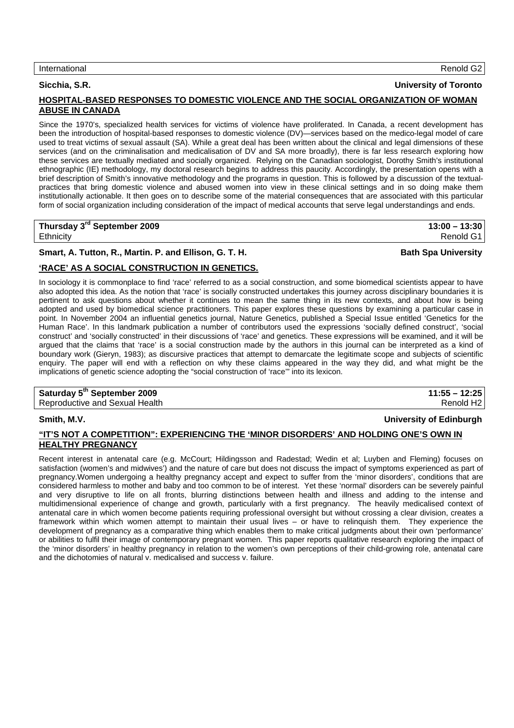### International Renold G2

## **Sicchia, S.R. University of Toronto**

## **HOSPITAL-BASED RESPONSES TO DOMESTIC VIOLENCE AND THE SOCIAL ORGANIZATION OF WOMAN ABUSE IN CANADA**

Since the 1970's, specialized health services for victims of violence have proliferated. In Canada, a recent development has been the introduction of hospital-based responses to domestic violence (DV)—services based on the medico-legal model of care used to treat victims of sexual assault (SA). While a great deal has been written about the clinical and legal dimensions of these services (and on the criminalisation and medicalisation of DV and SA more broadly), there is far less research exploring how these services are textually mediated and socially organized. Relying on the Canadian sociologist, Dorothy Smith's institutional ethnographic (IE) methodology, my doctoral research begins to address this paucity. Accordingly, the presentation opens with a brief description of Smith's innovative methodology and the programs in question. This is followed by a discussion of the textualpractices that bring domestic violence and abused women into view in these clinical settings and in so doing make them institutionally actionable. It then goes on to describe some of the material consequences that are associated with this particular form of social organization including consideration of the impact of medical accounts that serve legal understandings and ends.

**Thursday 3rd September 2009 13:00 – 13:30**  Ethnicity Renold G1

## **Smart, A. Tutton, R., Martin. P. and Ellison, G. T. H. Bath Spa University Communisty**

## **'RACE' AS A SOCIAL CONSTRUCTION IN GENETICS.**

In sociology it is commonplace to find 'race' referred to as a social construction, and some biomedical scientists appear to have also adopted this idea. As the notion that 'race' is socially constructed undertakes this journey across disciplinary boundaries it is pertinent to ask questions about whether it continues to mean the same thing in its new contexts, and about how is being adopted and used by biomedical science practitioners. This paper explores these questions by examining a particular case in point. In November 2004 an influential genetics journal, Nature Genetics, published a Special Issue entitled 'Genetics for the Human Race'. In this landmark publication a number of contributors used the expressions 'socially defined construct', 'social construct' and 'socially constructed' in their discussions of 'race' and genetics. These expressions will be examined, and it will be argued that the claims that 'race' is a social construction made by the authors in this journal can be interpreted as a kind of boundary work (Gieryn, 1983); as discursive practices that attempt to demarcate the legitimate scope and subjects of scientific enquiry. The paper will end with a reflection on why these claims appeared in the way they did, and what might be the implications of genetic science adopting the "social construction of 'race'" into its lexicon.

# **Saturday 5th September 2009 11:55 – 12:25**

Reproductive and Sexual Health Renold H2

## **Smith, M.V. University of Edinburgh**

### **"IT'S NOT A COMPETITION": EXPERIENCING THE 'MINOR DISORDERS' AND HOLDING ONE'S OWN IN HEALTHY PREGNANCY**

Recent interest in antenatal care (e.g. McCourt; Hildingsson and Radestad; Wedin et al; Luyben and Fleming) focuses on satisfaction (women's and midwives') and the nature of care but does not discuss the impact of symptoms experienced as part of pregnancy.Women undergoing a healthy pregnancy accept and expect to suffer from the 'minor disorders', conditions that are considered harmless to mother and baby and too common to be of interest. Yet these 'normal' disorders can be severely painful and very disruptive to life on all fronts, blurring distinctions between health and illness and adding to the intense and multidimensional experience of change and growth, particularly with a first pregnancy. The heavily medicalised context of antenatal care in which women become patients requiring professional oversight but without crossing a clear division, creates a framework within which women attempt to maintain their usual lives – or have to relinquish them. They experience the development of pregnancy as a comparative thing which enables them to make critical judgments about their own 'performance' or abilities to fulfil their image of contemporary pregnant women. This paper reports qualitative research exploring the impact of the 'minor disorders' in healthy pregnancy in relation to the women's own perceptions of their child-growing role, antenatal care and the dichotomies of natural v. medicalised and success v. failure.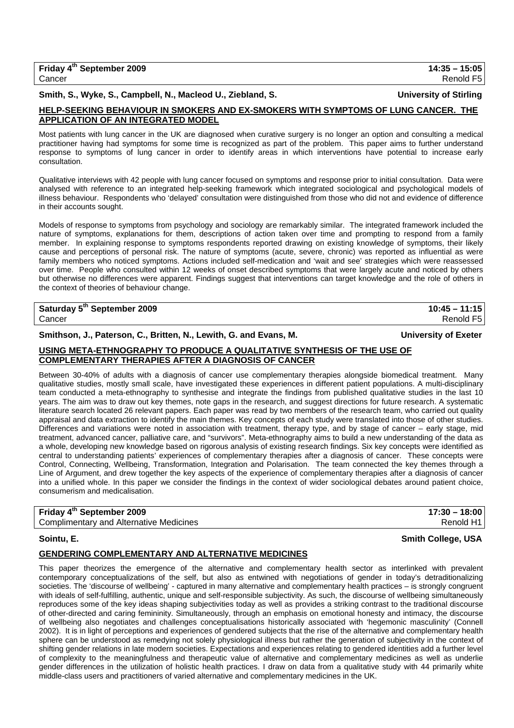| Friday 4 <sup>th</sup> September 2009 | $14:35 - 15:05$ |
|---------------------------------------|-----------------|
| Cancer                                | Renold F5       |

## Smith, S., Wyke, S., Campbell, N., Macleod U., Ziebland, S. **Netchand, S. The Contract Conventional** University of Stirling

## **HELP-SEEKING BEHAVIOUR IN SMOKERS AND EX-SMOKERS WITH SYMPTOMS OF LUNG CANCER. THE APPLICATION OF AN INTEGRATED MODEL**

Most patients with lung cancer in the UK are diagnosed when curative surgery is no longer an option and consulting a medical practitioner having had symptoms for some time is recognized as part of the problem. This paper aims to further understand response to symptoms of lung cancer in order to identify areas in which interventions have potential to increase early consultation.

Qualitative interviews with 42 people with lung cancer focused on symptoms and response prior to initial consultation. Data were analysed with reference to an integrated help-seeking framework which integrated sociological and psychological models of illness behaviour. Respondents who 'delayed' consultation were distinguished from those who did not and evidence of difference in their accounts sought.

Models of response to symptoms from psychology and sociology are remarkably similar. The integrated framework included the nature of symptoms, explanations for them, descriptions of action taken over time and prompting to respond from a family member. In explaining response to symptoms respondents reported drawing on existing knowledge of symptoms, their likely cause and perceptions of personal risk. The nature of symptoms (acute, severe, chronic) was reported as influential as were family members who noticed symptoms. Actions included self-medication and 'wait and see' strategies which were reassessed over time. People who consulted within 12 weeks of onset described symptoms that were largely acute and noticed by others but otherwise no differences were apparent. Findings suggest that interventions can target knowledge and the role of others in the context of theories of behaviour change.

## **Saturday 5th September 2009 10:45 – 11:15**

Smithson, J., Paterson, C., Britten, N., Lewith, G. and Evans, M. **Example 20 and Strutters** University of Exeter

## **USING META-ETHNOGRAPHY TO PRODUCE A QUALITATIVE SYNTHESIS OF THE USE OF COMPLEMENTARY THERAPIES AFTER A DIAGNOSIS OF CANCER**

Between 30-40% of adults with a diagnosis of cancer use complementary therapies alongside biomedical treatment. Many qualitative studies, mostly small scale, have investigated these experiences in different patient populations. A multi-disciplinary team conducted a meta-ethnography to synthesise and integrate the findings from published qualitative studies in the last 10 years. The aim was to draw out key themes, note gaps in the research, and suggest directions for future research. A systematic literature search located 26 relevant papers. Each paper was read by two members of the research team, who carried out quality appraisal and data extraction to identify the main themes. Key concepts of each study were translated into those of other studies. Differences and variations were noted in association with treatment, therapy type, and by stage of cancer – early stage, mid treatment, advanced cancer, palliative care, and "survivors". Meta-ethnography aims to build a new understanding of the data as a whole, developing new knowledge based on rigorous analysis of existing research findings. Six key concepts were identified as central to understanding patients' experiences of complementary therapies after a diagnosis of cancer. These concepts were Control, Connecting, Wellbeing, Transformation, Integration and Polarisation. The team connected the key themes through a Line of Argument, and drew together the key aspects of the experience of complementary therapies after a diagnosis of cancer into a unified whole. In this paper we consider the findings in the context of wider sociological debates around patient choice, consumerism and medicalisation.

### **Friday 4th September 2009 17:30 – 18:00**  Complimentary and Alternative Medicines Renold H1

## **Sointu, E. Smith College, USA**

## **GENDERING COMPLEMENTARY AND ALTERNATIVE MEDICINES**

This paper theorizes the emergence of the alternative and complementary health sector as interlinked with prevalent contemporary conceptualizations of the self, but also as entwined with negotiations of gender in today's detraditionalizing societies. The 'discourse of wellbeing' - captured in many alternative and complementary health practices – is strongly congruent with ideals of self-fulfilling, authentic, unique and self-responsible subjectivity. As such, the discourse of wellbeing simultaneously reproduces some of the key ideas shaping subjectivities today as well as provides a striking contrast to the traditional discourse of other-directed and caring femininity. Simultaneously, through an emphasis on emotional honesty and intimacy, the discourse of wellbeing also negotiates and challenges conceptualisations historically associated with 'hegemonic masculinity' (Connell 2002). It is in light of perceptions and experiences of gendered subjects that the rise of the alternative and complementary health sphere can be understood as remedying not solely physiological illness but rather the generation of subjectivity in the context of shifting gender relations in late modern societies. Expectations and experiences relating to gendered identities add a further level of complexity to the meaningfulness and therapeutic value of alternative and complementary medicines as well as underlie gender differences in the utilization of holistic health practices. I draw on data from a qualitative study with 44 primarily white middle-class users and practitioners of varied alternative and complementary medicines in the UK.

Cancer Renold F5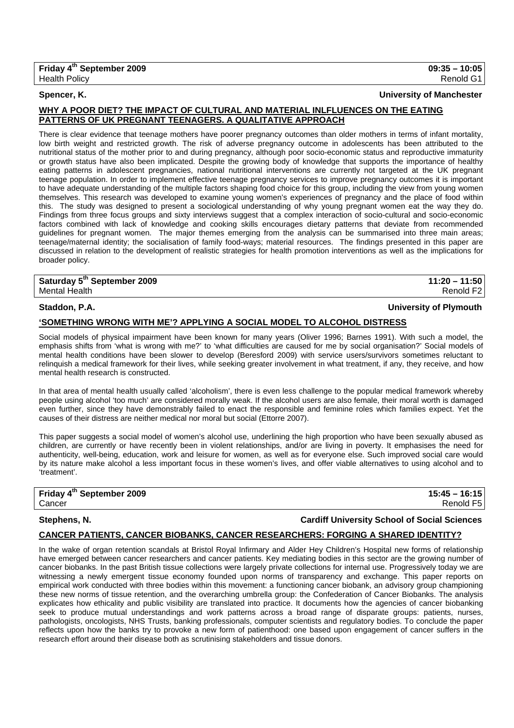### **Spencer, K. University of Manchester**

## **WHY A POOR DIET? THE IMPACT OF CULTURAL AND MATERIAL INLFLUENCES ON THE EATING PATTERNS OF UK PREGNANT TEENAGERS. A QUALITATIVE APPROACH**

There is clear evidence that teenage mothers have poorer pregnancy outcomes than older mothers in terms of infant mortality, low birth weight and restricted growth. The risk of adverse pregnancy outcome in adolescents has been attributed to the nutritional status of the mother prior to and during pregnancy, although poor socio-economic status and reproductive immaturity or growth status have also been implicated. Despite the growing body of knowledge that supports the importance of healthy eating patterns in adolescent pregnancies, national nutritional interventions are currently not targeted at the UK pregnant teenage population. In order to implement effective teenage pregnancy services to improve pregnancy outcomes it is important to have adequate understanding of the multiple factors shaping food choice for this group, including the view from young women themselves. This research was developed to examine young women's experiences of pregnancy and the place of food within this. The study was designed to present a sociological understanding of why young pregnant women eat the way they do. Findings from three focus groups and sixty interviews suggest that a complex interaction of socio-cultural and socio-economic factors combined with lack of knowledge and cooking skills encourages dietary patterns that deviate from recommended guidelines for pregnant women. The major themes emerging from the analysis can be summarised into three main areas; teenage/maternal identity; the socialisation of family food-ways; material resources. The findings presented in this paper are discussed in relation to the development of realistic strategies for health promotion interventions as well as the implications for broader policy.

**Saturday 5th September 2009 11:20 – 11:50**  Mental Health Renold F2

## **Staddon, P.A. University of Plymouth**

### **'SOMETHING WRONG WITH ME'? APPLYING A SOCIAL MODEL TO ALCOHOL DISTRESS**

Social models of physical impairment have been known for many years (Oliver 1996; Barnes 1991). With such a model, the emphasis shifts from 'what is wrong with me?' to 'what difficulties are caused for me by social organisation?' Social models of mental health conditions have been slower to develop (Beresford 2009) with service users/survivors sometimes reluctant to relinquish a medical framework for their lives, while seeking greater involvement in what treatment, if any, they receive, and how mental health research is constructed.

In that area of mental health usually called 'alcoholism', there is even less challenge to the popular medical framework whereby people using alcohol 'too much' are considered morally weak. If the alcohol users are also female, their moral worth is damaged even further, since they have demonstrably failed to enact the responsible and feminine roles which families expect. Yet the causes of their distress are neither medical nor moral but social (Ettorre 2007).

This paper suggests a social model of women's alcohol use, underlining the high proportion who have been sexually abused as children, are currently or have recently been in violent relationships, and/or are living in poverty. It emphasises the need for authenticity, well-being, education, work and leisure for women, as well as for everyone else. Such improved social care would by its nature make alcohol a less important focus in these women's lives, and offer viable alternatives to using alcohol and to 'treatment'.

## **Friday 4th September 2009 15:45 – 16:15**  Cancer Renold F5

### **Stephens, N. Cardiff University School of Social Sciences**

## **CANCER PATIENTS, CANCER BIOBANKS, CANCER RESEARCHERS: FORGING A SHARED IDENTITY?**

In the wake of organ retention scandals at Bristol Royal Infirmary and Alder Hey Children's Hospital new forms of relationship have emerged between cancer researchers and cancer patients. Key mediating bodies in this sector are the growing number of cancer biobanks. In the past British tissue collections were largely private collections for internal use. Progressively today we are witnessing a newly emergent tissue economy founded upon norms of transparency and exchange. This paper reports on empirical work conducted with three bodies within this movement: a functioning cancer biobank, an advisory group championing these new norms of tissue retention, and the overarching umbrella group: the Confederation of Cancer Biobanks. The analysis explicates how ethicality and public visibility are translated into practice. It documents how the agencies of cancer biobanking seek to produce mutual understandings and work patterns across a broad range of disparate groups: patients, nurses, pathologists, oncologists, NHS Trusts, banking professionals, computer scientists and regulatory bodies. To conclude the paper reflects upon how the banks try to provoke a new form of patienthood: one based upon engagement of cancer suffers in the research effort around their disease both as scrutinising stakeholders and tissue donors.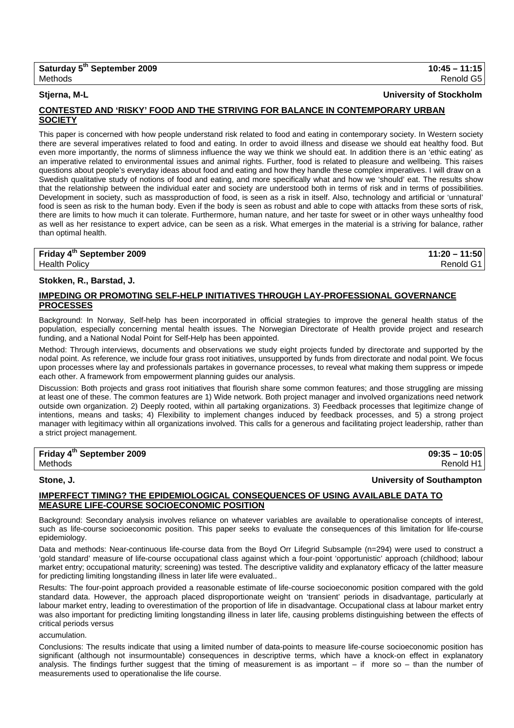### **Stjerna, M-L University of Stockholm**

### **CONTESTED AND 'RISKY' FOOD AND THE STRIVING FOR BALANCE IN CONTEMPORARY URBAN SOCIETY**

This paper is concerned with how people understand risk related to food and eating in contemporary society. In Western society there are several imperatives related to food and eating. In order to avoid illness and disease we should eat healthy food. But even more importantly, the norms of slimness influence the way we think we should eat. In addition there is an 'ethic eating' as an imperative related to environmental issues and animal rights. Further, food is related to pleasure and wellbeing. This raises questions about people's everyday ideas about food and eating and how they handle these complex imperatives. I will draw on a Swedish qualitative study of notions of food and eating, and more specifically what and how we 'should' eat. The results show that the relationship between the individual eater and society are understood both in terms of risk and in terms of possibilities. Development in society, such as massproduction of food, is seen as a risk in itself. Also, technology and artificial or 'unnatural' food is seen as risk to the human body. Even if the body is seen as robust and able to cope with attacks from these sorts of risk, there are limits to how much it can tolerate. Furthermore, human nature, and her taste for sweet or in other ways unhealthy food as well as her resistance to expert advice, can be seen as a risk. What emerges in the material is a striving for balance, rather than optimal health.

| Friday 4 <sup>th</sup> September 2009 | $11:20 - 11:50$ |
|---------------------------------------|-----------------|
| <b>Health Policy</b>                  | Renold G1       |

## **Stokken, R., Barstad, J.**

## **IMPEDING OR PROMOTING SELF-HELP INITIATIVES THROUGH LAY-PROFESSIONAL GOVERNANCE PROCESSES**

Background: In Norway, Self-help has been incorporated in official strategies to improve the general health status of the population, especially concerning mental health issues. The Norwegian Directorate of Health provide project and research funding, and a National Nodal Point for Self-Help has been appointed.

Method: Through interviews, documents and observations we study eight projects funded by directorate and supported by the nodal point. As reference, we include four grass root initiatives, unsupported by funds from directorate and nodal point. We focus upon processes where lay and professionals partakes in governance processes, to reveal what making them suppress or impede each other. A framework from empowerment planning guides our analysis.

Discussion: Both projects and grass root initiatives that flourish share some common features; and those struggling are missing at least one of these. The common features are 1) Wide network. Both project manager and involved organizations need network outside own organization. 2) Deeply rooted, within all partaking organizations. 3) Feedback processes that legitimize change of intentions, means and tasks; 4) Flexibility to implement changes induced by feedback processes, and 5) a strong project manager with legitimacy within all organizations involved. This calls for a generous and facilitating project leadership, rather than a strict project management.

**Friday 4th September 2009 09:35 – 10:05**  Methods Renold H1

## **Stone, J. University of Southampton**

## **IMPERFECT TIMING? THE EPIDEMIOLOGICAL CONSEQUENCES OF USING AVAILABLE DATA TO MEASURE LIFE-COURSE SOCIOECONOMIC POSITION**

Background: Secondary analysis involves reliance on whatever variables are available to operationalise concepts of interest, such as life-course socioeconomic position. This paper seeks to evaluate the consequences of this limitation for life-course epidemiology.

Data and methods: Near-continuous life-course data from the Boyd Orr Lifegrid Subsample (n=294) were used to construct a 'gold standard' measure of life-course occupational class against which a four-point 'opportunistic' approach (childhood; labour market entry; occupational maturity; screening) was tested. The descriptive validity and explanatory efficacy of the latter measure for predicting limiting longstanding illness in later life were evaluated..

Results: The four-point approach provided a reasonable estimate of life-course socioeconomic position compared with the gold standard data. However, the approach placed disproportionate weight on 'transient' periods in disadvantage, particularly at labour market entry, leading to overestimation of the proportion of life in disadvantage. Occupational class at labour market entry was also important for predicting limiting longstanding illness in later life, causing problems distinguishing between the effects of critical periods versus

### accumulation.

Conclusions: The results indicate that using a limited number of data-points to measure life-course socioeconomic position has significant (although not insurmountable) consequences in descriptive terms, which have a knock-on effect in explanatory analysis. The findings further suggest that the timing of measurement is as important  $-$  if more so  $-$  than the number of measurements used to operationalise the life course.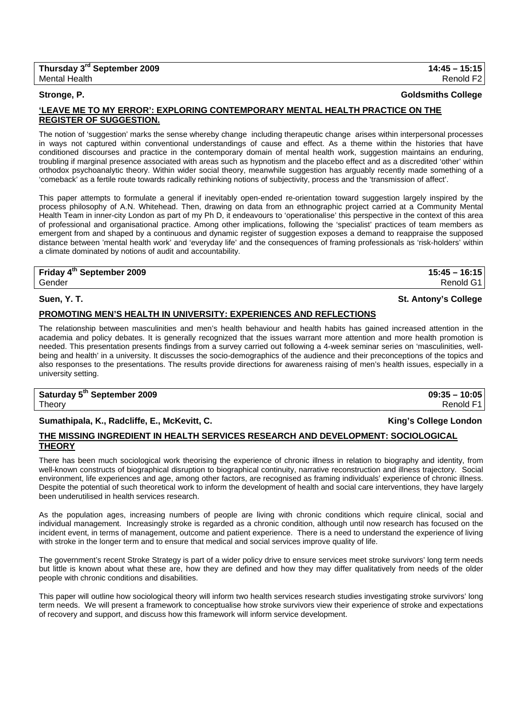### **Stronge, P. Goldsmiths College**

## **'LEAVE ME TO MY ERROR': EXPLORING CONTEMPORARY MENTAL HEALTH PRACTICE ON THE REGISTER OF SUGGESTION.**

The notion of 'suggestion' marks the sense whereby change including therapeutic change arises within interpersonal processes in ways not captured within conventional understandings of cause and effect. As a theme within the histories that have conditioned discourses and practice in the contemporary domain of mental health work, suggestion maintains an enduring, troubling if marginal presence associated with areas such as hypnotism and the placebo effect and as a discredited 'other' within orthodox psychoanalytic theory. Within wider social theory, meanwhile suggestion has arguably recently made something of a 'comeback' as a fertile route towards radically rethinking notions of subjectivity, process and the 'transmission of affect'.

This paper attempts to formulate a general if inevitably open-ended re-orientation toward suggestion largely inspired by the process philosophy of A.N. Whitehead. Then, drawing on data from an ethnographic project carried at a Community Mental Health Team in inner-city London as part of my Ph D, it endeavours to 'operationalise' this perspective in the context of this area of professional and organisational practice. Among other implications, following the 'specialist' practices of team members as emergent from and shaped by a continuous and dynamic register of suggestion exposes a demand to reappraise the supposed distance between 'mental health work' and 'everyday life' and the consequences of framing professionals as 'risk-holders' within a climate dominated by notions of audit and accountability.

**Friday 4th September 2009 15:45 – 16:15**  Gender Renold G1

**Suen, Y. T. St. Antony's College**

### **PROMOTING MEN'S HEALTH IN UNIVERSITY: EXPERIENCES AND REFLECTIONS**

The relationship between masculinities and men's health behaviour and health habits has gained increased attention in the academia and policy debates. It is generally recognized that the issues warrant more attention and more health promotion is needed. This presentation presents findings from a survey carried out following a 4-week seminar series on 'masculinities, wellbeing and health' in a university. It discusses the socio-demographics of the audience and their preconceptions of the topics and also responses to the presentations. The results provide directions for awareness raising of men's health issues, especially in a university setting.

**Saturday 5th September 2009 09:35 – 10:05**  Theory Renold F1

## Sumathipala, K., Radcliffe, E., McKevitt, C. **King's College London**

## **THE MISSING INGREDIENT IN HEALTH SERVICES RESEARCH AND DEVELOPMENT: SOCIOLOGICAL THEORY**

There has been much sociological work theorising the experience of chronic illness in relation to biography and identity, from well-known constructs of biographical disruption to biographical continuity, narrative reconstruction and illness trajectory. Social environment, life experiences and age, among other factors, are recognised as framing individuals' experience of chronic illness. Despite the potential of such theoretical work to inform the development of health and social care interventions, they have largely been underutilised in health services research.

As the population ages, increasing numbers of people are living with chronic conditions which require clinical, social and individual management. Increasingly stroke is regarded as a chronic condition, although until now research has focused on the incident event, in terms of management, outcome and patient experience. There is a need to understand the experience of living with stroke in the longer term and to ensure that medical and social services improve quality of life.

The government's recent Stroke Strategy is part of a wider policy drive to ensure services meet stroke survivors' long term needs but little is known about what these are, how they are defined and how they may differ qualitatively from needs of the older people with chronic conditions and disabilities.

This paper will outline how sociological theory will inform two health services research studies investigating stroke survivors' long term needs. We will present a framework to conceptualise how stroke survivors view their experience of stroke and expectations of recovery and support, and discuss how this framework will inform service development.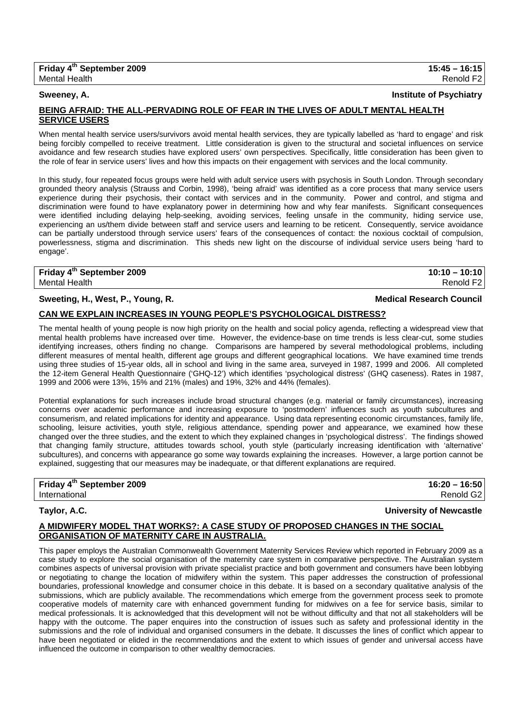| Friday 4 <sup>th</sup> September 2009 | $15:45 - 16:15$       |
|---------------------------------------|-----------------------|
| Mental Health                         | Renold F <sub>2</sub> |

## **BEING AFRAID: THE ALL-PERVADING ROLE OF FEAR IN THE LIVES OF ADULT MENTAL HEALTH SERVICE USERS**

When mental health service users/survivors avoid mental health services, they are typically labelled as 'hard to engage' and risk being forcibly compelled to receive treatment. Little consideration is given to the structural and societal influences on service avoidance and few research studies have explored users' own perspectives. Specifically, little consideration has been given to the role of fear in service users' lives and how this impacts on their engagement with services and the local community.

In this study, four repeated focus groups were held with adult service users with psychosis in South London. Through secondary grounded theory analysis (Strauss and Corbin, 1998), 'being afraid' was identified as a core process that many service users experience during their psychosis, their contact with services and in the community. Power and control, and stigma and discrimination were found to have explanatory power in determining how and why fear manifests. Significant consequences were identified including delaying help-seeking, avoiding services, feeling unsafe in the community, hiding service use, experiencing an us/them divide between staff and service users and learning to be reticent. Consequently, service avoidance can be partially understood through service users' fears of the consequences of contact: the noxious cocktail of compulsion, powerlessness, stigma and discrimination. This sheds new light on the discourse of individual service users being 'hard to engage'.

**Friday 4<sup>th</sup> September 2009** 10:10 – 10:10 **10:10** Mental Health Renold F2

## **Sweeting, H., West, P., Young, R. Medical Research Council**

### **CAN WE EXPLAIN INCREASES IN YOUNG PEOPLE'S PSYCHOLOGICAL DISTRESS?**

The mental health of young people is now high priority on the health and social policy agenda, reflecting a widespread view that mental health problems have increased over time. However, the evidence-base on time trends is less clear-cut, some studies identifying increases, others finding no change. Comparisons are hampered by several methodological problems, including different measures of mental health, different age groups and different geographical locations. We have examined time trends using three studies of 15-year olds, all in school and living in the same area, surveyed in 1987, 1999 and 2006. All completed the 12-item General Health Questionnaire ('GHQ-12') which identifies 'psychological distress' (GHQ caseness). Rates in 1987, 1999 and 2006 were 13%, 15% and 21% (males) and 19%, 32% and 44% (females).

Potential explanations for such increases include broad structural changes (e.g. material or family circumstances), increasing concerns over academic performance and increasing exposure to 'postmodern' influences such as youth subcultures and consumerism, and related implications for identity and appearance. Using data representing economic circumstances, family life, schooling, leisure activities, youth style, religious attendance, spending power and appearance, we examined how these changed over the three studies, and the extent to which they explained changes in 'psychological distress'. The findings showed that changing family structure, attitudes towards school, youth style (particularly increasing identification with 'alternative' subcultures), and concerns with appearance go some way towards explaining the increases. However, a large portion cannot be explained, suggesting that our measures may be inadequate, or that different explanations are required.

| Friday 4 <sup>th</sup> September 2009 | $16:20 - 16:50$       |
|---------------------------------------|-----------------------|
| International                         | Renold G <sub>2</sub> |

| Taylor, A.C. | University of Newcastle |
|--------------|-------------------------|
|              |                         |

## **A MIDWIFERY MODEL THAT WORKS?: A CASE STUDY OF PROPOSED CHANGES IN THE SOCIAL ORGANISATION OF MATERNITY CARE IN AUSTRALIA.**

This paper employs the Australian Commonwealth Government Maternity Services Review which reported in February 2009 as a case study to explore the social organisation of the maternity care system in comparative perspective. The Australian system combines aspects of universal provision with private specialist practice and both government and consumers have been lobbying or negotiating to change the location of midwifery within the system. This paper addresses the construction of professional boundaries, professional knowledge and consumer choice in this debate. It is based on a secondary qualitative analysis of the submissions, which are publicly available. The recommendations which emerge from the government process seek to promote cooperative models of maternity care with enhanced government funding for midwives on a fee for service basis, similar to medical professionals. It is acknowledged that this development will not be without difficulty and that not all stakeholders will be happy with the outcome. The paper enquires into the construction of issues such as safety and professional identity in the submissions and the role of individual and organised consumers in the debate. It discusses the lines of conflict which appear to have been negotiated or elided in the recommendations and the extent to which issues of gender and universal access have influenced the outcome in comparison to other wealthy democracies.

# **Sweeney, A. Institute of Psychiatry**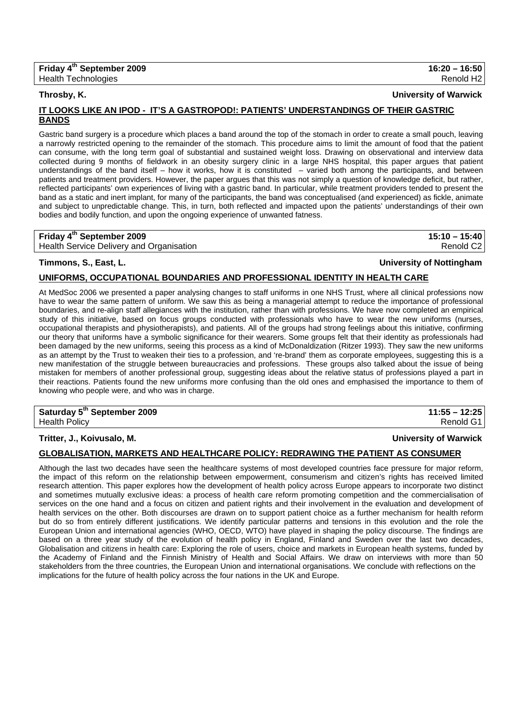## **Throsby, K. University of Warwick**

## **IT LOOKS LIKE AN IPOD - IT'S A GASTROPOD!: PATIENTS' UNDERSTANDINGS OF THEIR GASTRIC BANDS**

Gastric band surgery is a procedure which places a band around the top of the stomach in order to create a small pouch, leaving a narrowly restricted opening to the remainder of the stomach. This procedure aims to limit the amount of food that the patient can consume, with the long term goal of substantial and sustained weight loss. Drawing on observational and interview data collected during 9 months of fieldwork in an obesity surgery clinic in a large NHS hospital, this paper argues that patient understandings of the band itself – how it works, how it is constituted – varied both among the participants, and between patients and treatment providers. However, the paper argues that this was not simply a question of knowledge deficit, but rather, reflected participants' own experiences of living with a gastric band. In particular, while treatment providers tended to present the band as a static and inert implant, for many of the participants, the band was conceptualised (and experienced) as fickle, animate and subject to unpredictable change. This, in turn, both reflected and impacted upon the patients' understandings of their own bodies and bodily function, and upon the ongoing experience of unwanted fatness.

## **Friday 4th September 2009 15:10 – 15:40**

Health Service Delivery and Organisation **Renold C2 Renold C2** 

## **Timmons, S., East, L. University of Nottingham**

## **UNIFORMS, OCCUPATIONAL BOUNDARIES AND PROFESSIONAL IDENTITY IN HEALTH CARE**

At MedSoc 2006 we presented a paper analysing changes to staff uniforms in one NHS Trust, where all clinical professions now have to wear the same pattern of uniform. We saw this as being a managerial attempt to reduce the importance of professional boundaries, and re-align staff allegiances with the institution, rather than with professions. We have now completed an empirical study of this initiative, based on focus groups conducted with professionals who have to wear the new uniforms (nurses, occupational therapists and physiotherapists), and patients. All of the groups had strong feelings about this initiative, confirming our theory that uniforms have a symbolic significance for their wearers. Some groups felt that their identity as professionals had been damaged by the new uniforms, seeing this process as a kind of McDonaldization (Ritzer 1993). They saw the new uniforms as an attempt by the Trust to weaken their ties to a profession, and 're-brand' them as corporate employees, suggesting this is a new manifestation of the struggle between bureaucracies and professions. These groups also talked about the issue of being mistaken for members of another professional group, suggesting ideas about the relative status of professions played a part in their reactions. Patients found the new uniforms more confusing than the old ones and emphasised the importance to them of knowing who people were, and who was in charge.

## **Saturday 5th September 2009 11:55 – 12:25**  Health Policy Renold G1

## **Tritter, J., Koivusalo, M. University of Warwick**

## **GLOBALISATION, MARKETS AND HEALTHCARE POLICY: REDRAWING THE PATIENT AS CONSUMER**

Although the last two decades have seen the healthcare systems of most developed countries face pressure for major reform, the impact of this reform on the relationship between empowerment, consumerism and citizen's rights has received limited research attention. This paper explores how the development of health policy across Europe appears to incorporate two distinct and sometimes mutually exclusive ideas: a process of health care reform promoting competition and the commercialisation of services on the one hand and a focus on citizen and patient rights and their involvement in the evaluation and development of health services on the other. Both discourses are drawn on to support patient choice as a further mechanism for health reform but do so from entirely different justifications. We identify particular patterns and tensions in this evolution and the role the European Union and international agencies (WHO, OECD, WTO) have played in shaping the policy discourse. The findings are based on a three year study of the evolution of health policy in England, Finland and Sweden over the last two decades, Globalisation and citizens in health care: Exploring the role of users, choice and markets in European health systems, funded by the Academy of Finland and the Finnish Ministry of Health and Social Affairs. We draw on interviews with more than 50 stakeholders from the three countries, the European Union and international organisations. We conclude with reflections on the implications for the future of health policy across the four nations in the UK and Europe.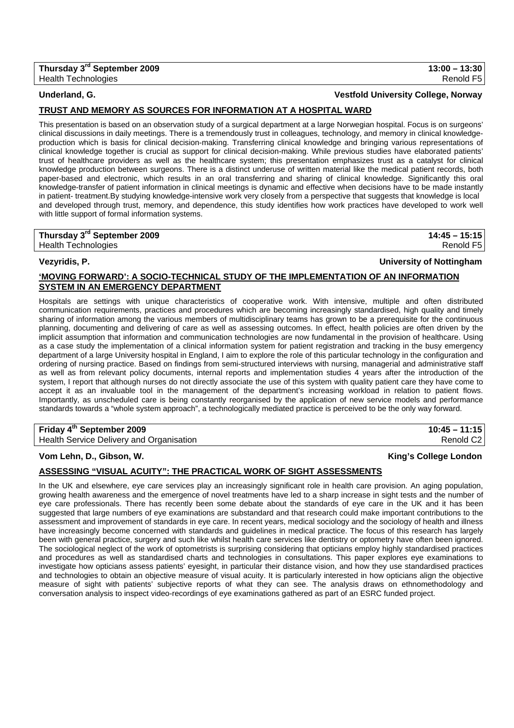## **TRUST AND MEMORY AS SOURCES FOR INFORMATION AT A HOSPITAL WARD**

This presentation is based on an observation study of a surgical department at a large Norwegian hospital. Focus is on surgeons' clinical discussions in daily meetings. There is a tremendously trust in colleagues, technology, and memory in clinical knowledgeproduction which is basis for clinical decision-making. Transferring clinical knowledge and bringing various representations of clinical knowledge together is crucial as support for clinical decision-making. While previous studies have elaborated patients' trust of healthcare providers as well as the healthcare system; this presentation emphasizes trust as a catalyst for clinical knowledge production between surgeons. There is a distinct underuse of written material like the medical patient records, both paper-based and electronic, which results in an oral transferring and sharing of clinical knowledge. Significantly this oral knowledge-transfer of patient information in clinical meetings is dynamic and effective when decisions have to be made instantly in patient- treatment.By studying knowledge-intensive work very closely from a perspective that suggests that knowledge is local and developed through trust, memory, and dependence, this study identifies how work practices have developed to work well with little support of formal information systems.

# **Thursday 3rd September 2009 14:45 – 15:15**

## **'MOVING FORWARD': A SOCIO-TECHNICAL STUDY OF THE IMPLEMENTATION OF AN INFORMATION SYSTEM IN AN EMERGENCY DEPARTMENT**

Hospitals are settings with unique characteristics of cooperative work. With intensive, multiple and often distributed communication requirements, practices and procedures which are becoming increasingly standardised, high quality and timely sharing of information among the various members of multidisciplinary teams has grown to be a prerequisite for the continuous planning, documenting and delivering of care as well as assessing outcomes. In effect, health policies are often driven by the implicit assumption that information and communication technologies are now fundamental in the provision of healthcare. Using as a case study the implementation of a clinical information system for patient registration and tracking in the busy emergency department of a large University hospital in England, I aim to explore the role of this particular technology in the configuration and ordering of nursing practice. Based on findings from semi-structured interviews with nursing, managerial and administrative staff as well as from relevant policy documents, internal reports and implementation studies 4 years after the introduction of the system, I report that although nurses do not directly associate the use of this system with quality patient care they have come to accept it as an invaluable tool in the management of the department's increasing workload in relation to patient flows. Importantly, as unscheduled care is being constantly reorganised by the application of new service models and performance standards towards a "whole system approach", a technologically mediated practice is perceived to be the only way forward.

## **Friday 4th September 2009 10:45 – 11:15**

Health Service Delivery and Organisation **Renold C2 Renold C2** 

## **Vom Lehn, D., Gibson, W. King's College London**

## **ASSESSING "VISUAL ACUITY": THE PRACTICAL WORK OF SIGHT ASSESSMENTS**

In the UK and elsewhere, eye care services play an increasingly significant role in health care provision. An aging population, growing health awareness and the emergence of novel treatments have led to a sharp increase in sight tests and the number of eye care professionals. There has recently been some debate about the standards of eye care in the UK and it has been suggested that large numbers of eye examinations are substandard and that research could make important contributions to the assessment and improvement of standards in eye care. In recent years, medical sociology and the sociology of health and illness have increasingly become concerned with standards and guidelines in medical practice. The focus of this research has largely been with general practice, surgery and such like whilst health care services like dentistry or optometry have often been ignored. The sociological neglect of the work of optometrists is surprising considering that opticians employ highly standardised practices and procedures as well as standardised charts and technologies in consultations. This paper explores eye examinations to investigate how opticians assess patients' eyesight, in particular their distance vision, and how they use standardised practices and technologies to obtain an objective measure of visual acuity. It is particularly interested in how opticians align the objective measure of sight with patients' subjective reports of what they can see. The analysis draws on ethnomethodology and conversation analysis to inspect video-recordings of eye examinations gathered as part of an ESRC funded project.

## Health Technologies Renold F5

# **Vezyridis, P. University of Nottingham**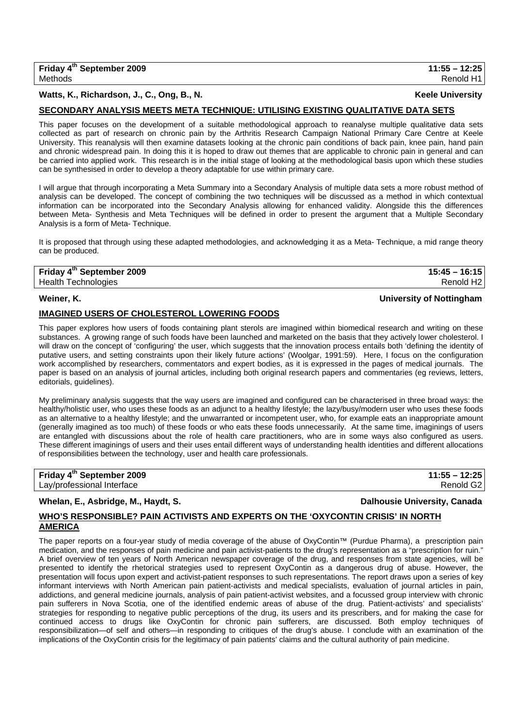## **Watts, K., Richardson, J., C., Ong, B., N. Keele University**

## **SECONDARY ANALYSIS MEETS META TECHNIQUE: UTILISING EXISTING QUALITATIVE DATA SETS**

This paper focuses on the development of a suitable methodological approach to reanalyse multiple qualitative data sets collected as part of research on chronic pain by the Arthritis Research Campaign National Primary Care Centre at Keele University. This reanalysis will then examine datasets looking at the chronic pain conditions of back pain, knee pain, hand pain and chronic widespread pain. In doing this it is hoped to draw out themes that are applicable to chronic pain in general and can be carried into applied work. This research is in the initial stage of looking at the methodological basis upon which these studies can be synthesised in order to develop a theory adaptable for use within primary care.

I will argue that through incorporating a Meta Summary into a Secondary Analysis of multiple data sets a more robust method of analysis can be developed. The concept of combining the two techniques will be discussed as a method in which contextual information can be incorporated into the Secondary Analysis allowing for enhanced validity. Alongside this the differences between Meta- Synthesis and Meta Techniques will be defined in order to present the argument that a Multiple Secondary Analysis is a form of Meta- Technique.

It is proposed that through using these adapted methodologies, and acknowledging it as a Meta- Technique, a mid range theory can be produced.

## **Friday 4th September 2009 15:45 – 16:15**  Health Technologies Renold H2

### **Weiner, K. University of Nottingham**

### **IMAGINED USERS OF CHOLESTEROL LOWERING FOODS**

This paper explores how users of foods containing plant sterols are imagined within biomedical research and writing on these substances. A growing range of such foods have been launched and marketed on the basis that they actively lower cholesterol. I will draw on the concept of 'configuring' the user, which suggests that the innovation process entails both 'defining the identity of putative users, and setting constraints upon their likely future actions' (Woolgar, 1991:59). Here, I focus on the configuration work accomplished by researchers, commentators and expert bodies, as it is expressed in the pages of medical journals. The paper is based on an analysis of journal articles, including both original research papers and commentaries (eg reviews, letters, editorials, quidelines).

My preliminary analysis suggests that the way users are imagined and configured can be characterised in three broad ways: the healthy/holistic user, who uses these foods as an adjunct to a healthy lifestyle; the lazy/busy/modern user who uses these foods as an alternative to a healthy lifestyle; and the unwarranted or incompetent user, who, for example eats an inappropriate amount (generally imagined as too much) of these foods or who eats these foods unnecessarily. At the same time, imaginings of users are entangled with discussions about the role of health care practitioners, who are in some ways also configured as users. These different imaginings of users and their uses entail different ways of understanding health identities and different allocations of responsibilities between the technology, user and health care professionals.

| Friday 4 <sup>th</sup> September 2009 | $11:55 - 12:25$ |
|---------------------------------------|-----------------|
| Lay/professional Interface            | Renold G2       |

### Whelan, E., Asbridge, M., Haydt, S. **Dalhousie University, Canada**

### **WHO'S RESPONSIBLE? PAIN ACTIVISTS AND EXPERTS ON THE 'OXYCONTIN CRISIS' IN NORTH AMERICA**

The paper reports on a four-year study of media coverage of the abuse of OxyContin™ (Purdue Pharma), a prescription pain medication, and the responses of pain medicine and pain activist-patients to the drug's representation as a "prescription for ruin." A brief overview of ten years of North American newspaper coverage of the drug, and responses from state agencies, will be presented to identify the rhetorical strategies used to represent OxyContin as a dangerous drug of abuse. However, the presentation will focus upon expert and activist-patient responses to such representations. The report draws upon a series of key informant interviews with North American pain patient-activists and medical specialists, evaluation of journal articles in pain, addictions, and general medicine journals, analysis of pain patient-activist websites, and a focussed group interview with chronic pain sufferers in Nova Scotia, one of the identified endemic areas of abuse of the drug. Patient-activists' and specialists' strategies for responding to negative public perceptions of the drug, its users and its prescribers, and for making the case for continued access to drugs like OxyContin for chronic pain sufferers, are discussed. Both employ techniques of responsibilization—of self and others—in responding to critiques of the drug's abuse. I conclude with an examination of the implications of the OxyContin crisis for the legitimacy of pain patients' claims and the cultural authority of pain medicine.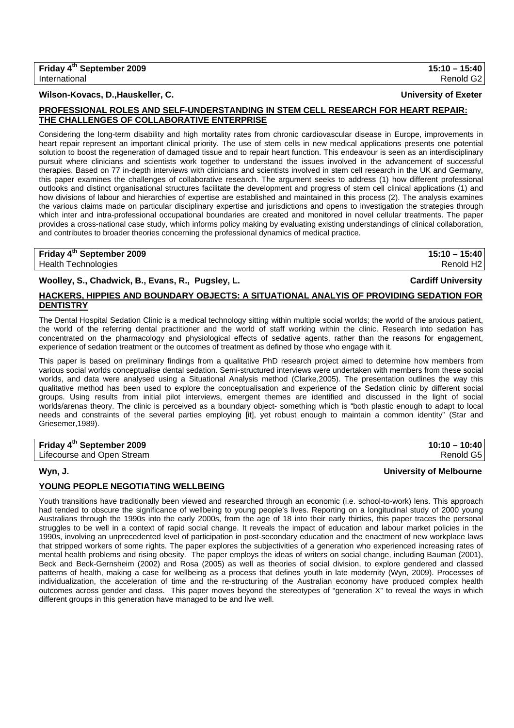## **Wilson-Kovacs, D.,Hauskeller, C. University of Exeter**

## **PROFESSIONAL ROLES AND SELF-UNDERSTANDING IN STEM CELL RESEARCH FOR HEART REPAIR: THE CHALLENGES OF COLLABORATIVE ENTERPRISE**

Considering the long-term disability and high mortality rates from chronic cardiovascular disease in Europe, improvements in heart repair represent an important clinical priority. The use of stem cells in new medical applications presents one potential solution to boost the regeneration of damaged tissue and to repair heart function. This endeavour is seen as an interdisciplinary pursuit where clinicians and scientists work together to understand the issues involved in the advancement of successful therapies. Based on 77 in-depth interviews with clinicians and scientists involved in stem cell research in the UK and Germany, this paper examines the challenges of collaborative research. The argument seeks to address (1) how different professional outlooks and distinct organisational structures facilitate the development and progress of stem cell clinical applications (1) and how divisions of labour and hierarchies of expertise are established and maintained in this process (2). The analysis examines the various claims made on particular disciplinary expertise and jurisdictions and opens to investigation the strategies through which inter and intra-professional occupational boundaries are created and monitored in novel cellular treatments. The paper provides a cross-national case study, which informs policy making by evaluating existing understandings of clinical collaboration, and contributes to broader theories concerning the professional dynamics of medical practice.

**Friday 4th September 2009 15:10 – 15:40**  Health Technologies Renold H2

Woolley, S., Chadwick, B., Evans, R., Pugsley, L. **Cardiff University** Cardiff University

## **HACKERS, HIPPIES AND BOUNDARY OBJECTS: A SITUATIONAL ANALYIS OF PROVIDING SEDATION FOR DENTISTRY**

The Dental Hospital Sedation Clinic is a medical technology sitting within multiple social worlds; the world of the anxious patient, the world of the referring dental practitioner and the world of staff working within the clinic. Research into sedation has concentrated on the pharmacology and physiological effects of sedative agents, rather than the reasons for engagement, experience of sedation treatment or the outcomes of treatment as defined by those who engage with it.

This paper is based on preliminary findings from a qualitative PhD research project aimed to determine how members from various social worlds conceptualise dental sedation. Semi-structured interviews were undertaken with members from these social worlds, and data were analysed using a Situational Analysis method (Clarke,2005). The presentation outlines the way this qualitative method has been used to explore the conceptualisation and experience of the Sedation clinic by different social groups. Using results from initial pilot interviews, emergent themes are identified and discussed in the light of social worlds/arenas theory. The clinic is perceived as a boundary object- something which is "both plastic enough to adapt to local needs and constraints of the several parties employing [it], yet robust enough to maintain a common identity" (Star and Griesemer,1989).

| Friday 4 <sup>th</sup> September 2009 | $10:10 - 10:40$ |
|---------------------------------------|-----------------|
| Lifecourse and Open Stream            | Renold G5       |

## **Wyn, J. University of Melbourne**

## **YOUNG PEOPLE NEGOTIATING WELLBEING**

Youth transitions have traditionally been viewed and researched through an economic (i.e. school-to-work) lens. This approach had tended to obscure the significance of wellbeing to young people's lives. Reporting on a longitudinal study of 2000 young Australians through the 1990s into the early 2000s, from the age of 18 into their early thirties, this paper traces the personal struggles to be well in a context of rapid social change. It reveals the impact of education and labour market policies in the 1990s, involving an unprecedented level of participation in post-secondary education and the enactment of new workplace laws that stripped workers of some rights. The paper explores the subjectivities of a generation who experienced increasing rates of mental health problems and rising obesity. The paper employs the ideas of writers on social change, including Bauman (2001), Beck and Beck-Gernsheim (2002) and Rosa (2005) as well as theories of social division, to explore gendered and classed patterns of health, making a case for wellbeing as a process that defines youth in late modernity (Wyn, 2009). Processes of individualization, the acceleration of time and the re-structuring of the Australian economy have produced complex health outcomes across gender and class. This paper moves beyond the stereotypes of "generation X" to reveal the ways in which different groups in this generation have managed to be and live well.